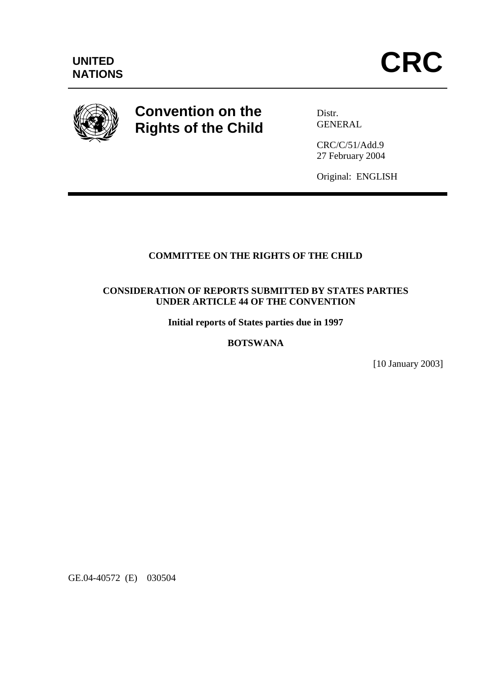

# **Convention on the Rights of the Child**

Distr. GENERAL

CRC/C/51/Add.9 27 February 2004

Original: ENGLISH

# **COMMITTEE ON THE RIGHTS OF THE CHILD**

#### **CONSIDERATION OF REPORTS SUBMITTED BY STATES PARTIES UNDER ARTICLE 44 OF THE CONVENTION**

**Initial reports of States parties due in 1997** 

## **BOTSWANA**

[10 January 2003]

GE.04-40572 (E) 030504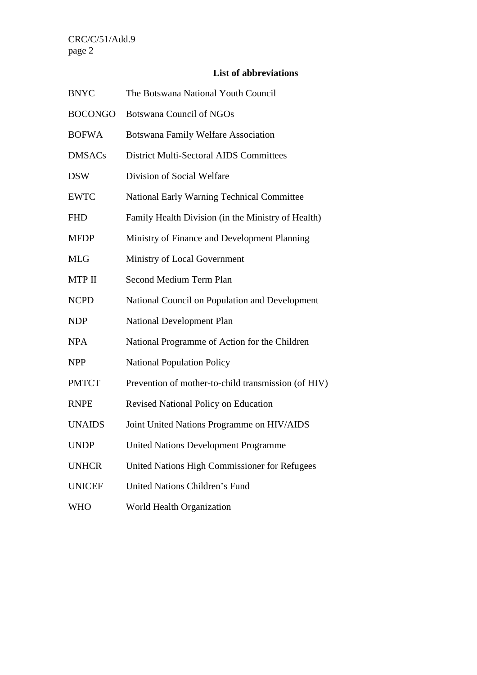# **List of abbreviations**

| <b>BNYC</b>    | The Botswana National Youth Council                 |
|----------------|-----------------------------------------------------|
| <b>BOCONGO</b> | <b>Botswana Council of NGOs</b>                     |
| <b>BOFWA</b>   | <b>Botswana Family Welfare Association</b>          |
| <b>DMSACs</b>  | <b>District Multi-Sectoral AIDS Committees</b>      |
| <b>DSW</b>     | Division of Social Welfare                          |
| <b>EWTC</b>    | <b>National Early Warning Technical Committee</b>   |
| <b>FHD</b>     | Family Health Division (in the Ministry of Health)  |
| <b>MFDP</b>    | Ministry of Finance and Development Planning        |
| <b>MLG</b>     | Ministry of Local Government                        |
| MTP II         | Second Medium Term Plan                             |
| <b>NCPD</b>    | National Council on Population and Development      |
| <b>NDP</b>     | <b>National Development Plan</b>                    |
| <b>NPA</b>     | National Programme of Action for the Children       |
| <b>NPP</b>     | <b>National Population Policy</b>                   |
| <b>PMTCT</b>   | Prevention of mother-to-child transmission (of HIV) |
| <b>RNPE</b>    | <b>Revised National Policy on Education</b>         |
| <b>UNAIDS</b>  | Joint United Nations Programme on HIV/AIDS          |
| <b>UNDP</b>    | <b>United Nations Development Programme</b>         |
| <b>UNHCR</b>   | United Nations High Commissioner for Refugees       |
| <b>UNICEF</b>  | <b>United Nations Children's Fund</b>               |
| <b>WHO</b>     | World Health Organization                           |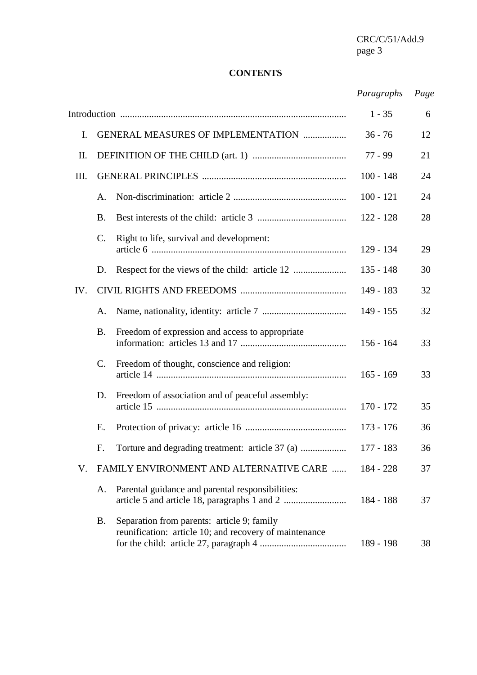## **CONTENTS**

# *Paragraphs Page*

|      |                |                                                                                                      | $1 - 35$    | 6  |
|------|----------------|------------------------------------------------------------------------------------------------------|-------------|----|
| Ι.   |                | <b>GENERAL MEASURES OF IMPLEMENTATION </b>                                                           | $36 - 76$   | 12 |
| Π.   |                |                                                                                                      | 77 - 99     | 21 |
| III. |                |                                                                                                      | $100 - 148$ | 24 |
|      | A.             |                                                                                                      | $100 - 121$ | 24 |
|      | <b>B.</b>      |                                                                                                      | $122 - 128$ | 28 |
|      | C.             | Right to life, survival and development:                                                             | $129 - 134$ | 29 |
|      | D.             |                                                                                                      | $135 - 148$ | 30 |
| IV.  |                |                                                                                                      | 149 - 183   | 32 |
|      | A.             |                                                                                                      | $149 - 155$ | 32 |
|      | <b>B.</b>      | Freedom of expression and access to appropriate                                                      | $156 - 164$ | 33 |
|      | $\mathbf{C}$ . | Freedom of thought, conscience and religion:                                                         | $165 - 169$ | 33 |
|      | D.             | Freedom of association and of peaceful assembly:                                                     | $170 - 172$ | 35 |
|      | Ε.             |                                                                                                      | 173 - 176   | 36 |
|      | F.             |                                                                                                      | 177 - 183   | 36 |
| V.   |                | FAMILY ENVIRONMENT AND ALTERNATIVE CARE                                                              | 184 - 228   | 37 |
|      | A.             | Parental guidance and parental responsibilities:                                                     | 184 - 188   | 37 |
|      | Β.             | Separation from parents: article 9; family<br>reunification: article 10; and recovery of maintenance | 189 - 198   | 38 |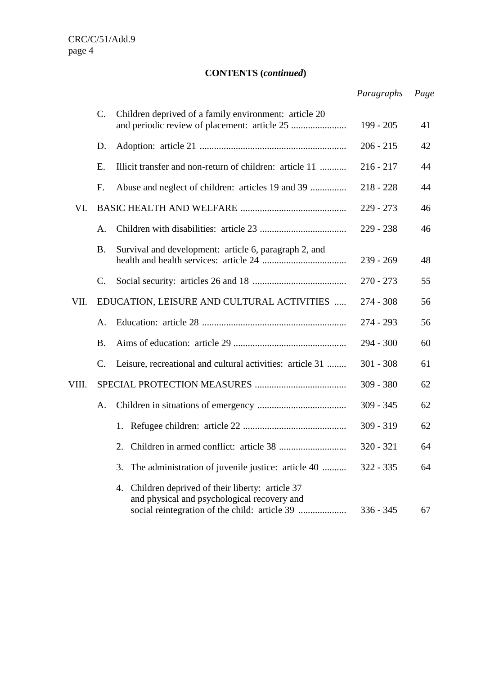# **CONTENTS (***continued***)**

|       |           |                                                                                                                                                      | Paragraphs  | Page |
|-------|-----------|------------------------------------------------------------------------------------------------------------------------------------------------------|-------------|------|
|       | C.        | Children deprived of a family environment: article 20                                                                                                | $199 - 205$ | 41   |
|       | D.        |                                                                                                                                                      | $206 - 215$ | 42   |
|       | Ε.        | Illicit transfer and non-return of children: article 11                                                                                              | $216 - 217$ | 44   |
|       | F.        | Abuse and neglect of children: articles 19 and 39                                                                                                    | $218 - 228$ | 44   |
| VI.   |           |                                                                                                                                                      | $229 - 273$ | 46   |
|       | A.        |                                                                                                                                                      | $229 - 238$ | 46   |
|       | <b>B.</b> | Survival and development: article 6, paragraph 2, and                                                                                                | $239 - 269$ | 48   |
|       | C.        |                                                                                                                                                      | $270 - 273$ | 55   |
| VII.  |           | EDUCATION, LEISURE AND CULTURAL ACTIVITIES                                                                                                           | $274 - 308$ | 56   |
|       | A.        |                                                                                                                                                      | $274 - 293$ | 56   |
|       | <b>B.</b> |                                                                                                                                                      | $294 - 300$ | 60   |
|       | C.        | Leisure, recreational and cultural activities: article 31                                                                                            | $301 - 308$ | 61   |
| VIII. |           |                                                                                                                                                      | $309 - 380$ | 62   |
|       | A.        |                                                                                                                                                      | $309 - 345$ | 62   |
|       |           | 1.                                                                                                                                                   | $309 - 319$ | 62   |
|       |           |                                                                                                                                                      | $320 - 321$ | 64   |
|       |           | The administration of juvenile justice: article 40<br>3.                                                                                             | $322 - 335$ | 64   |
|       |           | Children deprived of their liberty: article 37<br>4.<br>and physical and psychological recovery and<br>social reintegration of the child: article 39 | $336 - 345$ | 67   |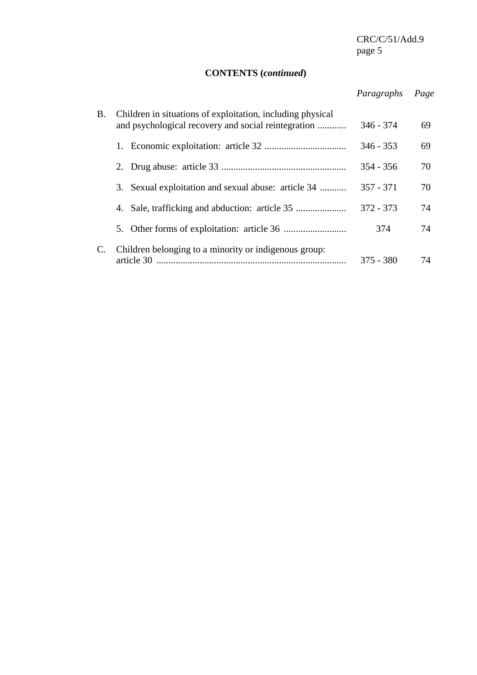# **CONTENTS (***continued***)**

# *Paragraphs Page*

| Β. | Children in situations of exploitation, including physical<br>and psychological recovery and social reintegration | $346 - 374$ | 69 |
|----|-------------------------------------------------------------------------------------------------------------------|-------------|----|
|    |                                                                                                                   | $346 - 353$ | 69 |
|    |                                                                                                                   | $354 - 356$ | 70 |
|    | 3. Sexual exploitation and sexual abuse: article 34                                                               | $357 - 371$ | 70 |
|    | 4.                                                                                                                | $372 - 373$ | 74 |
|    |                                                                                                                   | 374         | 74 |
| C. | Children belonging to a minority or indigenous group:<br>article 30                                               | $375 - 380$ | 74 |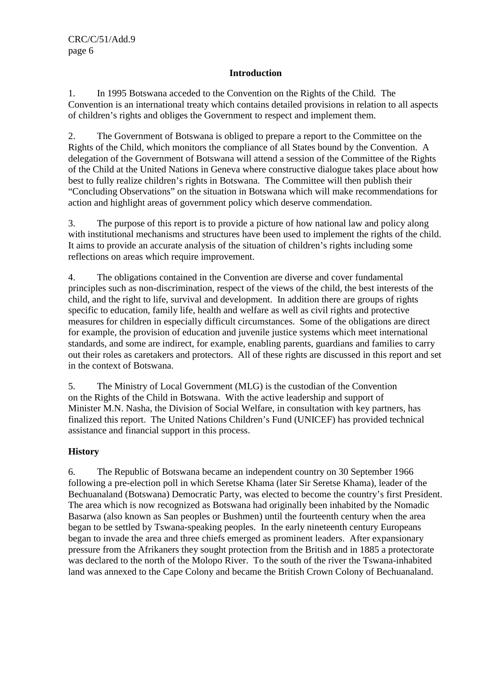### **Introduction**

1. In 1995 Botswana acceded to the Convention on the Rights of the Child. The Convention is an international treaty which contains detailed provisions in relation to all aspects of children's rights and obliges the Government to respect and implement them.

2. The Government of Botswana is obliged to prepare a report to the Committee on the Rights of the Child, which monitors the compliance of all States bound by the Convention. A delegation of the Government of Botswana will attend a session of the Committee of the Rights of the Child at the United Nations in Geneva where constructive dialogue takes place about how best to fully realize children's rights in Botswana. The Committee will then publish their "Concluding Observations" on the situation in Botswana which will make recommendations for action and highlight areas of government policy which deserve commendation.

3. The purpose of this report is to provide a picture of how national law and policy along with institutional mechanisms and structures have been used to implement the rights of the child. It aims to provide an accurate analysis of the situation of children's rights including some reflections on areas which require improvement.

4. The obligations contained in the Convention are diverse and cover fundamental principles such as non-discrimination, respect of the views of the child, the best interests of the child, and the right to life, survival and development. In addition there are groups of rights specific to education, family life, health and welfare as well as civil rights and protective measures for children in especially difficult circumstances. Some of the obligations are direct for example, the provision of education and juvenile justice systems which meet international standards, and some are indirect, for example, enabling parents, guardians and families to carry out their roles as caretakers and protectors. All of these rights are discussed in this report and set in the context of Botswana.

5. The Ministry of Local Government (MLG) is the custodian of the Convention on the Rights of the Child in Botswana. With the active leadership and support of Minister M.N. Nasha, the Division of Social Welfare, in consultation with key partners, has finalized this report. The United Nations Children's Fund (UNICEF) has provided technical assistance and financial support in this process.

#### **History**

6. The Republic of Botswana became an independent country on 30 September 1966 following a pre-election poll in which Seretse Khama (later Sir Seretse Khama), leader of the Bechuanaland (Botswana) Democratic Party, was elected to become the country's first President. The area which is now recognized as Botswana had originally been inhabited by the Nomadic Basarwa (also known as San peoples or Bushmen) until the fourteenth century when the area began to be settled by Tswana-speaking peoples. In the early nineteenth century Europeans began to invade the area and three chiefs emerged as prominent leaders. After expansionary pressure from the Afrikaners they sought protection from the British and in 1885 a protectorate was declared to the north of the Molopo River. To the south of the river the Tswana-inhabited land was annexed to the Cape Colony and became the British Crown Colony of Bechuanaland.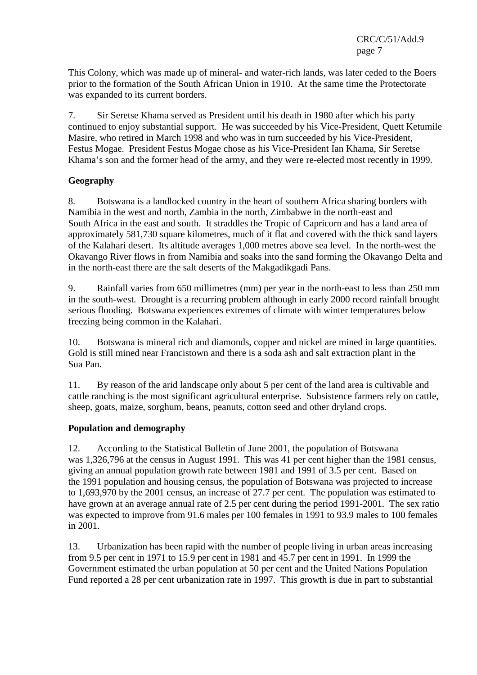This Colony, which was made up of mineral- and water-rich lands, was later ceded to the Boers prior to the formation of the South African Union in 1910. At the same time the Protectorate was expanded to its current borders.

7. Sir Seretse Khama served as President until his death in 1980 after which his party continued to enjoy substantial support. He was succeeded by his Vice-President, Quett Ketumile Masire, who retired in March 1998 and who was in turn succeeded by his Vice-President, Festus Mogae. President Festus Mogae chose as his Vice-President Ian Khama, Sir Seretse Khama's son and the former head of the army, and they were re-elected most recently in 1999.

#### **Geography**

8. Botswana is a landlocked country in the heart of southern Africa sharing borders with Namibia in the west and north, Zambia in the north, Zimbabwe in the north-east and South Africa in the east and south. It straddles the Tropic of Capricorn and has a land area of approximately 581,730 square kilometres, much of it flat and covered with the thick sand layers of the Kalahari desert. Its altitude averages 1,000 metres above sea level. In the north-west the Okavango River flows in from Namibia and soaks into the sand forming the Okavango Delta and in the north-east there are the salt deserts of the Makgadikgadi Pans.

9. Rainfall varies from 650 millimetres (mm) per year in the north-east to less than 250 mm in the south-west. Drought is a recurring problem although in early 2000 record rainfall brought serious flooding. Botswana experiences extremes of climate with winter temperatures below freezing being common in the Kalahari.

10. Botswana is mineral rich and diamonds, copper and nickel are mined in large quantities. Gold is still mined near Francistown and there is a soda ash and salt extraction plant in the Sua Pan.

11. By reason of the arid landscape only about 5 per cent of the land area is cultivable and cattle ranching is the most significant agricultural enterprise. Subsistence farmers rely on cattle, sheep, goats, maize, sorghum, beans, peanuts, cotton seed and other dryland crops.

#### **Population and demography**

12. According to the Statistical Bulletin of June 2001, the population of Botswana was 1,326,796 at the census in August 1991. This was 41 per cent higher than the 1981 census, giving an annual population growth rate between 1981 and 1991 of 3.5 per cent. Based on the 1991 population and housing census, the population of Botswana was projected to increase to 1,693,970 by the 2001 census, an increase of 27.7 per cent. The population was estimated to have grown at an average annual rate of 2.5 per cent during the period 1991-2001. The sex ratio was expected to improve from 91.6 males per 100 females in 1991 to 93.9 males to 100 females in 2001.

13. Urbanization has been rapid with the number of people living in urban areas increasing from 9.5 per cent in 1971 to 15.9 per cent in 1981 and 45.7 per cent in 1991. In 1999 the Government estimated the urban population at 50 per cent and the United Nations Population Fund reported a 28 per cent urbanization rate in 1997. This growth is due in part to substantial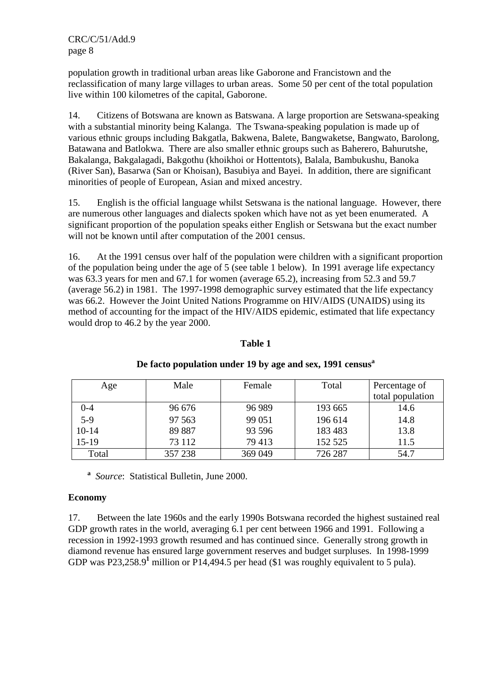population growth in traditional urban areas like Gaborone and Francistown and the reclassification of many large villages to urban areas. Some 50 per cent of the total population live within 100 kilometres of the capital, Gaborone.

14. Citizens of Botswana are known as Batswana. A large proportion are Setswana-speaking with a substantial minority being Kalanga. The Tswana-speaking population is made up of various ethnic groups including Bakgatla, Bakwena, Balete, Bangwaketse, Bangwato, Barolong, Batawana and Batlokwa. There are also smaller ethnic groups such as Baherero, Bahurutshe, Bakalanga, Bakgalagadi, Bakgothu (khoikhoi or Hottentots), Balala, Bambukushu, Banoka (River San), Basarwa (San or Khoisan), Basubiya and Bayei. In addition, there are significant minorities of people of European, Asian and mixed ancestry.

15. English is the official language whilst Setswana is the national language. However, there are numerous other languages and dialects spoken which have not as yet been enumerated. A significant proportion of the population speaks either English or Setswana but the exact number will not be known until after computation of the 2001 census.

16. At the 1991 census over half of the population were children with a significant proportion of the population being under the age of 5 (see table 1 below). In 1991 average life expectancy was 63.3 years for men and 67.1 for women (average 65.2), increasing from 52.3 and 59.7 (average 56.2) in 1981. The 1997-1998 demographic survey estimated that the life expectancy was 66.2. However the Joint United Nations Programme on HIV/AIDS (UNAIDS) using its method of accounting for the impact of the HIV/AIDS epidemic, estimated that life expectancy would drop to 46.2 by the year 2000.

#### **Table 1**

| Age     | Male    | Female  | Total   | Percentage of    |
|---------|---------|---------|---------|------------------|
|         |         |         |         | total population |
| $0 - 4$ | 96 676  | 96 989  | 193 665 | 14.6             |
| $5-9$   | 97 563  | 99 051  | 196 614 | 14.8             |
| $10-14$ | 89 887  | 93 596  | 183 483 | 13.8             |
| $15-19$ | 73 112  | 79 413  | 152 525 | 11.5             |
| Total   | 357 238 | 369 049 | 726 287 | 54.7             |

#### De facto population under 19 by age and sex, 1991 census<sup>a</sup>

 **a** *Source*:Statistical Bulletin, June 2000.

#### **Economy**

17. Between the late 1960s and the early 1990s Botswana recorded the highest sustained real GDP growth rates in the world, averaging 6.1 per cent between 1966 and 1991. Following a recession in 1992-1993 growth resumed and has continued since. Generally strong growth in diamond revenue has ensured large government reserves and budget surpluses. In 1998-1999 GDP was P23,258.9<sup>1</sup> million or P14,494.5 per head (\$1 was roughly equivalent to 5 pula).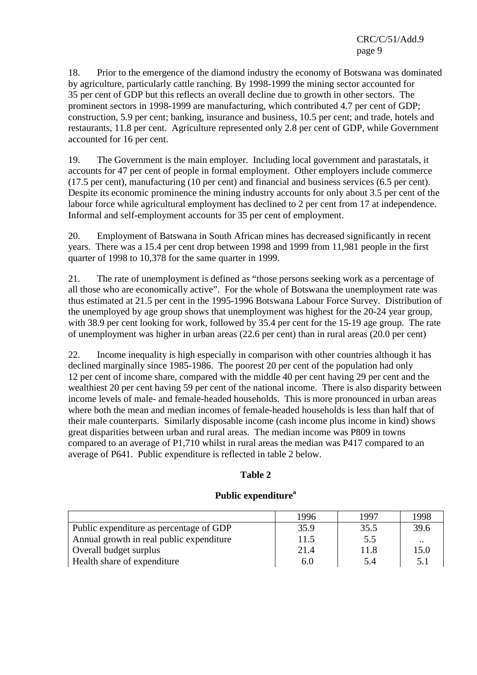18. Prior to the emergence of the diamond industry the economy of Botswana was dominated by agriculture, particularly cattle ranching. By 1998-1999 the mining sector accounted for 35 per cent of GDP but this reflects an overall decline due to growth in other sectors. The prominent sectors in 1998-1999 are manufacturing, which contributed 4.7 per cent of GDP; construction, 5.9 per cent; banking, insurance and business, 10.5 per cent; and trade, hotels and restaurants, 11.8 per cent. Agriculture represented only 2.8 per cent of GDP, while Government accounted for 16 per cent.

19. The Government is the main employer. Including local government and parastatals, it accounts for 47 per cent of people in formal employment. Other employers include commerce (17.5 per cent), manufacturing (10 per cent) and financial and business services (6.5 per cent). Despite its economic prominence the mining industry accounts for only about 3.5 per cent of the labour force while agricultural employment has declined to 2 per cent from 17 at independence. Informal and self-employment accounts for 35 per cent of employment.

20. Employment of Batswana in South African mines has decreased significantly in recent years. There was a 15.4 per cent drop between 1998 and 1999 from 11,981 people in the first quarter of 1998 to 10,378 for the same quarter in 1999.

21. The rate of unemployment is defined as "those persons seeking work as a percentage of all those who are economically active". For the whole of Botswana the unemployment rate was thus estimated at 21.5 per cent in the 1995-1996 Botswana Labour Force Survey. Distribution of the unemployed by age group shows that unemployment was highest for the 20-24 year group, with 38.9 per cent looking for work, followed by 35.4 per cent for the 15-19 age group. The rate of unemployment was higher in urban areas (22.6 per cent) than in rural areas (20.0 per cent)

22. Income inequality is high especially in comparison with other countries although it has declined marginally since 1985-1986. The poorest 20 per cent of the population had only 12 per cent of income share, compared with the middle 40 per cent having 29 per cent and the wealthiest 20 per cent having 59 per cent of the national income. There is also disparity between income levels of male- and female-headed households. This is more pronounced in urban areas where both the mean and median incomes of female-headed households is less than half that of their male counterparts. Similarly disposable income (cash income plus income in kind) shows great disparities between urban and rural areas. The median income was P809 in towns compared to an average of P1,710 whilst in rural areas the median was P417 compared to an average of P641. Public expenditure is reflected in table 2 below.

#### **Table 2**

#### Public expenditure<sup>a</sup>

|                                          | 1996 | 1997 | 1998      |
|------------------------------------------|------|------|-----------|
| Public expenditure as percentage of GDP  | 35.9 | 35.5 | 39.6      |
| Annual growth in real public expenditure | 11.5 | 5.5  | $\ddotsc$ |
| Overall budget surplus                   | 21.4 | 11.8 | 15.0      |
| Health share of expenditure              | 6.0  | 5.4  | 5.1       |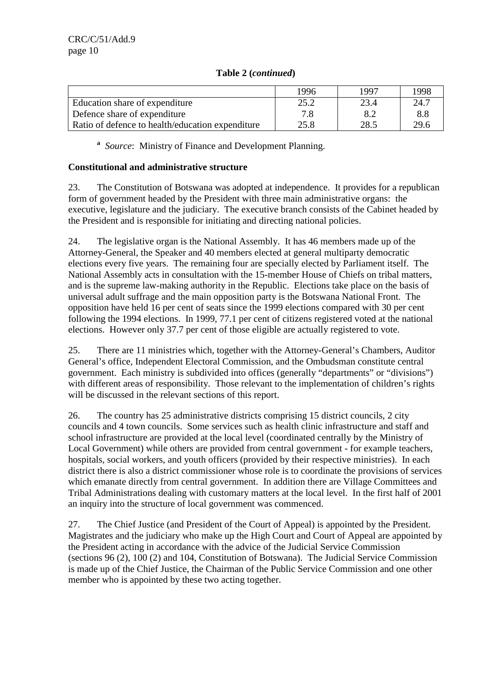|                                                  | 1996 | 1997 | 1998 |
|--------------------------------------------------|------|------|------|
| Education share of expenditure                   | 25.2 | 23.4 | 24.7 |
| Defence share of expenditure                     | 7.8  | 8.2  | 8.8  |
| Ratio of defence to health/education expenditure | 25.8 | 28.5 | 29.6 |

**a** *Source*: Ministry of Finance and Development Planning.

#### **Constitutional and administrative structure**

23. The Constitution of Botswana was adopted at independence. It provides for a republican form of government headed by the President with three main administrative organs: the executive, legislature and the judiciary. The executive branch consists of the Cabinet headed by the President and is responsible for initiating and directing national policies.

24. The legislative organ is the National Assembly. It has 46 members made up of the Attorney-General, the Speaker and 40 members elected at general multiparty democratic elections every five years. The remaining four are specially elected by Parliament itself. The National Assembly acts in consultation with the 15-member House of Chiefs on tribal matters, and is the supreme law-making authority in the Republic. Elections take place on the basis of universal adult suffrage and the main opposition party is the Botswana National Front. The opposition have held 16 per cent of seats since the 1999 elections compared with 30 per cent following the 1994 elections. In 1999, 77.1 per cent of citizens registered voted at the national elections. However only 37.7 per cent of those eligible are actually registered to vote.

25. There are 11 ministries which, together with the Attorney-General's Chambers, Auditor General's office, Independent Electoral Commission, and the Ombudsman constitute central government. Each ministry is subdivided into offices (generally "departments" or "divisions") with different areas of responsibility. Those relevant to the implementation of children's rights will be discussed in the relevant sections of this report.

26. The country has 25 administrative districts comprising 15 district councils, 2 city councils and 4 town councils. Some services such as health clinic infrastructure and staff and school infrastructure are provided at the local level (coordinated centrally by the Ministry of Local Government) while others are provided from central government - for example teachers, hospitals, social workers, and youth officers (provided by their respective ministries). In each district there is also a district commissioner whose role is to coordinate the provisions of services which emanate directly from central government. In addition there are Village Committees and Tribal Administrations dealing with customary matters at the local level. In the first half of 2001 an inquiry into the structure of local government was commenced.

27. The Chief Justice (and President of the Court of Appeal) is appointed by the President. Magistrates and the judiciary who make up the High Court and Court of Appeal are appointed by the President acting in accordance with the advice of the Judicial Service Commission (sections 96 (2), 100 (2) and 104, Constitution of Botswana). The Judicial Service Commission is made up of the Chief Justice, the Chairman of the Public Service Commission and one other member who is appointed by these two acting together.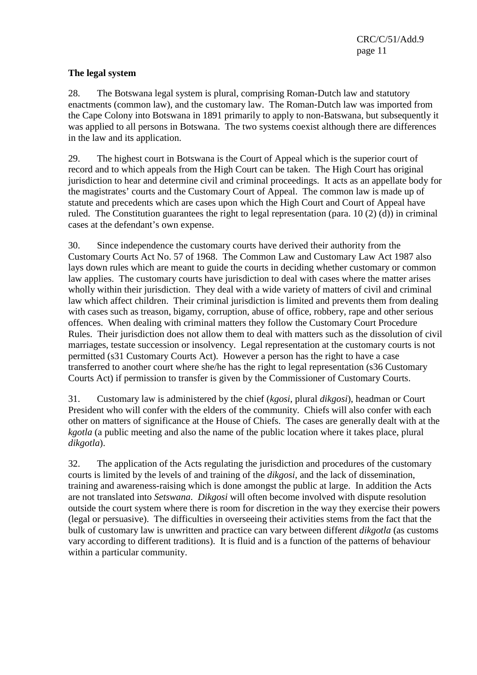### **The legal system**

28. The Botswana legal system is plural, comprising Roman-Dutch law and statutory enactments (common law), and the customary law. The Roman-Dutch law was imported from the Cape Colony into Botswana in 1891 primarily to apply to non-Batswana, but subsequently it was applied to all persons in Botswana. The two systems coexist although there are differences in the law and its application.

29. The highest court in Botswana is the Court of Appeal which is the superior court of record and to which appeals from the High Court can be taken. The High Court has original jurisdiction to hear and determine civil and criminal proceedings. It acts as an appellate body for the magistrates' courts and the Customary Court of Appeal. The common law is made up of statute and precedents which are cases upon which the High Court and Court of Appeal have ruled. The Constitution guarantees the right to legal representation (para. 10 (2) (d)) in criminal cases at the defendant's own expense.

30. Since independence the customary courts have derived their authority from the Customary Courts Act No. 57 of 1968. The Common Law and Customary Law Act 1987 also lays down rules which are meant to guide the courts in deciding whether customary or common law applies. The customary courts have jurisdiction to deal with cases where the matter arises wholly within their jurisdiction. They deal with a wide variety of matters of civil and criminal law which affect children. Their criminal jurisdiction is limited and prevents them from dealing with cases such as treason, bigamy, corruption, abuse of office, robbery, rape and other serious offences. When dealing with criminal matters they follow the Customary Court Procedure Rules. Their jurisdiction does not allow them to deal with matters such as the dissolution of civil marriages, testate succession or insolvency. Legal representation at the customary courts is not permitted (s31 Customary Courts Act). However a person has the right to have a case transferred to another court where she/he has the right to legal representation (s36 Customary Courts Act) if permission to transfer is given by the Commissioner of Customary Courts.

31. Customary law is administered by the chief (*kgosi*, plural *dikgosi*), headman or Court President who will confer with the elders of the community. Chiefs will also confer with each other on matters of significance at the House of Chiefs. The cases are generally dealt with at the *kgotla* (a public meeting and also the name of the public location where it takes place, plural *dikgotla*).

32. The application of the Acts regulating the jurisdiction and procedures of the customary courts is limited by the levels of and training of the *dikgosi*, and the lack of dissemination, training and awareness-raising which is done amongst the public at large. In addition the Acts are not translated into *Setswana*. *Dikgosi* will often become involved with dispute resolution outside the court system where there is room for discretion in the way they exercise their powers (legal or persuasive). The difficulties in overseeing their activities stems from the fact that the bulk of customary law is unwritten and practice can vary between different *dikgotla* (as customs vary according to different traditions). It is fluid and is a function of the patterns of behaviour within a particular community.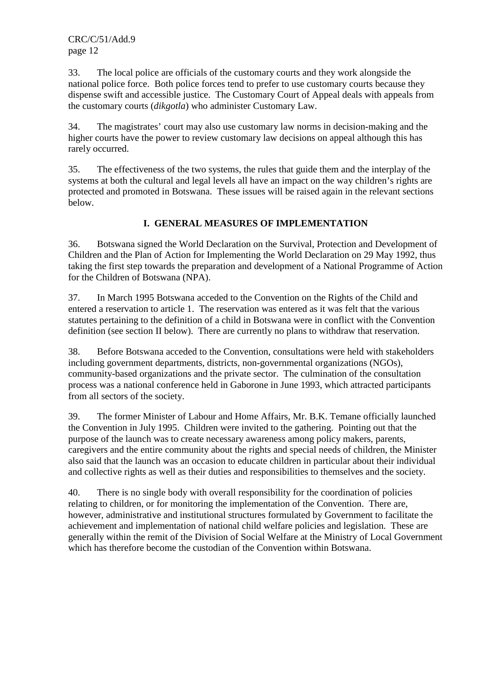33. The local police are officials of the customary courts and they work alongside the national police force. Both police forces tend to prefer to use customary courts because they dispense swift and accessible justice. The Customary Court of Appeal deals with appeals from the customary courts (*dikgotla*) who administer Customary Law.

34. The magistrates' court may also use customary law norms in decision-making and the higher courts have the power to review customary law decisions on appeal although this has rarely occurred.

35. The effectiveness of the two systems, the rules that guide them and the interplay of the systems at both the cultural and legal levels all have an impact on the way children's rights are protected and promoted in Botswana. These issues will be raised again in the relevant sections below.

## **I. GENERAL MEASURES OF IMPLEMENTATION**

36. Botswana signed the World Declaration on the Survival, Protection and Development of Children and the Plan of Action for Implementing the World Declaration on 29 May 1992, thus taking the first step towards the preparation and development of a National Programme of Action for the Children of Botswana (NPA).

37. In March 1995 Botswana acceded to the Convention on the Rights of the Child and entered a reservation to article 1. The reservation was entered as it was felt that the various statutes pertaining to the definition of a child in Botswana were in conflict with the Convention definition (see section II below). There are currently no plans to withdraw that reservation.

38. Before Botswana acceded to the Convention, consultations were held with stakeholders including government departments, districts, non-governmental organizations (NGOs), community-based organizations and the private sector. The culmination of the consultation process was a national conference held in Gaborone in June 1993, which attracted participants from all sectors of the society.

39. The former Minister of Labour and Home Affairs, Mr. B.K. Temane officially launched the Convention in July 1995. Children were invited to the gathering. Pointing out that the purpose of the launch was to create necessary awareness among policy makers, parents, caregivers and the entire community about the rights and special needs of children, the Minister also said that the launch was an occasion to educate children in particular about their individual and collective rights as well as their duties and responsibilities to themselves and the society.

40. There is no single body with overall responsibility for the coordination of policies relating to children, or for monitoring the implementation of the Convention. There are, however, administrative and institutional structures formulated by Government to facilitate the achievement and implementation of national child welfare policies and legislation. These are generally within the remit of the Division of Social Welfare at the Ministry of Local Government which has therefore become the custodian of the Convention within Botswana.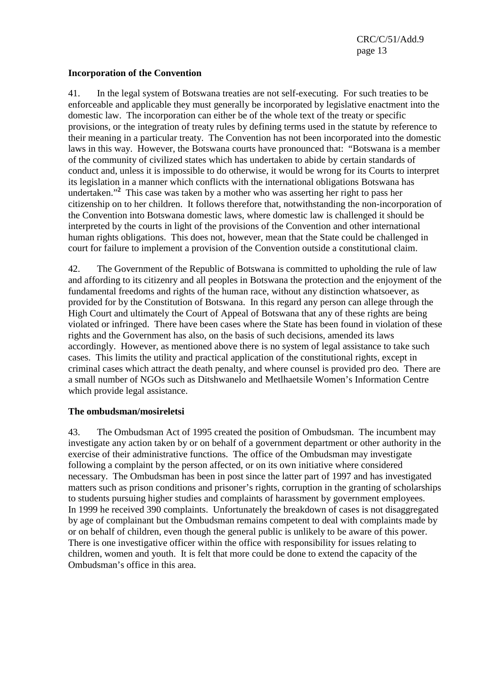#### **Incorporation of the Convention**

41. In the legal system of Botswana treaties are not self-executing. For such treaties to be enforceable and applicable they must generally be incorporated by legislative enactment into the domestic law. The incorporation can either be of the whole text of the treaty or specific provisions, or the integration of treaty rules by defining terms used in the statute by reference to their meaning in a particular treaty. The Convention has not been incorporated into the domestic laws in this way. However, the Botswana courts have pronounced that: "Botswana is a member of the community of civilized states which has undertaken to abide by certain standards of conduct and, unless it is impossible to do otherwise, it would be wrong for its Courts to interpret its legislation in a manner which conflicts with the international obligations Botswana has undertaken."**<sup>2</sup>** This case was taken by a mother who was asserting her right to pass her citizenship on to her children. It follows therefore that, notwithstanding the non-incorporation of the Convention into Botswana domestic laws, where domestic law is challenged it should be interpreted by the courts in light of the provisions of the Convention and other international human rights obligations. This does not, however, mean that the State could be challenged in court for failure to implement a provision of the Convention outside a constitutional claim.

42. The Government of the Republic of Botswana is committed to upholding the rule of law and affording to its citizenry and all peoples in Botswana the protection and the enjoyment of the fundamental freedoms and rights of the human race, without any distinction whatsoever, as provided for by the Constitution of Botswana. In this regard any person can allege through the High Court and ultimately the Court of Appeal of Botswana that any of these rights are being violated or infringed. There have been cases where the State has been found in violation of these rights and the Government has also, on the basis of such decisions, amended its laws accordingly.However, as mentioned above there is no system of legal assistance to take such cases. This limits the utility and practical application of the constitutional rights, except in criminal cases which attract the death penalty, and where counsel is provided pro deo*.* There are a small number of NGOs such as Ditshwanelo and Metlhaetsile Women's Information Centre which provide legal assistance.

#### **The ombudsman/mosireletsi**

43. The Ombudsman Act of 1995 created the position of Ombudsman. The incumbent may investigate any action taken by or on behalf of a government department or other authority in the exercise of their administrative functions. The office of the Ombudsman may investigate following a complaint by the person affected, or on its own initiative where considered necessary. The Ombudsman has been in post since the latter part of 1997 and has investigated matters such as prison conditions and prisoner's rights, corruption in the granting of scholarships to students pursuing higher studies and complaints of harassment by government employees. In 1999 he received 390 complaints. Unfortunately the breakdown of cases is not disaggregated by age of complainant but the Ombudsman remains competent to deal with complaints made by or on behalf of children, even though the general public is unlikely to be aware of this power. There is one investigative officer within the office with responsibility for issues relating to children, women and youth. It is felt that more could be done to extend the capacity of the Ombudsman's office in this area.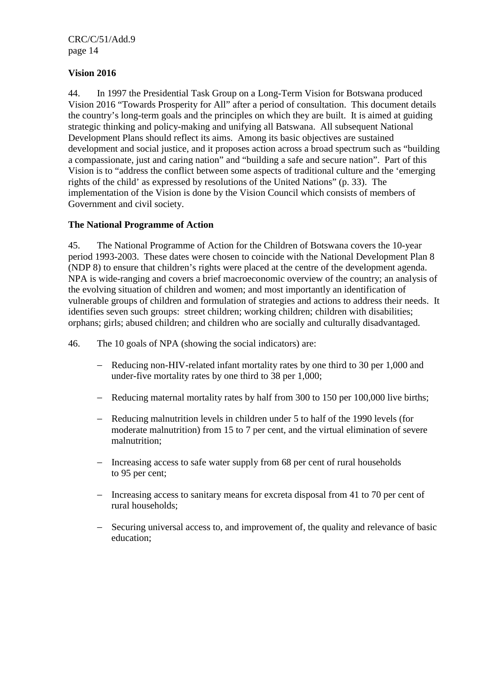#### **Vision 2016**

44. In 1997 the Presidential Task Group on a Long-Term Vision for Botswana produced Vision 2016 "Towards Prosperity for All" after a period of consultation. This document details the country's long-term goals and the principles on which they are built. It is aimed at guiding strategic thinking and policy-making and unifying all Batswana. All subsequent National Development Plans should reflect its aims. Among its basic objectives are sustained development and social justice, and it proposes action across a broad spectrum such as "building a compassionate, just and caring nation" and "building a safe and secure nation". Part of this Vision is to "address the conflict between some aspects of traditional culture and the 'emerging rights of the child' as expressed by resolutions of the United Nations" (p. 33). The implementation of the Vision is done by the Vision Council which consists of members of Government and civil society.

#### **The National Programme of Action**

45. The National Programme of Action for the Children of Botswana covers the 10-year period 1993-2003. These dates were chosen to coincide with the National Development Plan 8 (NDP 8) to ensure that children's rights were placed at the centre of the development agenda. NPA is wide-ranging and covers a brief macroeconomic overview of the country; an analysis of the evolving situation of children and women; and most importantly an identification of vulnerable groups of children and formulation of strategies and actions to address their needs. It identifies seven such groups: street children; working children; children with disabilities; orphans; girls; abused children; and children who are socially and culturally disadvantaged.

- 46. The 10 goals of NPA (showing the social indicators) are:
	- − Reducing non-HIV-related infant mortality rates by one third to 30 per 1,000 and under-five mortality rates by one third to 38 per 1,000;
	- − Reducing maternal mortality rates by half from 300 to 150 per 100,000 live births;
	- − Reducing malnutrition levels in children under 5 to half of the 1990 levels (for moderate malnutrition) from 15 to 7 per cent, and the virtual elimination of severe malnutrition;
	- − Increasing access to safe water supply from 68 per cent of rural households to 95 per cent;
	- − Increasing access to sanitary means for excreta disposal from 41 to 70 per cent of rural households;
	- − Securing universal access to, and improvement of, the quality and relevance of basic education;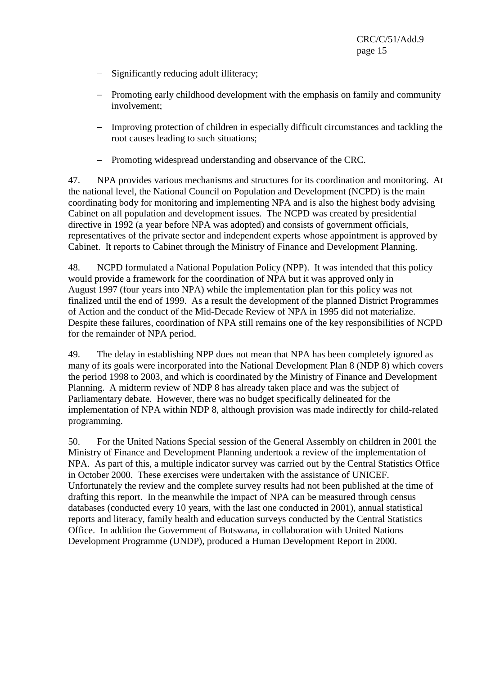- − Significantly reducing adult illiteracy;
- − Promoting early childhood development with the emphasis on family and community involvement;
- − Improving protection of children in especially difficult circumstances and tackling the root causes leading to such situations;
- − Promoting widespread understanding and observance of the CRC.

47. NPA provides various mechanisms and structures for its coordination and monitoring. At the national level, the National Council on Population and Development (NCPD) is the main coordinating body for monitoring and implementing NPA and is also the highest body advising Cabinet on all population and development issues. The NCPD was created by presidential directive in 1992 (a year before NPA was adopted) and consists of government officials, representatives of the private sector and independent experts whose appointment is approved by Cabinet. It reports to Cabinet through the Ministry of Finance and Development Planning.

48. NCPD formulated a National Population Policy (NPP). It was intended that this policy would provide a framework for the coordination of NPA but it was approved only in August 1997 (four years into NPA) while the implementation plan for this policy was not finalized until the end of 1999. As a result the development of the planned District Programmes of Action and the conduct of the Mid-Decade Review of NPA in 1995 did not materialize. Despite these failures, coordination of NPA still remains one of the key responsibilities of NCPD for the remainder of NPA period.

49. The delay in establishing NPP does not mean that NPA has been completely ignored as many of its goals were incorporated into the National Development Plan 8 (NDP 8) which covers the period 1998 to 2003, and which is coordinated by the Ministry of Finance and Development Planning. A midterm review of NDP 8 has already taken place and was the subject of Parliamentary debate. However, there was no budget specifically delineated for the implementation of NPA within NDP 8, although provision was made indirectly for child-related programming.

50. For the United Nations Special session of the General Assembly on children in 2001 the Ministry of Finance and Development Planning undertook a review of the implementation of NPA. As part of this, a multiple indicator survey was carried out by the Central Statistics Office in October 2000. These exercises were undertaken with the assistance of UNICEF. Unfortunately the review and the complete survey results had not been published at the time of drafting this report. In the meanwhile the impact of NPA can be measured through census databases (conducted every 10 years, with the last one conducted in 2001), annual statistical reports and literacy, family health and education surveys conducted by the Central Statistics Office. In addition the Government of Botswana, in collaboration with United Nations Development Programme (UNDP), produced a Human Development Report in 2000.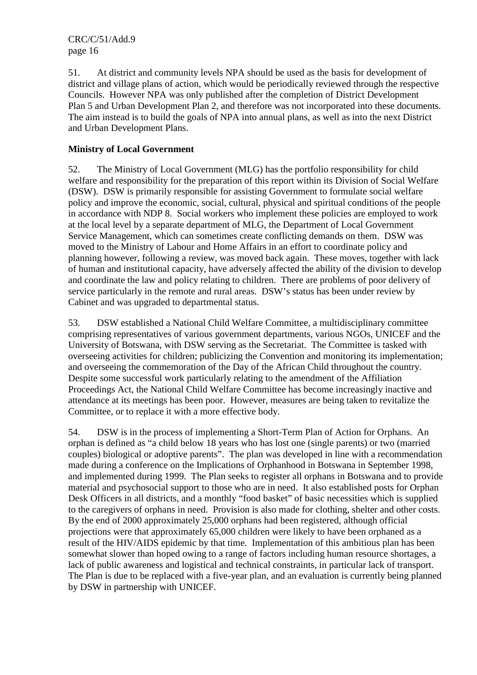51. At district and community levels NPA should be used as the basis for development of district and village plans of action, which would be periodically reviewed through the respective Councils. However NPA was only published after the completion of District Development Plan 5 and Urban Development Plan 2, and therefore was not incorporated into these documents. The aim instead is to build the goals of NPA into annual plans, as well as into the next District and Urban Development Plans.

### **Ministry of Local Government**

52. The Ministry of Local Government (MLG) has the portfolio responsibility for child welfare and responsibility for the preparation of this report within its Division of Social Welfare (DSW). DSW is primarily responsible for assisting Government to formulate social welfare policy and improve the economic, social, cultural, physical and spiritual conditions of the people in accordance with NDP 8. Social workers who implement these policies are employed to work at the local level by a separate department of MLG, the Department of Local Government Service Management, which can sometimes create conflicting demands on them. DSW was moved to the Ministry of Labour and Home Affairs in an effort to coordinate policy and planning however, following a review, was moved back again. These moves, together with lack of human and institutional capacity, have adversely affected the ability of the division to develop and coordinate the law and policy relating to children. There are problems of poor delivery of service particularly in the remote and rural areas. DSW's status has been under review by Cabinet and was upgraded to departmental status.

53. DSW established a National Child Welfare Committee, a multidisciplinary committee comprising representatives of various government departments, various NGOs, UNICEF and the University of Botswana, with DSW serving as the Secretariat. The Committee is tasked with overseeing activities for children; publicizing the Convention and monitoring its implementation; and overseeing the commemoration of the Day of the African Child throughout the country. Despite some successful work particularly relating to the amendment of the Affiliation Proceedings Act, the National Child Welfare Committee has become increasingly inactive and attendance at its meetings has been poor. However, measures are being taken to revitalize the Committee, or to replace it with a more effective body.

54. DSW is in the process of implementing a Short-Term Plan of Action for Orphans. An orphan is defined as "a child below 18 years who has lost one (single parents) or two (married couples) biological or adoptive parents". The plan was developed in line with a recommendation made during a conference on the Implications of Orphanhood in Botswana in September 1998, and implemented during 1999. The Plan seeks to register all orphans in Botswana and to provide material and psychosocial support to those who are in need. It also established posts for Orphan Desk Officers in all districts, and a monthly "food basket" of basic necessities which is supplied to the caregivers of orphans in need. Provision is also made for clothing, shelter and other costs. By the end of 2000 approximately 25,000 orphans had been registered, although official projections were that approximately 65,000 children were likely to have been orphaned as a result of the HIV/AIDS epidemic by that time. Implementation of this ambitious plan has been somewhat slower than hoped owing to a range of factors including human resource shortages, a lack of public awareness and logistical and technical constraints, in particular lack of transport. The Plan is due to be replaced with a five-year plan, and an evaluation is currently being planned by DSW in partnership with UNICEF.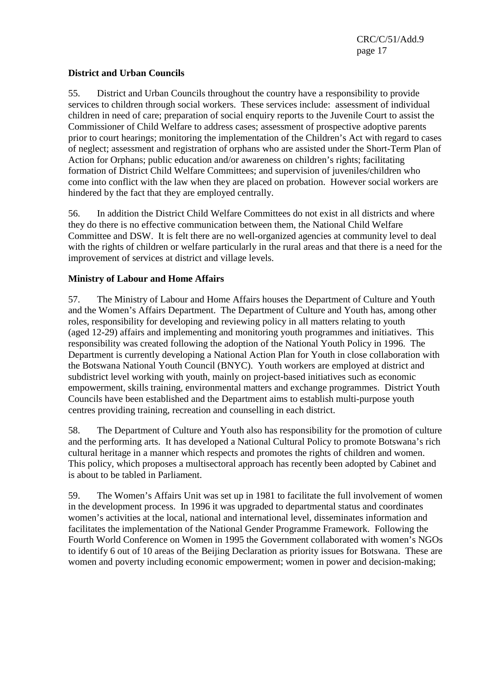#### **District and Urban Councils**

55. District and Urban Councils throughout the country have a responsibility to provide services to children through social workers. These services include: assessment of individual children in need of care; preparation of social enquiry reports to the Juvenile Court to assist the Commissioner of Child Welfare to address cases; assessment of prospective adoptive parents prior to court hearings; monitoring the implementation of the Children's Act with regard to cases of neglect; assessment and registration of orphans who are assisted under the Short-Term Plan of Action for Orphans; public education and/or awareness on children's rights; facilitating formation of District Child Welfare Committees; and supervision of juveniles/children who come into conflict with the law when they are placed on probation. However social workers are hindered by the fact that they are employed centrally.

56. In addition the District Child Welfare Committees do not exist in all districts and where they do there is no effective communication between them, the National Child Welfare Committee and DSW. It is felt there are no well-organized agencies at community level to deal with the rights of children or welfare particularly in the rural areas and that there is a need for the improvement of services at district and village levels.

### **Ministry of Labour and Home Affairs**

57. The Ministry of Labour and Home Affairs houses the Department of Culture and Youth and the Women's Affairs Department. The Department of Culture and Youth has, among other roles, responsibility for developing and reviewing policy in all matters relating to youth (aged 12-29) affairs and implementing and monitoring youth programmes and initiatives. This responsibility was created following the adoption of the National Youth Policy in 1996. The Department is currently developing a National Action Plan for Youth in close collaboration with the Botswana National Youth Council (BNYC). Youth workers are employed at district and subdistrict level working with youth, mainly on project-based initiatives such as economic empowerment, skills training, environmental matters and exchange programmes. District Youth Councils have been established and the Department aims to establish multi-purpose youth centres providing training, recreation and counselling in each district.

58. The Department of Culture and Youth also has responsibility for the promotion of culture and the performing arts. It has developed a National Cultural Policy to promote Botswana's rich cultural heritage in a manner which respects and promotes the rights of children and women. This policy, which proposes a multisectoral approach has recently been adopted by Cabinet and is about to be tabled in Parliament.

59. The Women's Affairs Unit was set up in 1981 to facilitate the full involvement of women in the development process. In 1996 it was upgraded to departmental status and coordinates women's activities at the local, national and international level, disseminates information and facilitates the implementation of the National Gender Programme Framework. Following the Fourth World Conference on Women in 1995 the Government collaborated with women's NGOs to identify 6 out of 10 areas of the Beijing Declaration as priority issues for Botswana. These are women and poverty including economic empowerment; women in power and decision-making;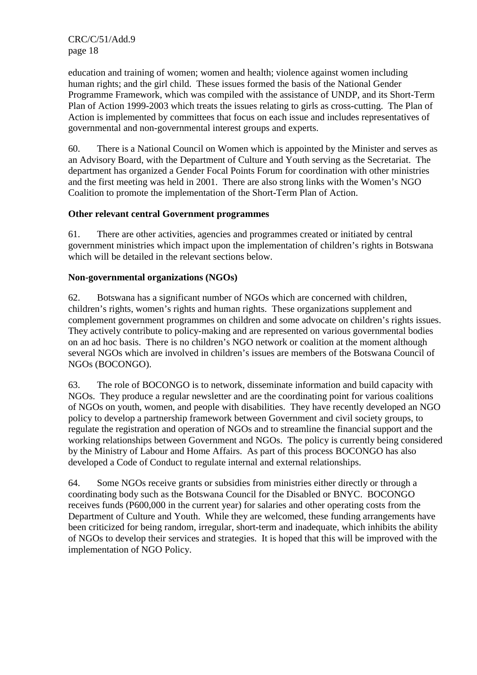education and training of women; women and health; violence against women including human rights; and the girl child. These issues formed the basis of the National Gender Programme Framework, which was compiled with the assistance of UNDP, and its Short-Term Plan of Action 1999-2003 which treats the issues relating to girls as cross-cutting. The Plan of Action is implemented by committees that focus on each issue and includes representatives of governmental and non-governmental interest groups and experts.

60. There is a National Council on Women which is appointed by the Minister and serves as an Advisory Board, with the Department of Culture and Youth serving as the Secretariat. The department has organized a Gender Focal Points Forum for coordination with other ministries and the first meeting was held in 2001. There are also strong links with the Women's NGO Coalition to promote the implementation of the Short-Term Plan of Action.

#### **Other relevant central Government programmes**

61. There are other activities, agencies and programmes created or initiated by central government ministries which impact upon the implementation of children's rights in Botswana which will be detailed in the relevant sections below.

#### **Non-governmental organizations (NGOs)**

62. Botswana has a significant number of NGOs which are concerned with children, children's rights, women's rights and human rights. These organizations supplement and complement government programmes on children and some advocate on children's rights issues. They actively contribute to policy-making and are represented on various governmental bodies on an ad hoc basis. There is no children's NGO network or coalition at the moment although several NGOs which are involved in children's issues are members of the Botswana Council of NGOs (BOCONGO).

63. The role of BOCONGO is to network, disseminate information and build capacity with NGOs. They produce a regular newsletter and are the coordinating point for various coalitions of NGOs on youth, women, and people with disabilities. They have recently developed an NGO policy to develop a partnership framework between Government and civil society groups, to regulate the registration and operation of NGOs and to streamline the financial support and the working relationships between Government and NGOs. The policy is currently being considered by the Ministry of Labour and Home Affairs. As part of this process BOCONGO has also developed a Code of Conduct to regulate internal and external relationships.

64. Some NGOs receive grants or subsidies from ministries either directly or through a coordinating body such as the Botswana Council for the Disabled or BNYC. BOCONGO receives funds (P600,000 in the current year) for salaries and other operating costs from the Department of Culture and Youth. While they are welcomed, these funding arrangements have been criticized for being random, irregular, short-term and inadequate, which inhibits the ability of NGOs to develop their services and strategies. It is hoped that this will be improved with the implementation of NGO Policy.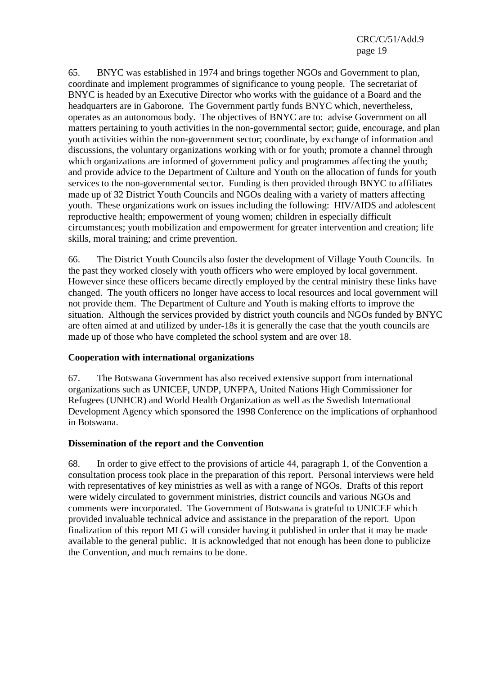65. BNYC was established in 1974 and brings together NGOs and Government to plan, coordinate and implement programmes of significance to young people. The secretariat of BNYC is headed by an Executive Director who works with the guidance of a Board and the headquarters are in Gaborone. The Government partly funds BNYC which, nevertheless, operates as an autonomous body. The objectives of BNYC are to: advise Government on all matters pertaining to youth activities in the non-governmental sector; guide, encourage, and plan youth activities within the non-government sector; coordinate, by exchange of information and discussions, the voluntary organizations working with or for youth; promote a channel through which organizations are informed of government policy and programmes affecting the youth; and provide advice to the Department of Culture and Youth on the allocation of funds for youth services to the non-governmental sector. Funding is then provided through BNYC to affiliates made up of 32 District Youth Councils and NGOs dealing with a variety of matters affecting youth. These organizations work on issues including the following: HIV/AIDS and adolescent reproductive health; empowerment of young women; children in especially difficult circumstances; youth mobilization and empowerment for greater intervention and creation; life skills, moral training; and crime prevention.

66. The District Youth Councils also foster the development of Village Youth Councils. In the past they worked closely with youth officers who were employed by local government. However since these officers became directly employed by the central ministry these links have changed. The youth officers no longer have access to local resources and local government will not provide them. The Department of Culture and Youth is making efforts to improve the situation. Although the services provided by district youth councils and NGOs funded by BNYC are often aimed at and utilized by under-18s it is generally the case that the youth councils are made up of those who have completed the school system and are over 18.

#### **Cooperation with international organizations**

67. The Botswana Government has also received extensive support from international organizations such as UNICEF, UNDP, UNFPA, United Nations High Commissioner for Refugees (UNHCR) and World Health Organization as well as the Swedish International Development Agency which sponsored the 1998 Conference on the implications of orphanhood in Botswana.

#### **Dissemination of the report and the Convention**

68. In order to give effect to the provisions of article 44, paragraph 1, of the Convention a consultation process took place in the preparation of this report. Personal interviews were held with representatives of key ministries as well as with a range of NGOs. Drafts of this report were widely circulated to government ministries, district councils and various NGOs and comments were incorporated. The Government of Botswana is grateful to UNICEF which provided invaluable technical advice and assistance in the preparation of the report. Upon finalization of this report MLG will consider having it published in order that it may be made available to the general public. It is acknowledged that not enough has been done to publicize the Convention, and much remains to be done.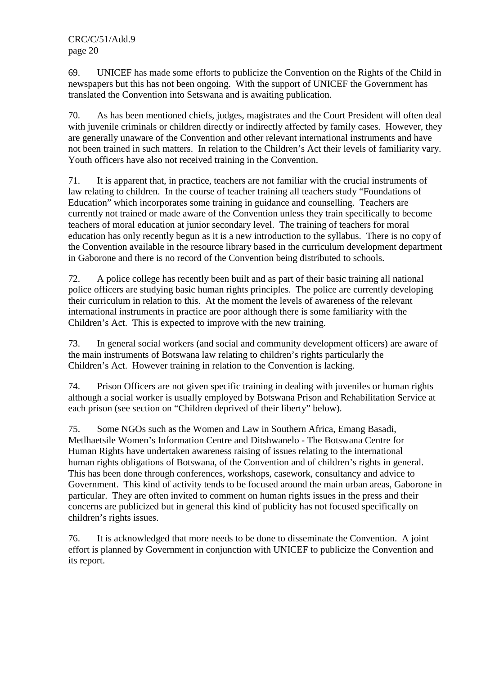69. UNICEF has made some efforts to publicize the Convention on the Rights of the Child in newspapers but this has not been ongoing. With the support of UNICEF the Government has translated the Convention into Setswana and is awaiting publication.

70. As has been mentioned chiefs, judges, magistrates and the Court President will often deal with juvenile criminals or children directly or indirectly affected by family cases. However, they are generally unaware of the Convention and other relevant international instruments and have not been trained in such matters. In relation to the Children's Act their levels of familiarity vary. Youth officers have also not received training in the Convention.

71. It is apparent that, in practice, teachers are not familiar with the crucial instruments of law relating to children. In the course of teacher training all teachers study "Foundations of Education" which incorporates some training in guidance and counselling. Teachers are currently not trained or made aware of the Convention unless they train specifically to become teachers of moral education at junior secondary level. The training of teachers for moral education has only recently begun as it is a new introduction to the syllabus. There is no copy of the Convention available in the resource library based in the curriculum development department in Gaborone and there is no record of the Convention being distributed to schools.

72. A police college has recently been built and as part of their basic training all national police officers are studying basic human rights principles. The police are currently developing their curriculum in relation to this. At the moment the levels of awareness of the relevant international instruments in practice are poor although there is some familiarity with the Children's Act. This is expected to improve with the new training.

73. In general social workers (and social and community development officers) are aware of the main instruments of Botswana law relating to children's rights particularly the Children's Act. However training in relation to the Convention is lacking.

74. Prison Officers are not given specific training in dealing with juveniles or human rights although a social worker is usually employed by Botswana Prison and Rehabilitation Service at each prison (see section on "Children deprived of their liberty" below).

75. Some NGOs such as the Women and Law in Southern Africa, Emang Basadi, Metlhaetsile Women's Information Centre and Ditshwanelo - The Botswana Centre for Human Rights have undertaken awareness raising of issues relating to the international human rights obligations of Botswana, of the Convention and of children's rights in general. This has been done through conferences, workshops, casework, consultancy and advice to Government. This kind of activity tends to be focused around the main urban areas, Gaborone in particular. They are often invited to comment on human rights issues in the press and their concerns are publicized but in general this kind of publicity has not focused specifically on children's rights issues.

76. It is acknowledged that more needs to be done to disseminate the Convention. A joint effort is planned by Government in conjunction with UNICEF to publicize the Convention and its report.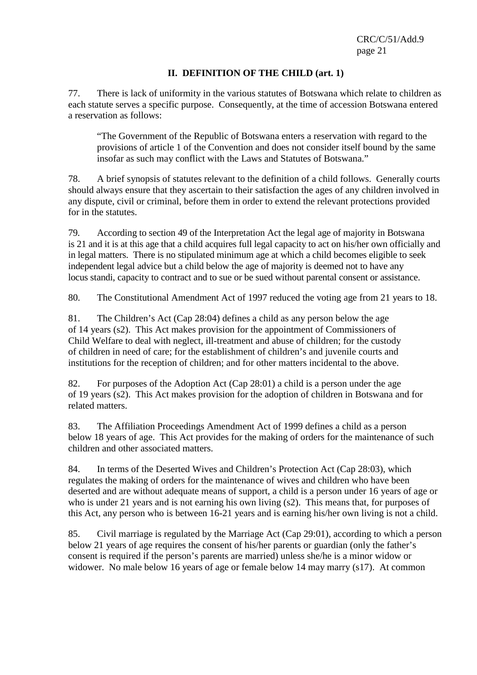### **II. DEFINITION OF THE CHILD (art. 1)**

77. There is lack of uniformity in the various statutes of Botswana which relate to children as each statute serves a specific purpose. Consequently, at the time of accession Botswana entered a reservation as follows:

"The Government of the Republic of Botswana enters a reservation with regard to the provisions of article 1 of the Convention and does not consider itself bound by the same insofar as such may conflict with the Laws and Statutes of Botswana."

78. A brief synopsis of statutes relevant to the definition of a child follows. Generally courts should always ensure that they ascertain to their satisfaction the ages of any children involved in any dispute, civil or criminal, before them in order to extend the relevant protections provided for in the statutes.

79. According to section 49 of the Interpretation Act the legal age of majority in Botswana is 21 and it is at this age that a child acquires full legal capacity to act on his/her own officially and in legal matters. There is no stipulated minimum age at which a child becomes eligible to seek independent legal advice but a child below the age of majority is deemed not to have any locus standi, capacity to contract and to sue or be sued without parental consent or assistance.

80. The Constitutional Amendment Act of 1997 reduced the voting age from 21 years to 18.

81. The Children's Act (Cap 28:04) defines a child as any person below the age of 14 years (s2). This Act makes provision for the appointment of Commissioners of Child Welfare to deal with neglect, ill-treatment and abuse of children; for the custody of children in need of care; for the establishment of children's and juvenile courts and institutions for the reception of children; and for other matters incidental to the above.

82. For purposes of the Adoption Act (Cap 28:01) a child is a person under the age of 19 years (s2). This Act makes provision for the adoption of children in Botswana and for related matters.

83. The Affiliation Proceedings Amendment Act of 1999 defines a child as a person below 18 years of age. This Act provides for the making of orders for the maintenance of such children and other associated matters.

84. In terms of the Deserted Wives and Children's Protection Act (Cap 28:03), which regulates the making of orders for the maintenance of wives and children who have been deserted and are without adequate means of support, a child is a person under 16 years of age or who is under 21 years and is not earning his own living (s2). This means that, for purposes of this Act, any person who is between 16-21 years and is earning his/her own living is not a child.

85. Civil marriage is regulated by the Marriage Act (Cap 29:01), according to which a person below 21 years of age requires the consent of his/her parents or guardian (only the father's consent is required if the person's parents are married) unless she/he is a minor widow or widower. No male below 16 years of age or female below 14 may marry (s17). At common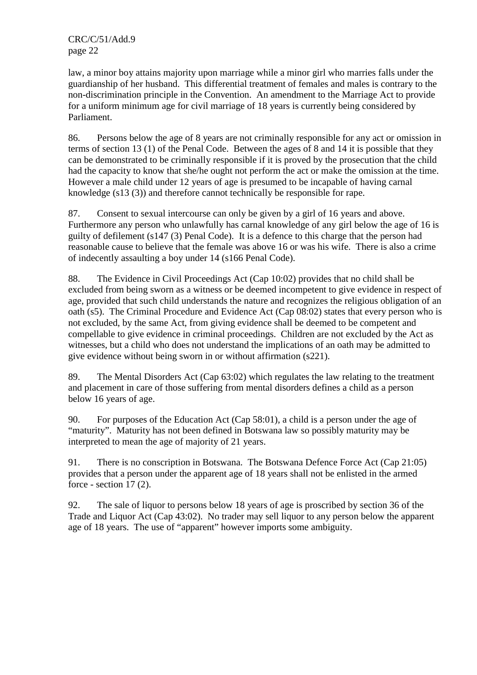law, a minor boy attains majority upon marriage while a minor girl who marries falls under the guardianship of her husband. This differential treatment of females and males is contrary to the non-discrimination principle in the Convention. An amendment to the Marriage Act to provide for a uniform minimum age for civil marriage of 18 years is currently being considered by Parliament.

86. Persons below the age of 8 years are not criminally responsible for any act or omission in terms of section 13 (1) of the Penal Code. Between the ages of 8 and 14 it is possible that they can be demonstrated to be criminally responsible if it is proved by the prosecution that the child had the capacity to know that she/he ought not perform the act or make the omission at the time. However a male child under 12 years of age is presumed to be incapable of having carnal knowledge (s13 (3)) and therefore cannot technically be responsible for rape.

87. Consent to sexual intercourse can only be given by a girl of 16 years and above. Furthermore any person who unlawfully has carnal knowledge of any girl below the age of 16 is guilty of defilement (s147 (3) Penal Code). It is a defence to this charge that the person had reasonable cause to believe that the female was above 16 or was his wife. There is also a crime of indecently assaulting a boy under 14 (s166 Penal Code).

88. The Evidence in Civil Proceedings Act (Cap 10:02) provides that no child shall be excluded from being sworn as a witness or be deemed incompetent to give evidence in respect of age, provided that such child understands the nature and recognizes the religious obligation of an oath (s5). The Criminal Procedure and Evidence Act (Cap 08:02) states that every person who is not excluded, by the same Act, from giving evidence shall be deemed to be competent and compellable to give evidence in criminal proceedings. Children are not excluded by the Act as witnesses, but a child who does not understand the implications of an oath may be admitted to give evidence without being sworn in or without affirmation (s221).

89. The Mental Disorders Act (Cap 63:02) which regulates the law relating to the treatment and placement in care of those suffering from mental disorders defines a child as a person below 16 years of age.

90. For purposes of the Education Act (Cap 58:01), a child is a person under the age of "maturity". Maturity has not been defined in Botswana law so possibly maturity may be interpreted to mean the age of majority of 21 years.

91. There is no conscription in Botswana. The Botswana Defence Force Act (Cap 21:05) provides that a person under the apparent age of 18 years shall not be enlisted in the armed force - section 17 (2).

92. The sale of liquor to persons below 18 years of age is proscribed by section 36 of the Trade and Liquor Act (Cap 43:02). No trader may sell liquor to any person below the apparent age of 18 years. The use of "apparent" however imports some ambiguity.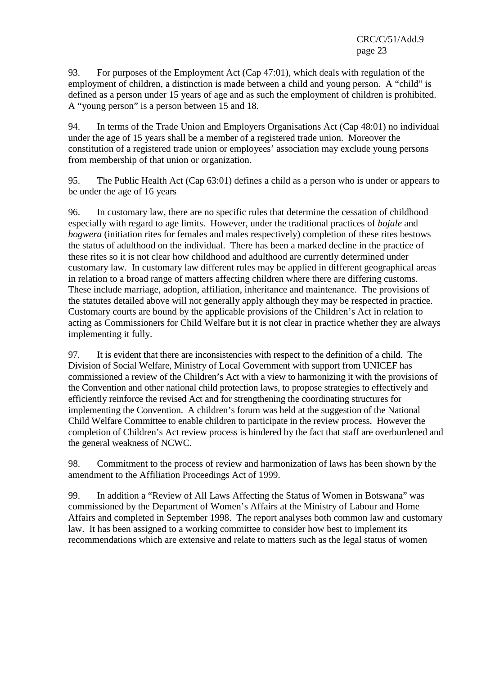93. For purposes of the Employment Act (Cap 47:01), which deals with regulation of the employment of children, a distinction is made between a child and young person. A "child" is defined as a person under 15 years of age and as such the employment of children is prohibited. A "young person" is a person between 15 and 18.

94. In terms of the Trade Union and Employers Organisations Act (Cap 48:01) no individual under the age of 15 years shall be a member of a registered trade union. Moreover the constitution of a registered trade union or employees' association may exclude young persons from membership of that union or organization.

95. The Public Health Act (Cap 63:01) defines a child as a person who is under or appears to be under the age of 16 years

96. In customary law, there are no specific rules that determine the cessation of childhood especially with regard to age limits. However, under the traditional practices of *bojale* and *bogwera* (initiation rites for females and males respectively) completion of these rites bestows the status of adulthood on the individual. There has been a marked decline in the practice of these rites so it is not clear how childhood and adulthood are currently determined under customary law. In customary law different rules may be applied in different geographical areas in relation to a broad range of matters affecting children where there are differing customs. These include marriage, adoption, affiliation, inheritance and maintenance. The provisions of the statutes detailed above will not generally apply although they may be respected in practice. Customary courts are bound by the applicable provisions of the Children's Act in relation to acting as Commissioners for Child Welfare but it is not clear in practice whether they are always implementing it fully.

97. It is evident that there are inconsistencies with respect to the definition of a child. The Division of Social Welfare, Ministry of Local Government with support from UNICEF has commissioned a review of the Children's Act with a view to harmonizing it with the provisions of the Convention and other national child protection laws, to propose strategies to effectively and efficiently reinforce the revised Act and for strengthening the coordinating structures for implementing the Convention. A children's forum was held at the suggestion of the National Child Welfare Committee to enable children to participate in the review process. However the completion of Children's Act review process is hindered by the fact that staff are overburdened and the general weakness of NCWC.

98. Commitment to the process of review and harmonization of laws has been shown by the amendment to the Affiliation Proceedings Act of 1999.

99. In addition a "Review of All Laws Affecting the Status of Women in Botswana" was commissioned by the Department of Women's Affairs at the Ministry of Labour and Home Affairs and completed in September 1998. The report analyses both common law and customary law. It has been assigned to a working committee to consider how best to implement its recommendations which are extensive and relate to matters such as the legal status of women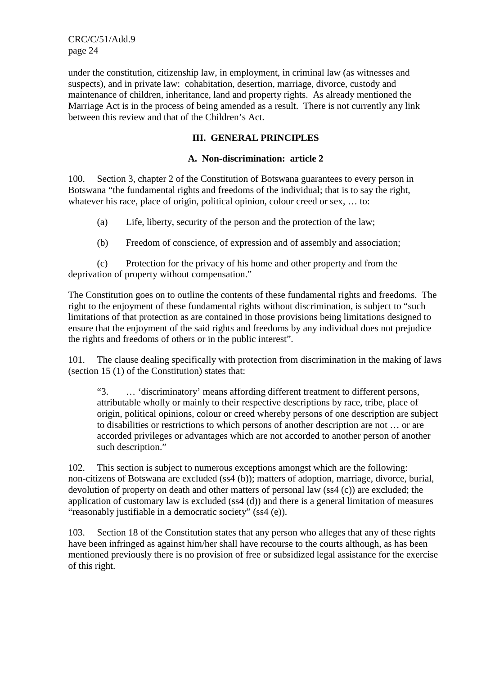under the constitution, citizenship law, in employment, in criminal law (as witnesses and suspects), and in private law: cohabitation, desertion, marriage, divorce, custody and maintenance of children, inheritance, land and property rights. As already mentioned the Marriage Act is in the process of being amended as a result. There is not currently any link between this review and that of the Children's Act.

#### **III. GENERAL PRINCIPLES**

#### **A. Non-discrimination: article 2**

100. Section 3, chapter 2 of the Constitution of Botswana guarantees to every person in Botswana "the fundamental rights and freedoms of the individual; that is to say the right, whatever his race, place of origin, political opinion, colour creed or sex, ... to:

- (a) Life, liberty, security of the person and the protection of the law;
- (b) Freedom of conscience, of expression and of assembly and association;

 (c) Protection for the privacy of his home and other property and from the deprivation of property without compensation."

The Constitution goes on to outline the contents of these fundamental rights and freedoms. The right to the enjoyment of these fundamental rights without discrimination, is subject to "such limitations of that protection as are contained in those provisions being limitations designed to ensure that the enjoyment of the said rights and freedoms by any individual does not prejudice the rights and freedoms of others or in the public interest".

101. The clause dealing specifically with protection from discrimination in the making of laws (section 15 (1) of the Constitution) states that:

"3. … 'discriminatory' means affording different treatment to different persons, attributable wholly or mainly to their respective descriptions by race, tribe, place of origin, political opinions, colour or creed whereby persons of one description are subject to disabilities or restrictions to which persons of another description are not … or are accorded privileges or advantages which are not accorded to another person of another such description."

102. This section is subject to numerous exceptions amongst which are the following: non-citizens of Botswana are excluded (ss4 (b)); matters of adoption, marriage, divorce, burial, devolution of property on death and other matters of personal law (ss4 (c)) are excluded; the application of customary law is excluded (ss4 (d)) and there is a general limitation of measures "reasonably justifiable in a democratic society" (ss4 (e)).

103. Section 18 of the Constitution states that any person who alleges that any of these rights have been infringed as against him/her shall have recourse to the courts although, as has been mentioned previously there is no provision of free or subsidized legal assistance for the exercise of this right.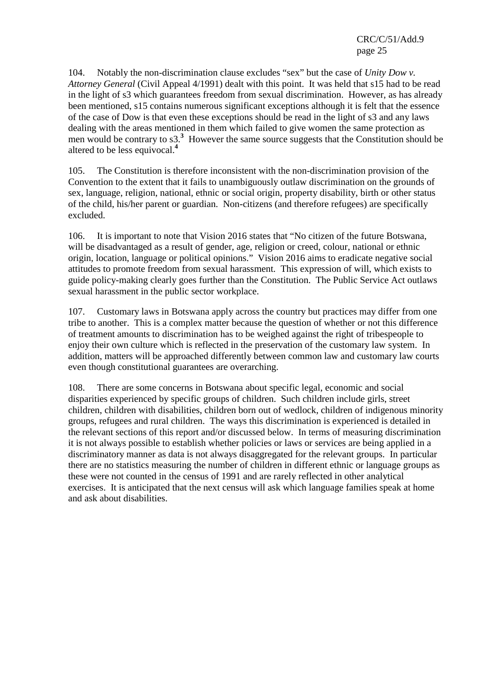104. Notably the non-discrimination clause excludes "sex" but the case of *Unity Dow v. Attorney General* (Civil Appeal 4/1991) dealt with this point. It was held that s15 had to be read in the light of s3 which guarantees freedom from sexual discrimination. However, as has already been mentioned, s15 contains numerous significant exceptions although it is felt that the essence of the case of Dow is that even these exceptions should be read in the light of s3 and any laws dealing with the areas mentioned in them which failed to give women the same protection as men would be contrary to s3.<sup>3</sup> However the same source suggests that the Constitution should be altered to be less equivocal.**<sup>4</sup>**

105. The Constitution is therefore inconsistent with the non-discrimination provision of the Convention to the extent that it fails to unambiguously outlaw discrimination on the grounds of sex, language, religion, national, ethnic or social origin, property disability, birth or other status of the child, his/her parent or guardian. Non-citizens (and therefore refugees) are specifically excluded.

106. It is important to note that Vision 2016 states that "No citizen of the future Botswana, will be disadvantaged as a result of gender, age, religion or creed, colour, national or ethnic origin, location, language or political opinions." Vision 2016 aims to eradicate negative social attitudes to promote freedom from sexual harassment. This expression of will, which exists to guide policy-making clearly goes further than the Constitution. The Public Service Act outlaws sexual harassment in the public sector workplace.

107. Customary laws in Botswana apply across the country but practices may differ from one tribe to another. This is a complex matter because the question of whether or not this difference of treatment amounts to discrimination has to be weighed against the right of tribespeople to enjoy their own culture which is reflected in the preservation of the customary law system. In addition, matters will be approached differently between common law and customary law courts even though constitutional guarantees are overarching.

108. There are some concerns in Botswana about specific legal, economic and social disparities experienced by specific groups of children. Such children include girls, street children, children with disabilities, children born out of wedlock, children of indigenous minority groups, refugees and rural children. The ways this discrimination is experienced is detailed in the relevant sections of this report and/or discussed below. In terms of measuring discrimination it is not always possible to establish whether policies or laws or services are being applied in a discriminatory manner as data is not always disaggregated for the relevant groups. In particular there are no statistics measuring the number of children in different ethnic or language groups as these were not counted in the census of 1991 and are rarely reflected in other analytical exercises. It is anticipated that the next census will ask which language families speak at home and ask about disabilities.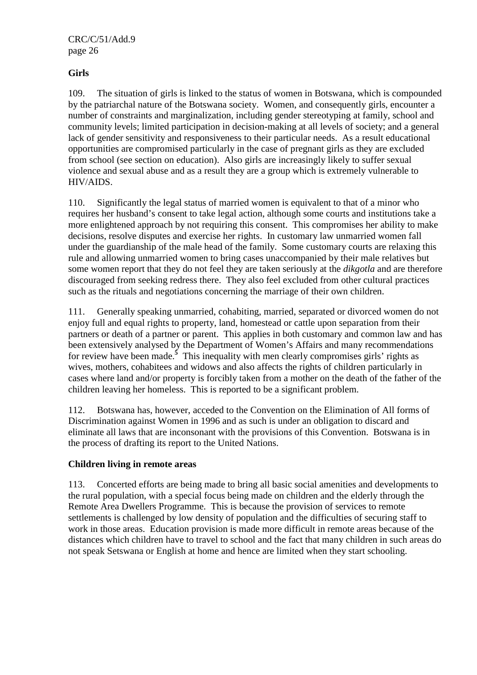#### **Girls**

109. The situation of girls is linked to the status of women in Botswana, which is compounded by the patriarchal nature of the Botswana society. Women, and consequently girls, encounter a number of constraints and marginalization, including gender stereotyping at family, school and community levels; limited participation in decision-making at all levels of society; and a general lack of gender sensitivity and responsiveness to their particular needs. As a result educational opportunities are compromised particularly in the case of pregnant girls as they are excluded from school (see section on education). Also girls are increasingly likely to suffer sexual violence and sexual abuse and as a result they are a group which is extremely vulnerable to HIV/AIDS.

110. Significantly the legal status of married women is equivalent to that of a minor who requires her husband's consent to take legal action, although some courts and institutions take a more enlightened approach by not requiring this consent. This compromises her ability to make decisions, resolve disputes and exercise her rights. In customary law unmarried women fall under the guardianship of the male head of the family. Some customary courts are relaxing this rule and allowing unmarried women to bring cases unaccompanied by their male relatives but some women report that they do not feel they are taken seriously at the *dikgotla* and are therefore discouraged from seeking redress there. They also feel excluded from other cultural practices such as the rituals and negotiations concerning the marriage of their own children.

111. Generally speaking unmarried, cohabiting, married, separated or divorced women do not enjoy full and equal rights to property, land, homestead or cattle upon separation from their partners or death of a partner or parent. This applies in both customary and common law and has been extensively analysed by the Department of Women's Affairs and many recommendations for review have been made.**<sup>5</sup>** This inequality with men clearly compromises girls' rights as wives, mothers, cohabitees and widows and also affects the rights of children particularly in cases where land and/or property is forcibly taken from a mother on the death of the father of the children leaving her homeless. This is reported to be a significant problem.

112. Botswana has, however, acceded to the Convention on the Elimination of All forms of Discrimination against Women in 1996 and as such is under an obligation to discard and eliminate all laws that are inconsonant with the provisions of this Convention. Botswana is in the process of drafting its report to the United Nations.

#### **Children living in remote areas**

113. Concerted efforts are being made to bring all basic social amenities and developments to the rural population, with a special focus being made on children and the elderly through the Remote Area Dwellers Programme. This is because the provision of services to remote settlements is challenged by low density of population and the difficulties of securing staff to work in those areas. Education provision is made more difficult in remote areas because of the distances which children have to travel to school and the fact that many children in such areas do not speak Setswana or English at home and hence are limited when they start schooling.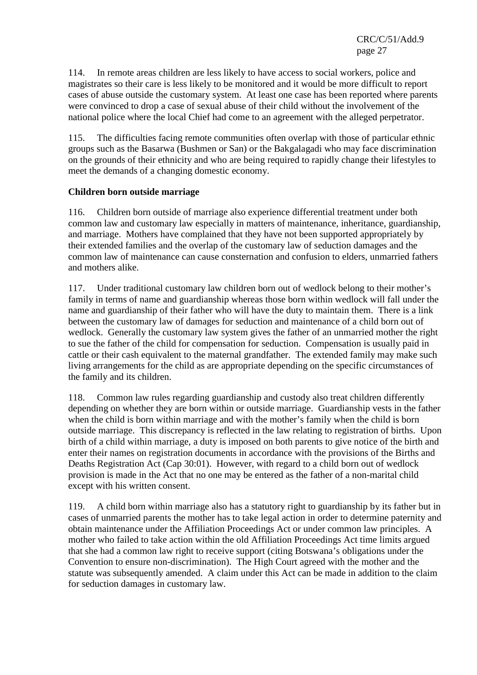114. In remote areas children are less likely to have access to social workers, police and magistrates so their care is less likely to be monitored and it would be more difficult to report cases of abuse outside the customary system. At least one case has been reported where parents were convinced to drop a case of sexual abuse of their child without the involvement of the national police where the local Chief had come to an agreement with the alleged perpetrator.

115. The difficulties facing remote communities often overlap with those of particular ethnic groups such as the Basarwa (Bushmen or San) or the Bakgalagadi who may face discrimination on the grounds of their ethnicity and who are being required to rapidly change their lifestyles to meet the demands of a changing domestic economy.

#### **Children born outside marriage**

116. Children born outside of marriage also experience differential treatment under both common law and customary law especially in matters of maintenance, inheritance, guardianship, and marriage. Mothers have complained that they have not been supported appropriately by their extended families and the overlap of the customary law of seduction damages and the common law of maintenance can cause consternation and confusion to elders, unmarried fathers and mothers alike.

117. Under traditional customary law children born out of wedlock belong to their mother's family in terms of name and guardianship whereas those born within wedlock will fall under the name and guardianship of their father who will have the duty to maintain them. There is a link between the customary law of damages for seduction and maintenance of a child born out of wedlock. Generally the customary law system gives the father of an unmarried mother the right to sue the father of the child for compensation for seduction. Compensation is usually paid in cattle or their cash equivalent to the maternal grandfather. The extended family may make such living arrangements for the child as are appropriate depending on the specific circumstances of the family and its children.

118. Common law rules regarding guardianship and custody also treat children differently depending on whether they are born within or outside marriage. Guardianship vests in the father when the child is born within marriage and with the mother's family when the child is born outside marriage. This discrepancy is reflected in the law relating to registration of births. Upon birth of a child within marriage, a duty is imposed on both parents to give notice of the birth and enter their names on registration documents in accordance with the provisions of the Births and Deaths Registration Act (Cap 30:01). However, with regard to a child born out of wedlock provision is made in the Act that no one may be entered as the father of a non-marital child except with his written consent.

119. A child born within marriage also has a statutory right to guardianship by its father but in cases of unmarried parents the mother has to take legal action in order to determine paternity and obtain maintenance under the Affiliation Proceedings Act or under common law principles. A mother who failed to take action within the old Affiliation Proceedings Act time limits argued that she had a common law right to receive support (citing Botswana's obligations under the Convention to ensure non-discrimination). The High Court agreed with the mother and the statute was subsequently amended. A claim under this Act can be made in addition to the claim for seduction damages in customary law.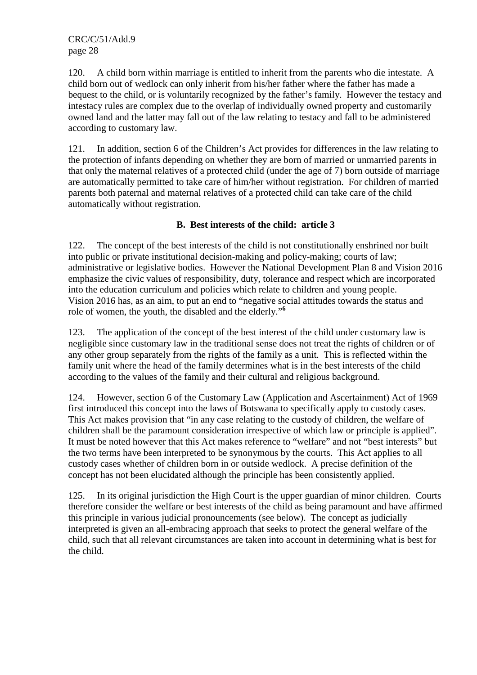120. A child born within marriage is entitled to inherit from the parents who die intestate. A child born out of wedlock can only inherit from his/her father where the father has made a bequest to the child, or is voluntarily recognized by the father's family. However the testacy and intestacy rules are complex due to the overlap of individually owned property and customarily owned land and the latter may fall out of the law relating to testacy and fall to be administered according to customary law.

121. In addition, section 6 of the Children's Act provides for differences in the law relating to the protection of infants depending on whether they are born of married or unmarried parents in that only the maternal relatives of a protected child (under the age of 7) born outside of marriage are automatically permitted to take care of him/her without registration. For children of married parents both paternal and maternal relatives of a protected child can take care of the child automatically without registration.

### **B. Best interests of the child: article 3**

122. The concept of the best interests of the child is not constitutionally enshrined nor built into public or private institutional decision-making and policy-making; courts of law; administrative or legislative bodies. However the National Development Plan 8 and Vision 2016 emphasize the civic values of responsibility, duty, tolerance and respect which are incorporated into the education curriculum and policies which relate to children and young people. Vision 2016 has, as an aim, to put an end to "negative social attitudes towards the status and role of women, the youth, the disabled and the elderly."**<sup>6</sup>**

123. The application of the concept of the best interest of the child under customary law is negligible since customary law in the traditional sense does not treat the rights of children or of any other group separately from the rights of the family as a unit. This is reflected within the family unit where the head of the family determines what is in the best interests of the child according to the values of the family and their cultural and religious background.

124. However, section 6 of the Customary Law (Application and Ascertainment) Act of 1969 first introduced this concept into the laws of Botswana to specifically apply to custody cases. This Act makes provision that "in any case relating to the custody of children, the welfare of children shall be the paramount consideration irrespective of which law or principle is applied". It must be noted however that this Act makes reference to "welfare" and not "best interests" but the two terms have been interpreted to be synonymous by the courts. This Act applies to all custody cases whether of children born in or outside wedlock. A precise definition of the concept has not been elucidated although the principle has been consistently applied.

125. In its original jurisdiction the High Court is the upper guardian of minor children. Courts therefore consider the welfare or best interests of the child as being paramount and have affirmed this principle in various judicial pronouncements (see below). The concept as judicially interpreted is given an all-embracing approach that seeks to protect the general welfare of the child, such that all relevant circumstances are taken into account in determining what is best for the child.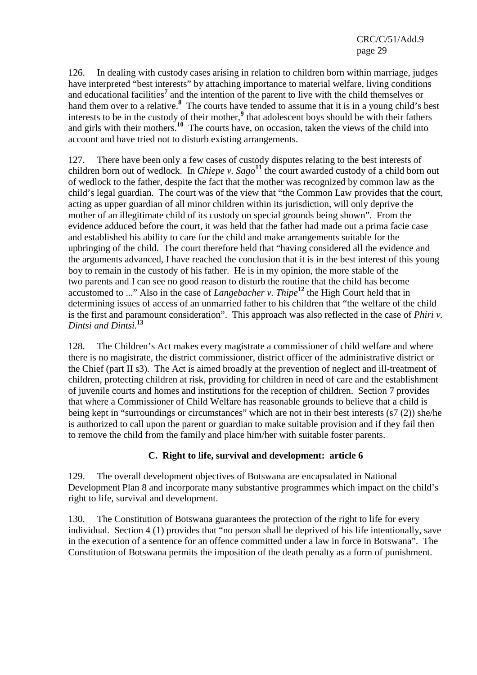126. In dealing with custody cases arising in relation to children born within marriage, judges have interpreted "best interests" by attaching importance to material welfare, living conditions and educational facilities<sup>7</sup> and the intention of the parent to live with the child themselves or hand them over to a relative.**<sup>8</sup>** The courts have tended to assume that it is in a young child's best interests to be in the custody of their mother,<sup>9</sup> that adolescent boys should be with their fathers and girls with their mothers.**<sup>10</sup>** The courts have, on occasion, taken the views of the child into account and have tried not to disturb existing arrangements.

127. There have been only a few cases of custody disputes relating to the best interests of children born out of wedlock. In *Chiepe v. Sago***<sup>11</sup>** the court awarded custody of a child born out of wedlock to the father, despite the fact that the mother was recognized by common law as the child's legal guardian. The court was of the view that "the Common Law provides that the court, acting as upper guardian of all minor children within its jurisdiction, will only deprive the mother of an illegitimate child of its custody on special grounds being shown". From the evidence adduced before the court, it was held that the father had made out a prima facie case and established his ability to care for the child and make arrangements suitable for the upbringing of the child. The court therefore held that "having considered all the evidence and the arguments advanced, I have reached the conclusion that it is in the best interest of this young boy to remain in the custody of his father. He is in my opinion, the more stable of the two parents and I can see no good reason to disturb the routine that the child has become accustomed to ..." Also in the case of *Langebacher v. Thipe***<sup>12</sup>** the High Court held that in determining issues of access of an unmarried father to his children that "the welfare of the child is the first and paramount consideration". This approach was also reflected in the case of *Phiri v. Dintsi and Dintsi.***<sup>13</sup>**

128. The Children's Act makes every magistrate a commissioner of child welfare and where there is no magistrate, the district commissioner, district officer of the administrative district or the Chief (part II s3). The Act is aimed broadly at the prevention of neglect and ill-treatment of children, protecting children at risk, providing for children in need of care and the establishment of juvenile courts and homes and institutions for the reception of children. Section 7 provides that where a Commissioner of Child Welfare has reasonable grounds to believe that a child is being kept in "surroundings or circumstances" which are not in their best interests (s7 (2)) she/he is authorized to call upon the parent or guardian to make suitable provision and if they fail then to remove the child from the family and place him/her with suitable foster parents.

## **C. Right to life, survival and development: article 6**

129. The overall development objectives of Botswana are encapsulated in National Development Plan 8 and incorporate many substantive programmes which impact on the child's right to life, survival and development.

130. The Constitution of Botswana guarantees the protection of the right to life for every individual. Section 4 (1) provides that "no person shall be deprived of his life intentionally, save in the execution of a sentence for an offence committed under a law in force in Botswana". The Constitution of Botswana permits the imposition of the death penalty as a form of punishment.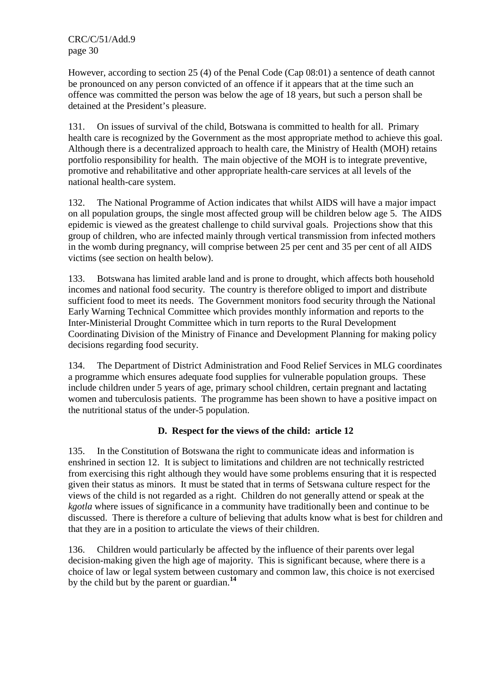However, according to section 25 (4) of the Penal Code (Cap 08:01) a sentence of death cannot be pronounced on any person convicted of an offence if it appears that at the time such an offence was committed the person was below the age of 18 years, but such a person shall be detained at the President's pleasure.

131. On issues of survival of the child, Botswana is committed to health for all. Primary health care is recognized by the Government as the most appropriate method to achieve this goal. Although there is a decentralized approach to health care, the Ministry of Health (MOH) retains portfolio responsibility for health. The main objective of the MOH is to integrate preventive, promotive and rehabilitative and other appropriate health-care services at all levels of the national health-care system.

132. The National Programme of Action indicates that whilst AIDS will have a major impact on all population groups, the single most affected group will be children below age 5. The AIDS epidemic is viewed as the greatest challenge to child survival goals. Projections show that this group of children, who are infected mainly through vertical transmission from infected mothers in the womb during pregnancy, will comprise between 25 per cent and 35 per cent of all AIDS victims (see section on health below).

133. Botswana has limited arable land and is prone to drought, which affects both household incomes and national food security. The country is therefore obliged to import and distribute sufficient food to meet its needs. The Government monitors food security through the National Early Warning Technical Committee which provides monthly information and reports to the Inter-Ministerial Drought Committee which in turn reports to the Rural Development Coordinating Division of the Ministry of Finance and Development Planning for making policy decisions regarding food security.

134. The Department of District Administration and Food Relief Services in MLG coordinates a programme which ensures adequate food supplies for vulnerable population groups. These include children under 5 years of age, primary school children, certain pregnant and lactating women and tuberculosis patients. The programme has been shown to have a positive impact on the nutritional status of the under-5 population.

## **D. Respect for the views of the child: article 12**

135. In the Constitution of Botswana the right to communicate ideas and information is enshrined in section 12. It is subject to limitations and children are not technically restricted from exercising this right although they would have some problems ensuring that it is respected given their status as minors. It must be stated that in terms of Setswana culture respect for the views of the child is not regarded as a right. Children do not generally attend or speak at the *kgotla* where issues of significance in a community have traditionally been and continue to be discussed. There is therefore a culture of believing that adults know what is best for children and that they are in a position to articulate the views of their children.

136. Children would particularly be affected by the influence of their parents over legal decision-making given the high age of majority. This is significant because, where there is a choice of law or legal system between customary and common law, this choice is not exercised by the child but by the parent or guardian.**<sup>14</sup>**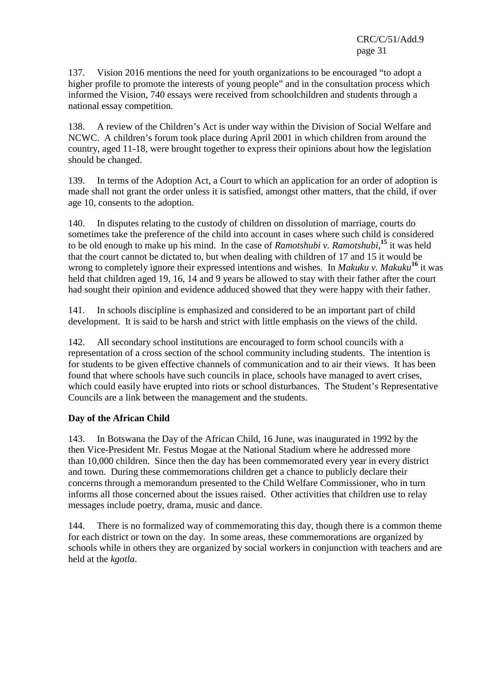137. Vision 2016 mentions the need for youth organizations to be encouraged "to adopt a higher profile to promote the interests of young people" and in the consultation process which informed the Vision, 740 essays were received from schoolchildren and students through a national essay competition.

138. A review of the Children's Act is under way within the Division of Social Welfare and NCWC. A children's forum took place during April 2001 in which children from around the country, aged 11-18, were brought together to express their opinions about how the legislation should be changed.

139. In terms of the Adoption Act, a Court to which an application for an order of adoption is made shall not grant the order unless it is satisfied, amongst other matters, that the child, if over age 10, consents to the adoption.

140. In disputes relating to the custody of children on dissolution of marriage, courts do sometimes take the preference of the child into account in cases where such child is considered to be old enough to make up his mind. In the case of *Ramotshubi v. Ramotshubi*, **<sup>15</sup>** it was held that the court cannot be dictated to, but when dealing with children of 17 and 15 it would be wrong to completely ignore their expressed intentions and wishes. In *Makuku v. Makuku***<sup>16</sup>** it was held that children aged 19, 16, 14 and 9 years be allowed to stay with their father after the court had sought their opinion and evidence adduced showed that they were happy with their father.

141. In schools discipline is emphasized and considered to be an important part of child development. It is said to be harsh and strict with little emphasis on the views of the child.

142. All secondary school institutions are encouraged to form school councils with a representation of a cross section of the school community including students. The intention is for students to be given effective channels of communication and to air their views. It has been found that where schools have such councils in place, schools have managed to avert crises, which could easily have erupted into riots or school disturbances. The Student's Representative Councils are a link between the management and the students.

#### **Day of the African Child**

143. In Botswana the Day of the African Child, 16 June, was inaugurated in 1992 by the then Vice-President Mr. Festus Mogae at the National Stadium where he addressed more than 10,000 children. Since then the day has been commemorated every year in every district and town. During these commemorations children get a chance to publicly declare their concerns through a memorandum presented to the Child Welfare Commissioner, who in turn informs all those concerned about the issues raised. Other activities that children use to relay messages include poetry, drama, music and dance.

144. There is no formalized way of commemorating this day, though there is a common theme for each district or town on the day. In some areas, these commemorations are organized by schools while in others they are organized by social workers in conjunction with teachers and are held at the *kgotla*.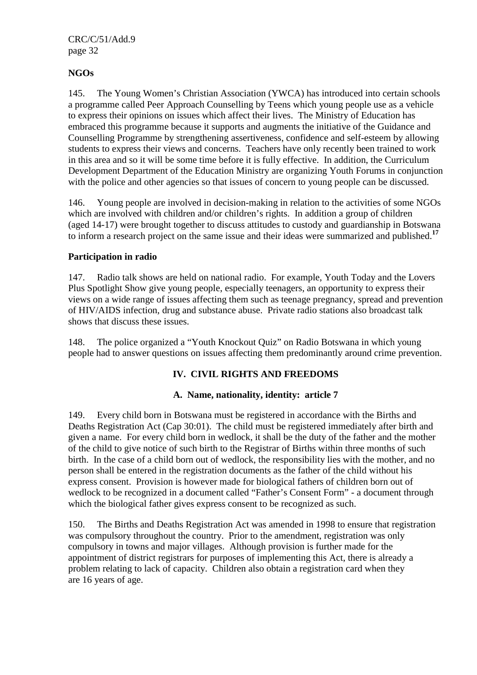#### **NGOs**

145. The Young Women's Christian Association (YWCA) has introduced into certain schools a programme called Peer Approach Counselling by Teens which young people use as a vehicle to express their opinions on issues which affect their lives. The Ministry of Education has embraced this programme because it supports and augments the initiative of the Guidance and Counselling Programme by strengthening assertiveness, confidence and self-esteem by allowing students to express their views and concerns. Teachers have only recently been trained to work in this area and so it will be some time before it is fully effective. In addition, the Curriculum Development Department of the Education Ministry are organizing Youth Forums in conjunction with the police and other agencies so that issues of concern to young people can be discussed.

146. Young people are involved in decision-making in relation to the activities of some NGOs which are involved with children and/or children's rights. In addition a group of children (aged 14-17) were brought together to discuss attitudes to custody and guardianship in Botswana to inform a research project on the same issue and their ideas were summarized and published.**<sup>17</sup>**

#### **Participation in radio**

147. Radio talk shows are held on national radio. For example, Youth Today and the Lovers Plus Spotlight Show give young people, especially teenagers, an opportunity to express their views on a wide range of issues affecting them such as teenage pregnancy, spread and prevention of HIV/AIDS infection, drug and substance abuse. Private radio stations also broadcast talk shows that discuss these issues.

148. The police organized a "Youth Knockout Quiz" on Radio Botswana in which young people had to answer questions on issues affecting them predominantly around crime prevention.

## **IV. CIVIL RIGHTS AND FREEDOMS**

#### **A. Name, nationality, identity: article 7**

149. Every child born in Botswana must be registered in accordance with the Births and Deaths Registration Act (Cap 30:01). The child must be registered immediately after birth and given a name. For every child born in wedlock, it shall be the duty of the father and the mother of the child to give notice of such birth to the Registrar of Births within three months of such birth. In the case of a child born out of wedlock, the responsibility lies with the mother, and no person shall be entered in the registration documents as the father of the child without his express consent. Provision is however made for biological fathers of children born out of wedlock to be recognized in a document called "Father's Consent Form" - a document through which the biological father gives express consent to be recognized as such.

150. The Births and Deaths Registration Act was amended in 1998 to ensure that registration was compulsory throughout the country. Prior to the amendment, registration was only compulsory in towns and major villages. Although provision is further made for the appointment of district registrars for purposes of implementing this Act, there is already a problem relating to lack of capacity. Children also obtain a registration card when they are 16 years of age.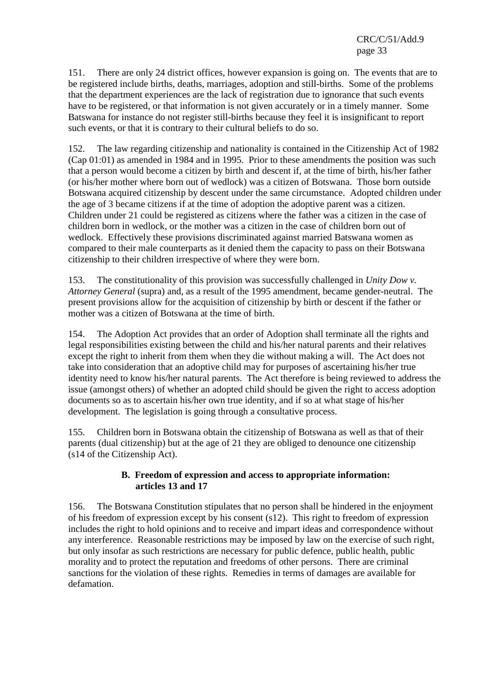151. There are only 24 district offices, however expansion is going on. The events that are to be registered include births, deaths, marriages, adoption and still-births. Some of the problems that the department experiences are the lack of registration due to ignorance that such events have to be registered, or that information is not given accurately or in a timely manner. Some Batswana for instance do not register still-births because they feel it is insignificant to report such events, or that it is contrary to their cultural beliefs to do so.

152. The law regarding citizenship and nationality is contained in the Citizenship Act of 1982 (Cap 01:01) as amended in 1984 and in 1995. Prior to these amendments the position was such that a person would become a citizen by birth and descent if, at the time of birth, his/her father (or his/her mother where born out of wedlock) was a citizen of Botswana. Those born outside Botswana acquired citizenship by descent under the same circumstance. Adopted children under the age of 3 became citizens if at the time of adoption the adoptive parent was a citizen. Children under 21 could be registered as citizens where the father was a citizen in the case of children born in wedlock, or the mother was a citizen in the case of children born out of wedlock. Effectively these provisions discriminated against married Batswana women as compared to their male counterparts as it denied them the capacity to pass on their Botswana citizenship to their children irrespective of where they were born.

153. The constitutionality of this provision was successfully challenged in *Unity Dow v. Attorney General* (supra) and, as a result of the 1995 amendment, became gender-neutral. The present provisions allow for the acquisition of citizenship by birth or descent if the father or mother was a citizen of Botswana at the time of birth.

154. The Adoption Act provides that an order of Adoption shall terminate all the rights and legal responsibilities existing between the child and his/her natural parents and their relatives except the right to inherit from them when they die without making a will. The Act does not take into consideration that an adoptive child may for purposes of ascertaining his/her true identity need to know his/her natural parents. The Act therefore is being reviewed to address the issue (amongst others) of whether an adopted child should be given the right to access adoption documents so as to ascertain his/her own true identity, and if so at what stage of his/her development. The legislation is going through a consultative process.

155. Children born in Botswana obtain the citizenship of Botswana as well as that of their parents (dual citizenship) but at the age of 21 they are obliged to denounce one citizenship (s14 of the Citizenship Act).

#### **B. Freedom of expression and access to appropriate information: articles 13 and 17**

156. The Botswana Constitution stipulates that no person shall be hindered in the enjoyment of his freedom of expression except by his consent (s12). This right to freedom of expression includes the right to hold opinions and to receive and impart ideas and correspondence without any interference. Reasonable restrictions may be imposed by law on the exercise of such right, but only insofar as such restrictions are necessary for public defence, public health, public morality and to protect the reputation and freedoms of other persons. There are criminal sanctions for the violation of these rights. Remedies in terms of damages are available for defamation.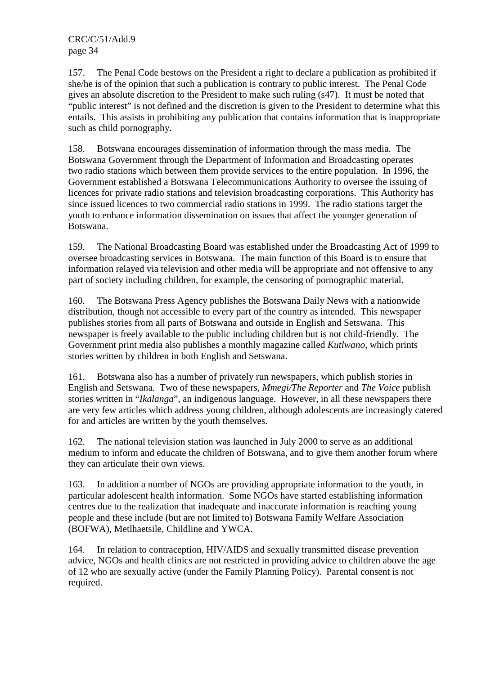157. The Penal Code bestows on the President a right to declare a publication as prohibited if she/he is of the opinion that such a publication is contrary to public interest. The Penal Code gives an absolute discretion to the President to make such ruling (s47). It must be noted that "public interest" is not defined and the discretion is given to the President to determine what this entails. This assists in prohibiting any publication that contains information that is inappropriate such as child pornography.

158. Botswana encourages dissemination of information through the mass media. The Botswana Government through the Department of Information and Broadcasting operates two radio stations which between them provide services to the entire population. In 1996, the Government established a Botswana Telecommunications Authority to oversee the issuing of licences for private radio stations and television broadcasting corporations. This Authority has since issued licences to two commercial radio stations in 1999. The radio stations target the youth to enhance information dissemination on issues that affect the younger generation of Botswana.

159. The National Broadcasting Board was established under the Broadcasting Act of 1999 to oversee broadcasting services in Botswana. The main function of this Board is to ensure that information relayed via television and other media will be appropriate and not offensive to any part of society including children, for example, the censoring of pornographic material.

160. The Botswana Press Agency publishes the Botswana Daily News with a nationwide distribution, though not accessible to every part of the country as intended. This newspaper publishes stories from all parts of Botswana and outside in English and Setswana. This newspaper is freely available to the public including children but is not child-friendly. The Government print media also publishes a monthly magazine called *Kutlwano*, which prints stories written by children in both English and Setswana.

161. Botswana also has a number of privately run newspapers, which publish stories in English and Setswana. Two of these newspapers, *Mmegi/The Reporter* and *The Voice* publish stories written in "*Ikalanga*", an indigenous language. However, in all these newspapers there are very few articles which address young children, although adolescents are increasingly catered for and articles are written by the youth themselves.

162. The national television station was launched in July 2000 to serve as an additional medium to inform and educate the children of Botswana, and to give them another forum where they can articulate their own views.

163. In addition a number of NGOs are providing appropriate information to the youth, in particular adolescent health information. Some NGOs have started establishing information centres due to the realization that inadequate and inaccurate information is reaching young people and these include (but are not limited to) Botswana Family Welfare Association (BOFWA), Metlhaetsile, Childline and YWCA.

164. In relation to contraception, HIV/AIDS and sexually transmitted disease prevention advice, NGOs and health clinics are not restricted in providing advice to children above the age of 12 who are sexually active (under the Family Planning Policy). Parental consent is not required.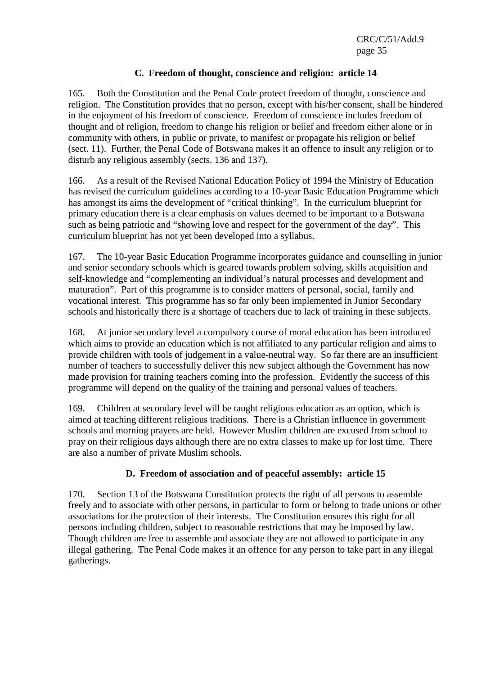### **C. Freedom of thought, conscience and religion: article 14**

165. Both the Constitution and the Penal Code protect freedom of thought, conscience and religion. The Constitution provides that no person, except with his/her consent, shall be hindered in the enjoyment of his freedom of conscience. Freedom of conscience includes freedom of thought and of religion, freedom to change his religion or belief and freedom either alone or in community with others, in public or private, to manifest or propagate his religion or belief (sect. 11). Further, the Penal Code of Botswana makes it an offence to insult any religion or to disturb any religious assembly (sects. 136 and 137).

166. As a result of the Revised National Education Policy of 1994 the Ministry of Education has revised the curriculum guidelines according to a 10-year Basic Education Programme which has amongst its aims the development of "critical thinking". In the curriculum blueprint for primary education there is a clear emphasis on values deemed to be important to a Botswana such as being patriotic and "showing love and respect for the government of the day". This curriculum blueprint has not yet been developed into a syllabus.

167. The 10-year Basic Education Programme incorporates guidance and counselling in junior and senior secondary schools which is geared towards problem solving, skills acquisition and self-knowledge and "complementing an individual's natural processes and development and maturation". Part of this programme is to consider matters of personal, social, family and vocational interest. This programme has so far only been implemented in Junior Secondary schools and historically there is a shortage of teachers due to lack of training in these subjects.

168. At junior secondary level a compulsory course of moral education has been introduced which aims to provide an education which is not affiliated to any particular religion and aims to provide children with tools of judgement in a value-neutral way. So far there are an insufficient number of teachers to successfully deliver this new subject although the Government has now made provision for training teachers coming into the profession. Evidently the success of this programme will depend on the quality of the training and personal values of teachers.

169. Children at secondary level will be taught religious education as an option, which is aimed at teaching different religious traditions. There is a Christian influence in government schools and morning prayers are held. However Muslim children are excused from school to pray on their religious days although there are no extra classes to make up for lost time. There are also a number of private Muslim schools.

#### **D. Freedom of association and of peaceful assembly: article 15**

170. Section 13 of the Botswana Constitution protects the right of all persons to assemble freely and to associate with other persons, in particular to form or belong to trade unions or other associations for the protection of their interests. The Constitution ensures this right for all persons including children, subject to reasonable restrictions that may be imposed by law. Though children are free to assemble and associate they are not allowed to participate in any illegal gathering. The Penal Code makes it an offence for any person to take part in any illegal gatherings.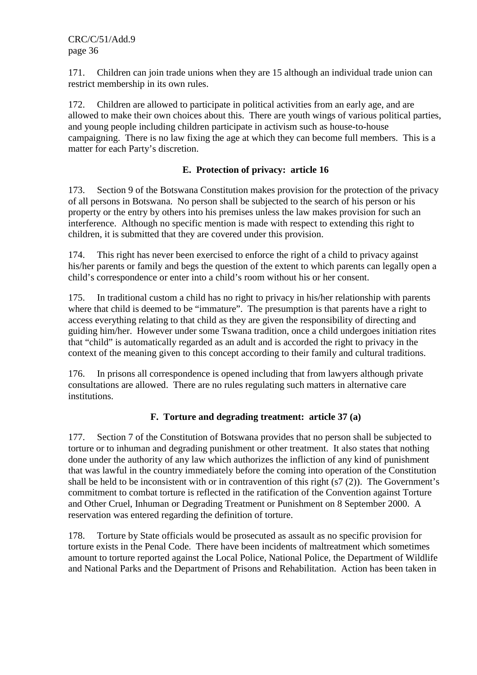171. Children can join trade unions when they are 15 although an individual trade union can restrict membership in its own rules.

172. Children are allowed to participate in political activities from an early age, and are allowed to make their own choices about this. There are youth wings of various political parties, and young people including children participate in activism such as house-to-house campaigning. There is no law fixing the age at which they can become full members. This is a matter for each Party's discretion.

### **E. Protection of privacy: article 16**

173. Section 9 of the Botswana Constitution makes provision for the protection of the privacy of all persons in Botswana. No person shall be subjected to the search of his person or his property or the entry by others into his premises unless the law makes provision for such an interference. Although no specific mention is made with respect to extending this right to children, it is submitted that they are covered under this provision.

174. This right has never been exercised to enforce the right of a child to privacy against his/her parents or family and begs the question of the extent to which parents can legally open a child's correspondence or enter into a child's room without his or her consent.

175. In traditional custom a child has no right to privacy in his/her relationship with parents where that child is deemed to be "immature". The presumption is that parents have a right to access everything relating to that child as they are given the responsibility of directing and guiding him/her. However under some Tswana tradition, once a child undergoes initiation rites that "child" is automatically regarded as an adult and is accorded the right to privacy in the context of the meaning given to this concept according to their family and cultural traditions.

176. In prisons all correspondence is opened including that from lawyers although private consultations are allowed. There are no rules regulating such matters in alternative care institutions.

## **F. Torture and degrading treatment: article 37 (a)**

177. Section 7 of the Constitution of Botswana provides that no person shall be subjected to torture or to inhuman and degrading punishment or other treatment. It also states that nothing done under the authority of any law which authorizes the infliction of any kind of punishment that was lawful in the country immediately before the coming into operation of the Constitution shall be held to be inconsistent with or in contravention of this right (s7 (2)). The Government's commitment to combat torture is reflected in the ratification of the Convention against Torture and Other Cruel, Inhuman or Degrading Treatment or Punishment on 8 September 2000. A reservation was entered regarding the definition of torture.

178. Torture by State officials would be prosecuted as assault as no specific provision for torture exists in the Penal Code. There have been incidents of maltreatment which sometimes amount to torture reported against the Local Police, National Police, the Department of Wildlife and National Parks and the Department of Prisons and Rehabilitation. Action has been taken in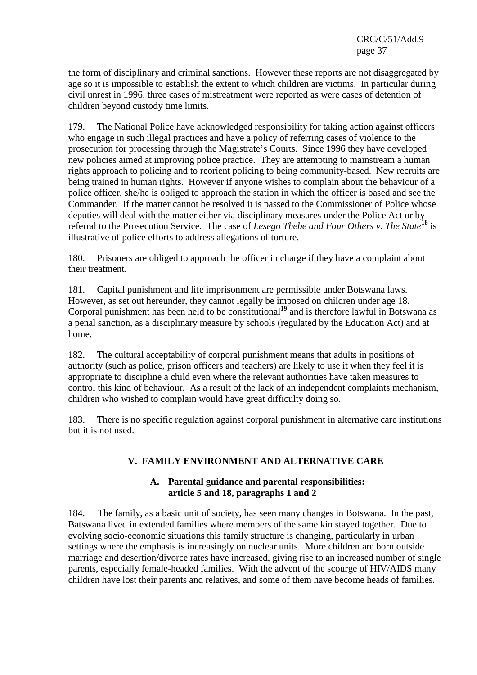the form of disciplinary and criminal sanctions. However these reports are not disaggregated by age so it is impossible to establish the extent to which children are victims. In particular during civil unrest in 1996, three cases of mistreatment were reported as were cases of detention of children beyond custody time limits.

179. The National Police have acknowledged responsibility for taking action against officers who engage in such illegal practices and have a policy of referring cases of violence to the prosecution for processing through the Magistrate's Courts. Since 1996 they have developed new policies aimed at improving police practice. They are attempting to mainstream a human rights approach to policing and to reorient policing to being community-based. New recruits are being trained in human rights. However if anyone wishes to complain about the behaviour of a police officer, she/he is obliged to approach the station in which the officer is based and see the Commander. If the matter cannot be resolved it is passed to the Commissioner of Police whose deputies will deal with the matter either via disciplinary measures under the Police Act or by referral to the Prosecution Service. The case of *Lesego Thebe and Four Others v. The State***<sup>18</sup>** is illustrative of police efforts to address allegations of torture.

180. Prisoners are obliged to approach the officer in charge if they have a complaint about their treatment.

181. Capital punishment and life imprisonment are permissible under Botswana laws. However, as set out hereunder, they cannot legally be imposed on children under age 18. Corporal punishment has been held to be constitutional**<sup>19</sup>** and is therefore lawful in Botswana as a penal sanction, as a disciplinary measure by schools (regulated by the Education Act) and at home.

182. The cultural acceptability of corporal punishment means that adults in positions of authority (such as police, prison officers and teachers) are likely to use it when they feel it is appropriate to discipline a child even where the relevant authorities have taken measures to control this kind of behaviour. As a result of the lack of an independent complaints mechanism, children who wished to complain would have great difficulty doing so.

183. There is no specific regulation against corporal punishment in alternative care institutions but it is not used.

# **V. FAMILY ENVIRONMENT AND ALTERNATIVE CARE**

## **A. Parental guidance and parental responsibilities: article 5 and 18, paragraphs 1 and 2**

184. The family, as a basic unit of society, has seen many changes in Botswana. In the past, Batswana lived in extended families where members of the same kin stayed together. Due to evolving socio-economic situations this family structure is changing, particularly in urban settings where the emphasis is increasingly on nuclear units. More children are born outside marriage and desertion/divorce rates have increased, giving rise to an increased number of single parents, especially female-headed families. With the advent of the scourge of HIV/AIDS many children have lost their parents and relatives, and some of them have become heads of families.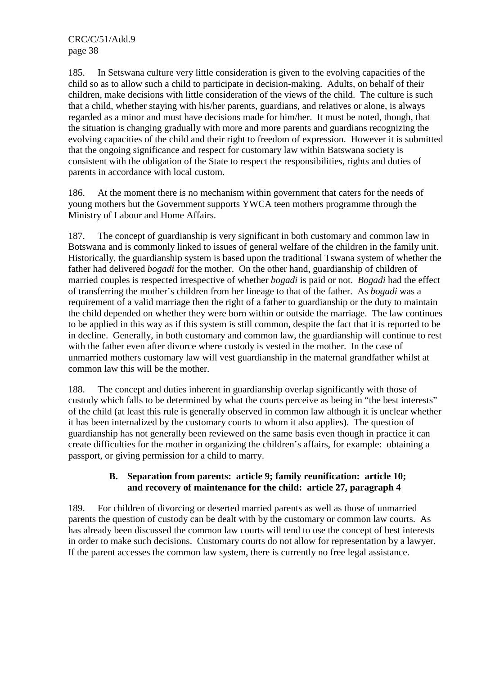185. In Setswana culture very little consideration is given to the evolving capacities of the child so as to allow such a child to participate in decision-making. Adults, on behalf of their children, make decisions with little consideration of the views of the child. The culture is such that a child, whether staying with his/her parents, guardians, and relatives or alone, is always regarded as a minor and must have decisions made for him/her. It must be noted, though, that the situation is changing gradually with more and more parents and guardians recognizing the evolving capacities of the child and their right to freedom of expression. However it is submitted that the ongoing significance and respect for customary law within Batswana society is consistent with the obligation of the State to respect the responsibilities, rights and duties of parents in accordance with local custom.

186. At the moment there is no mechanism within government that caters for the needs of young mothers but the Government supports YWCA teen mothers programme through the Ministry of Labour and Home Affairs.

187. The concept of guardianship is very significant in both customary and common law in Botswana and is commonly linked to issues of general welfare of the children in the family unit. Historically, the guardianship system is based upon the traditional Tswana system of whether the father had delivered *bogadi* for the mother. On the other hand, guardianship of children of married couples is respected irrespective of whether *bogadi* is paid or not. *Bogadi* had the effect of transferring the mother's children from her lineage to that of the father. As *bogadi* was a requirement of a valid marriage then the right of a father to guardianship or the duty to maintain the child depended on whether they were born within or outside the marriage. The law continues to be applied in this way as if this system is still common, despite the fact that it is reported to be in decline. Generally, in both customary and common law, the guardianship will continue to rest with the father even after divorce where custody is vested in the mother. In the case of unmarried mothers customary law will vest guardianship in the maternal grandfather whilst at common law this will be the mother.

188. The concept and duties inherent in guardianship overlap significantly with those of custody which falls to be determined by what the courts perceive as being in "the best interests" of the child (at least this rule is generally observed in common law although it is unclear whether it has been internalized by the customary courts to whom it also applies). The question of guardianship has not generally been reviewed on the same basis even though in practice it can create difficulties for the mother in organizing the children's affairs, for example: obtaining a passport, or giving permission for a child to marry.

## **B. Separation from parents: article 9; family reunification: article 10; and recovery of maintenance for the child: article 27, paragraph 4**

189. For children of divorcing or deserted married parents as well as those of unmarried parents the question of custody can be dealt with by the customary or common law courts. As has already been discussed the common law courts will tend to use the concept of best interests in order to make such decisions. Customary courts do not allow for representation by a lawyer. If the parent accesses the common law system, there is currently no free legal assistance.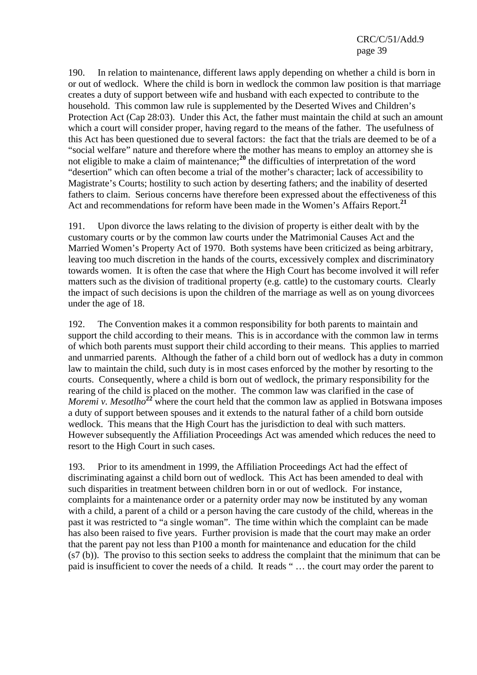190. In relation to maintenance, different laws apply depending on whether a child is born in or out of wedlock. Where the child is born in wedlock the common law position is that marriage creates a duty of support between wife and husband with each expected to contribute to the household. This common law rule is supplemented by the Deserted Wives and Children's Protection Act (Cap 28:03). Under this Act, the father must maintain the child at such an amount which a court will consider proper, having regard to the means of the father. The usefulness of this Act has been questioned due to several factors: the fact that the trials are deemed to be of a "social welfare" nature and therefore where the mother has means to employ an attorney she is not eligible to make a claim of maintenance;**<sup>20</sup>** the difficulties of interpretation of the word "desertion" which can often become a trial of the mother's character; lack of accessibility to Magistrate's Courts; hostility to such action by deserting fathers; and the inability of deserted fathers to claim. Serious concerns have therefore been expressed about the effectiveness of this Act and recommendations for reform have been made in the Women's Affairs Report.**<sup>21</sup>**

191. Upon divorce the laws relating to the division of property is either dealt with by the customary courts or by the common law courts under the Matrimonial Causes Act and the Married Women's Property Act of 1970. Both systems have been criticized as being arbitrary, leaving too much discretion in the hands of the courts, excessively complex and discriminatory towards women. It is often the case that where the High Court has become involved it will refer matters such as the division of traditional property (e.g. cattle) to the customary courts. Clearly the impact of such decisions is upon the children of the marriage as well as on young divorcees under the age of 18.

192. The Convention makes it a common responsibility for both parents to maintain and support the child according to their means. This is in accordance with the common law in terms of which both parents must support their child according to their means. This applies to married and unmarried parents. Although the father of a child born out of wedlock has a duty in common law to maintain the child, such duty is in most cases enforced by the mother by resorting to the courts. Consequently, where a child is born out of wedlock, the primary responsibility for the rearing of the child is placed on the mother. The common law was clarified in the case of *Moremi v. Mesotlho*<sup>22</sup> where the court held that the common law as applied in Botswana imposes a duty of support between spouses and it extends to the natural father of a child born outside wedlock. This means that the High Court has the jurisdiction to deal with such matters. However subsequently the Affiliation Proceedings Act was amended which reduces the need to resort to the High Court in such cases.

193. Prior to its amendment in 1999, the Affiliation Proceedings Act had the effect of discriminating against a child born out of wedlock. This Act has been amended to deal with such disparities in treatment between children born in or out of wedlock. For instance, complaints for a maintenance order or a paternity order may now be instituted by any woman with a child, a parent of a child or a person having the care custody of the child, whereas in the past it was restricted to "a single woman". The time within which the complaint can be made has also been raised to five years. Further provision is made that the court may make an order that the parent pay not less than P100 a month for maintenance and education for the child (s7 (b)). The proviso to this section seeks to address the complaint that the minimum that can be paid is insufficient to cover the needs of a child. It reads " … the court may order the parent to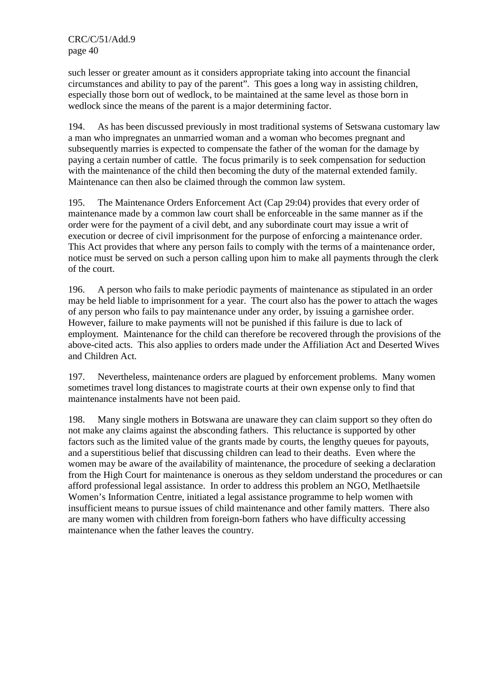such lesser or greater amount as it considers appropriate taking into account the financial circumstances and ability to pay of the parent"*.* This goes a long way in assisting children, especially those born out of wedlock, to be maintained at the same level as those born in wedlock since the means of the parent is a major determining factor.

194. As has been discussed previously in most traditional systems of Setswana customary law a man who impregnates an unmarried woman and a woman who becomes pregnant and subsequently marries is expected to compensate the father of the woman for the damage by paying a certain number of cattle. The focus primarily is to seek compensation for seduction with the maintenance of the child then becoming the duty of the maternal extended family. Maintenance can then also be claimed through the common law system.

195. The Maintenance Orders Enforcement Act (Cap 29:04) provides that every order of maintenance made by a common law court shall be enforceable in the same manner as if the order were for the payment of a civil debt, and any subordinate court may issue a writ of execution or decree of civil imprisonment for the purpose of enforcing a maintenance order. This Act provides that where any person fails to comply with the terms of a maintenance order, notice must be served on such a person calling upon him to make all payments through the clerk of the court.

196. A person who fails to make periodic payments of maintenance as stipulated in an order may be held liable to imprisonment for a year. The court also has the power to attach the wages of any person who fails to pay maintenance under any order, by issuing a garnishee order. However, failure to make payments will not be punished if this failure is due to lack of employment. Maintenance for the child can therefore be recovered through the provisions of the above-cited acts. This also applies to orders made under the Affiliation Act and Deserted Wives and Children Act.

197. Nevertheless, maintenance orders are plagued by enforcement problems. Many women sometimes travel long distances to magistrate courts at their own expense only to find that maintenance instalments have not been paid.

198. Many single mothers in Botswana are unaware they can claim support so they often do not make any claims against the absconding fathers. This reluctance is supported by other factors such as the limited value of the grants made by courts, the lengthy queues for payouts, and a superstitious belief that discussing children can lead to their deaths. Even where the women may be aware of the availability of maintenance, the procedure of seeking a declaration from the High Court for maintenance is onerous as they seldom understand the procedures or can afford professional legal assistance. In order to address this problem an NGO, Metlhaetsile Women's Information Centre, initiated a legal assistance programme to help women with insufficient means to pursue issues of child maintenance and other family matters. There also are many women with children from foreign-born fathers who have difficulty accessing maintenance when the father leaves the country.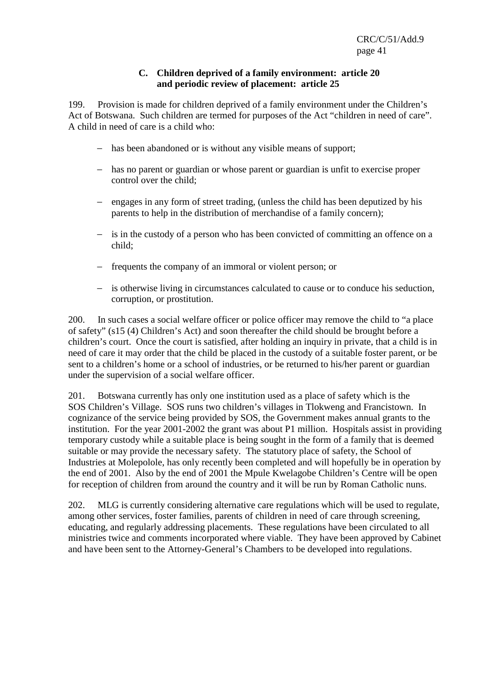#### **C. Children deprived of a family environment: article 20 and periodic review of placement: article 25**

199. Provision is made for children deprived of a family environment under the Children's Act of Botswana. Such children are termed for purposes of the Act "children in need of care". A child in need of care is a child who:

- − has been abandoned or is without any visible means of support;
- − has no parent or guardian or whose parent or guardian is unfit to exercise proper control over the child;
- − engages in any form of street trading, (unless the child has been deputized by his parents to help in the distribution of merchandise of a family concern);
- − is in the custody of a person who has been convicted of committing an offence on a child;
- − frequents the company of an immoral or violent person; or
- − is otherwise living in circumstances calculated to cause or to conduce his seduction, corruption, or prostitution.

200. In such cases a social welfare officer or police officer may remove the child to "a place of safety" (s15 (4) Children's Act) and soon thereafter the child should be brought before a children's court. Once the court is satisfied, after holding an inquiry in private, that a child is in need of care it may order that the child be placed in the custody of a suitable foster parent, or be sent to a children's home or a school of industries, or be returned to his/her parent or guardian under the supervision of a social welfare officer.

201. Botswana currently has only one institution used as a place of safety which is the SOS Children's Village. SOS runs two children's villages in Tlokweng and Francistown. In cognizance of the service being provided by SOS, the Government makes annual grants to the institution. For the year 2001-2002 the grant was about P1 million. Hospitals assist in providing temporary custody while a suitable place is being sought in the form of a family that is deemed suitable or may provide the necessary safety. The statutory place of safety, the School of Industries at Molepolole, has only recently been completed and will hopefully be in operation by the end of 2001. Also by the end of 2001 the Mpule Kwelagobe Children's Centre will be open for reception of children from around the country and it will be run by Roman Catholic nuns.

202. MLG is currently considering alternative care regulations which will be used to regulate, among other services, foster families, parents of children in need of care through screening, educating, and regularly addressing placements. These regulations have been circulated to all ministries twice and comments incorporated where viable. They have been approved by Cabinet and have been sent to the Attorney-General's Chambers to be developed into regulations.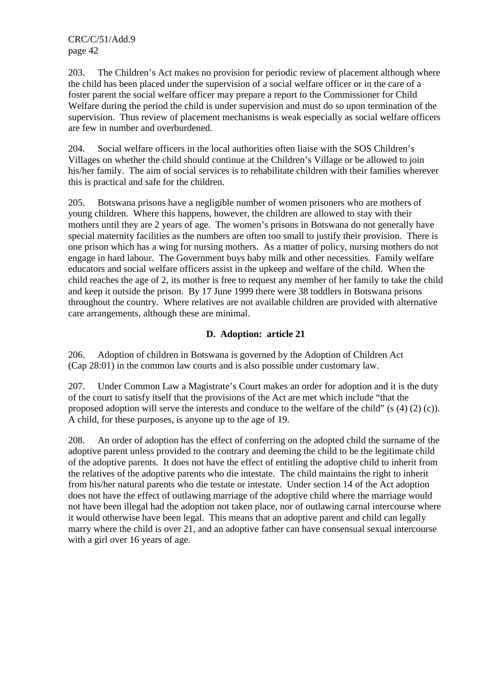203. The Children's Act makes no provision for periodic review of placement although where the child has been placed under the supervision of a social welfare officer or in the care of a foster parent the social welfare officer may prepare a report to the Commissioner for Child Welfare during the period the child is under supervision and must do so upon termination of the supervision. Thus review of placement mechanisms is weak especially as social welfare officers are few in number and overburdened.

204. Social welfare officers in the local authorities often liaise with the SOS Children's Villages on whether the child should continue at the Children's Village or be allowed to join his/her family. The aim of social services is to rehabilitate children with their families wherever this is practical and safe for the children.

205. Botswana prisons have a negligible number of women prisoners who are mothers of young children. Where this happens, however, the children are allowed to stay with their mothers until they are 2 years of age. The women's prisons in Botswana do not generally have special maternity facilities as the numbers are often too small to justify their provision. There is one prison which has a wing for nursing mothers. As a matter of policy, nursing mothers do not engage in hard labour. The Government buys baby milk and other necessities. Family welfare educators and social welfare officers assist in the upkeep and welfare of the child. When the child reaches the age of 2, its mother is free to request any member of her family to take the child and keep it outside the prison. By 17 June 1999 there were 38 toddlers in Botswana prisons throughout the country. Where relatives are not available children are provided with alternative care arrangements, although these are minimal.

## **D. Adoption: article 21**

206. Adoption of children in Botswana is governed by the Adoption of Children Act (Cap 28:01) in the common law courts and is also possible under customary law.

207. Under Common Law a Magistrate's Court makes an order for adoption and it is the duty of the court to satisfy itself that the provisions of the Act are met which include "that the proposed adoption will serve the interests and conduce to the welfare of the child" (s (4) (2) (c)). A child, for these purposes, is anyone up to the age of 19.

208. An order of adoption has the effect of conferring on the adopted child the surname of the adoptive parent unless provided to the contrary and deeming the child to be the legitimate child of the adoptive parents. It does not have the effect of entitling the adoptive child to inherit from the relatives of the adoptive parents who die intestate. The child maintains the right to inherit from his/her natural parents who die testate or intestate. Under section 14 of the Act adoption does not have the effect of outlawing marriage of the adoptive child where the marriage would not have been illegal had the adoption not taken place, nor of outlawing carnal intercourse where it would otherwise have been legal. This means that an adoptive parent and child can legally marry where the child is over 21, and an adoptive father can have consensual sexual intercourse with a girl over 16 years of age.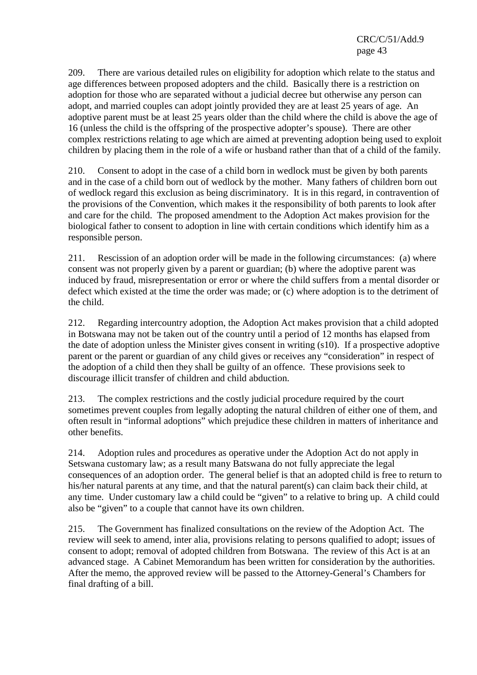209. There are various detailed rules on eligibility for adoption which relate to the status and age differences between proposed adopters and the child. Basically there is a restriction on adoption for those who are separated without a judicial decree but otherwise any person can adopt, and married couples can adopt jointly provided they are at least 25 years of age. An adoptive parent must be at least 25 years older than the child where the child is above the age of 16 (unless the child is the offspring of the prospective adopter's spouse). There are other complex restrictions relating to age which are aimed at preventing adoption being used to exploit children by placing them in the role of a wife or husband rather than that of a child of the family.

210. Consent to adopt in the case of a child born in wedlock must be given by both parents and in the case of a child born out of wedlock by the mother. Many fathers of children born out of wedlock regard this exclusion as being discriminatory. It is in this regard, in contravention of the provisions of the Convention, which makes it the responsibility of both parents to look after and care for the child. The proposed amendment to the Adoption Act makes provision for the biological father to consent to adoption in line with certain conditions which identify him as a responsible person.

211. Rescission of an adoption order will be made in the following circumstances: (a) where consent was not properly given by a parent or guardian; (b) where the adoptive parent was induced by fraud, misrepresentation or error or where the child suffers from a mental disorder or defect which existed at the time the order was made; or (c) where adoption is to the detriment of the child.

212. Regarding intercountry adoption, the Adoption Act makes provision that a child adopted in Botswana may not be taken out of the country until a period of 12 months has elapsed from the date of adoption unless the Minister gives consent in writing (s10). If a prospective adoptive parent or the parent or guardian of any child gives or receives any "consideration" in respect of the adoption of a child then they shall be guilty of an offence. These provisions seek to discourage illicit transfer of children and child abduction.

213. The complex restrictions and the costly judicial procedure required by the court sometimes prevent couples from legally adopting the natural children of either one of them, and often result in "informal adoptions" which prejudice these children in matters of inheritance and other benefits.

214. Adoption rules and procedures as operative under the Adoption Act do not apply in Setswana customary law; as a result many Batswana do not fully appreciate the legal consequences of an adoption order. The general belief is that an adopted child is free to return to his/her natural parents at any time, and that the natural parent(s) can claim back their child, at any time. Under customary law a child could be "given" to a relative to bring up. A child could also be "given" to a couple that cannot have its own children.

215. The Government has finalized consultations on the review of the Adoption Act. The review will seek to amend, inter alia*,* provisions relating to persons qualified to adopt; issues of consent to adopt; removal of adopted children from Botswana. The review of this Act is at an advanced stage. A Cabinet Memorandum has been written for consideration by the authorities. After the memo, the approved review will be passed to the Attorney-General's Chambers for final drafting of a bill.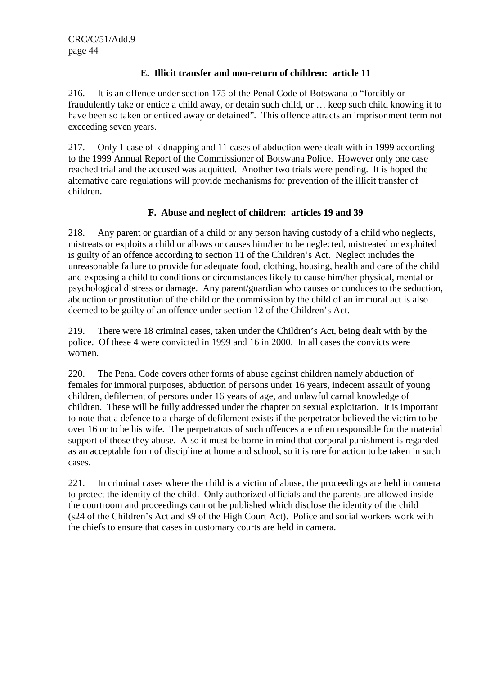## **E. Illicit transfer and non-return of children: article 11**

216. It is an offence under section 175 of the Penal Code of Botswana to "forcibly or fraudulently take or entice a child away, or detain such child, or … keep such child knowing it to have been so taken or enticed away or detained"*.* This offence attracts an imprisonment term not exceeding seven years.

217. Only 1 case of kidnapping and 11 cases of abduction were dealt with in 1999 according to the 1999 Annual Report of the Commissioner of Botswana Police. However only one case reached trial and the accused was acquitted. Another two trials were pending. It is hoped the alternative care regulations will provide mechanisms for prevention of the illicit transfer of children.

# **F. Abuse and neglect of children: articles 19 and 39**

218. Any parent or guardian of a child or any person having custody of a child who neglects, mistreats or exploits a child or allows or causes him/her to be neglected, mistreated or exploited is guilty of an offence according to section 11 of the Children's Act. Neglect includes the unreasonable failure to provide for adequate food, clothing, housing, health and care of the child and exposing a child to conditions or circumstances likely to cause him/her physical, mental or psychological distress or damage. Any parent/guardian who causes or conduces to the seduction, abduction or prostitution of the child or the commission by the child of an immoral act is also deemed to be guilty of an offence under section 12 of the Children's Act.

219. There were 18 criminal cases, taken under the Children's Act, being dealt with by the police. Of these 4 were convicted in 1999 and 16 in 2000. In all cases the convicts were women.

220. The Penal Code covers other forms of abuse against children namely abduction of females for immoral purposes, abduction of persons under 16 years, indecent assault of young children, defilement of persons under 16 years of age, and unlawful carnal knowledge of children. These will be fully addressed under the chapter on sexual exploitation. It is important to note that a defence to a charge of defilement exists if the perpetrator believed the victim to be over 16 or to be his wife. The perpetrators of such offences are often responsible for the material support of those they abuse. Also it must be borne in mind that corporal punishment is regarded as an acceptable form of discipline at home and school, so it is rare for action to be taken in such cases.

221. In criminal cases where the child is a victim of abuse, the proceedings are held in camera to protect the identity of the child. Only authorized officials and the parents are allowed inside the courtroom and proceedings cannot be published which disclose the identity of the child (s24 of the Children's Act and s9 of the High Court Act). Police and social workers work with the chiefs to ensure that cases in customary courts are held in camera.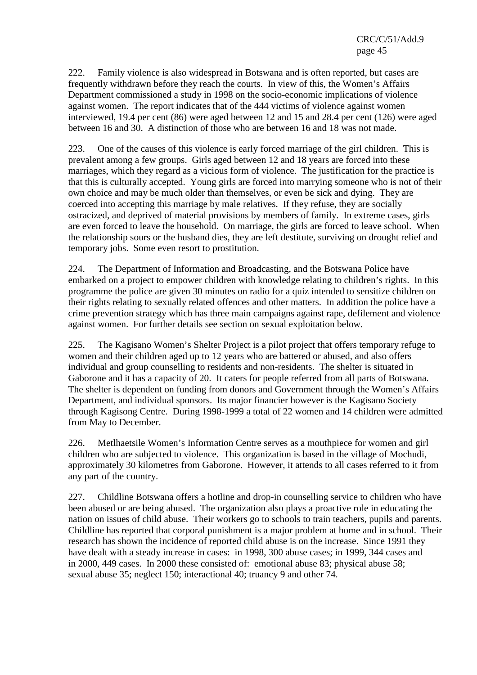222. Family violence is also widespread in Botswana and is often reported, but cases are frequently withdrawn before they reach the courts. In view of this, the Women's Affairs Department commissioned a study in 1998 on the socio-economic implications of violence against women. The report indicates that of the 444 victims of violence against women interviewed, 19.4 per cent (86) were aged between 12 and 15 and 28.4 per cent (126) were aged between 16 and 30. A distinction of those who are between 16 and 18 was not made.

223. One of the causes of this violence is early forced marriage of the girl children. This is prevalent among a few groups. Girls aged between 12 and 18 years are forced into these marriages, which they regard as a vicious form of violence. The justification for the practice is that this is culturally accepted. Young girls are forced into marrying someone who is not of their own choice and may be much older than themselves, or even be sick and dying. They are coerced into accepting this marriage by male relatives. If they refuse, they are socially ostracized, and deprived of material provisions by members of family. In extreme cases, girls are even forced to leave the household. On marriage, the girls are forced to leave school. When the relationship sours or the husband dies, they are left destitute, surviving on drought relief and temporary jobs. Some even resort to prostitution.

224. The Department of Information and Broadcasting, and the Botswana Police have embarked on a project to empower children with knowledge relating to children's rights. In this programme the police are given 30 minutes on radio for a quiz intended to sensitize children on their rights relating to sexually related offences and other matters. In addition the police have a crime prevention strategy which has three main campaigns against rape, defilement and violence against women. For further details see section on sexual exploitation below.

225. The Kagisano Women's Shelter Project is a pilot project that offers temporary refuge to women and their children aged up to 12 years who are battered or abused, and also offers individual and group counselling to residents and non-residents. The shelter is situated in Gaborone and it has a capacity of 20. It caters for people referred from all parts of Botswana. The shelter is dependent on funding from donors and Government through the Women's Affairs Department, and individual sponsors. Its major financier however is the Kagisano Society through Kagisong Centre. During 1998-1999 a total of 22 women and 14 children were admitted from May to December.

226. Metlhaetsile Women's Information Centre serves as a mouthpiece for women and girl children who are subjected to violence. This organization is based in the village of Mochudi, approximately 30 kilometres from Gaborone. However, it attends to all cases referred to it from any part of the country.

227. Childline Botswana offers a hotline and drop-in counselling service to children who have been abused or are being abused. The organization also plays a proactive role in educating the nation on issues of child abuse. Their workers go to schools to train teachers, pupils and parents. Childline has reported that corporal punishment is a major problem at home and in school. Their research has shown the incidence of reported child abuse is on the increase. Since 1991 they have dealt with a steady increase in cases: in 1998, 300 abuse cases; in 1999, 344 cases and in 2000, 449 cases. In 2000 these consisted of: emotional abuse 83; physical abuse 58; sexual abuse 35; neglect 150; interactional 40; truancy 9 and other 74.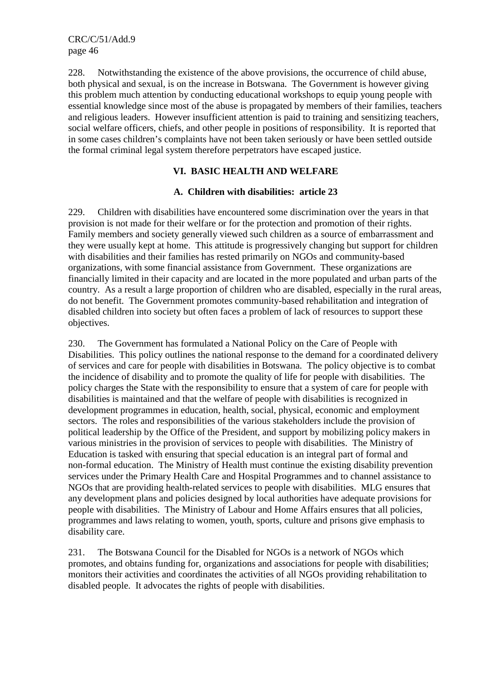228. Notwithstanding the existence of the above provisions, the occurrence of child abuse, both physical and sexual, is on the increase in Botswana. The Government is however giving this problem much attention by conducting educational workshops to equip young people with essential knowledge since most of the abuse is propagated by members of their families, teachers and religious leaders. However insufficient attention is paid to training and sensitizing teachers, social welfare officers, chiefs, and other people in positions of responsibility. It is reported that in some cases children's complaints have not been taken seriously or have been settled outside the formal criminal legal system therefore perpetrators have escaped justice.

## **VI. BASIC HEALTH AND WELFARE**

## **A. Children with disabilities: article 23**

229. Children with disabilities have encountered some discrimination over the years in that provision is not made for their welfare or for the protection and promotion of their rights. Family members and society generally viewed such children as a source of embarrassment and they were usually kept at home. This attitude is progressively changing but support for children with disabilities and their families has rested primarily on NGOs and community-based organizations, with some financial assistance from Government. These organizations are financially limited in their capacity and are located in the more populated and urban parts of the country. As a result a large proportion of children who are disabled, especially in the rural areas, do not benefit. The Government promotes community-based rehabilitation and integration of disabled children into society but often faces a problem of lack of resources to support these objectives.

230. The Government has formulated a National Policy on the Care of People with Disabilities. This policy outlines the national response to the demand for a coordinated delivery of services and care for people with disabilities in Botswana. The policy objective is to combat the incidence of disability and to promote the quality of life for people with disabilities. The policy charges the State with the responsibility to ensure that a system of care for people with disabilities is maintained and that the welfare of people with disabilities is recognized in development programmes in education, health, social, physical, economic and employment sectors. The roles and responsibilities of the various stakeholders include the provision of political leadership by the Office of the President, and support by mobilizing policy makers in various ministries in the provision of services to people with disabilities. The Ministry of Education is tasked with ensuring that special education is an integral part of formal and non-formal education. The Ministry of Health must continue the existing disability prevention services under the Primary Health Care and Hospital Programmes and to channel assistance to NGOs that are providing health-related services to people with disabilities. MLG ensures that any development plans and policies designed by local authorities have adequate provisions for people with disabilities. The Ministry of Labour and Home Affairs ensures that all policies, programmes and laws relating to women, youth, sports, culture and prisons give emphasis to disability care.

231. The Botswana Council for the Disabled for NGOs is a network of NGOs which promotes, and obtains funding for, organizations and associations for people with disabilities; monitors their activities and coordinates the activities of all NGOs providing rehabilitation to disabled people. It advocates the rights of people with disabilities.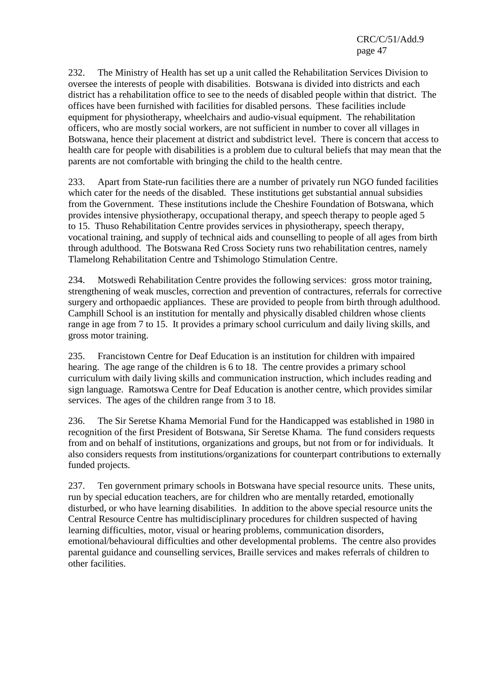232. The Ministry of Health has set up a unit called the Rehabilitation Services Division to oversee the interests of people with disabilities. Botswana is divided into districts and each district has a rehabilitation office to see to the needs of disabled people within that district. The offices have been furnished with facilities for disabled persons. These facilities include equipment for physiotherapy, wheelchairs and audio-visual equipment. The rehabilitation officers, who are mostly social workers, are not sufficient in number to cover all villages in Botswana, hence their placement at district and subdistrict level. There is concern that access to health care for people with disabilities is a problem due to cultural beliefs that may mean that the parents are not comfortable with bringing the child to the health centre.

233. Apart from State-run facilities there are a number of privately run NGO funded facilities which cater for the needs of the disabled. These institutions get substantial annual subsidies from the Government. These institutions include the Cheshire Foundation of Botswana, which provides intensive physiotherapy, occupational therapy, and speech therapy to people aged 5 to 15. Thuso Rehabilitation Centre provides services in physiotherapy, speech therapy, vocational training, and supply of technical aids and counselling to people of all ages from birth through adulthood. The Botswana Red Cross Society runs two rehabilitation centres, namely Tlamelong Rehabilitation Centre and Tshimologo Stimulation Centre.

234. Motswedi Rehabilitation Centre provides the following services: gross motor training, strengthening of weak muscles, correction and prevention of contractures, referrals for corrective surgery and orthopaedic appliances. These are provided to people from birth through adulthood. Camphill School is an institution for mentally and physically disabled children whose clients range in age from 7 to 15. It provides a primary school curriculum and daily living skills, and gross motor training.

235. Francistown Centre for Deaf Education is an institution for children with impaired hearing. The age range of the children is 6 to 18. The centre provides a primary school curriculum with daily living skills and communication instruction, which includes reading and sign language. Ramotswa Centre for Deaf Education is another centre, which provides similar services. The ages of the children range from 3 to 18.

236. The Sir Seretse Khama Memorial Fund for the Handicapped was established in 1980 in recognition of the first President of Botswana, Sir Seretse Khama. The fund considers requests from and on behalf of institutions, organizations and groups, but not from or for individuals. It also considers requests from institutions/organizations for counterpart contributions to externally funded projects.

237. Ten government primary schools in Botswana have special resource units. These units, run by special education teachers, are for children who are mentally retarded, emotionally disturbed, or who have learning disabilities. In addition to the above special resource units the Central Resource Centre has multidisciplinary procedures for children suspected of having learning difficulties, motor, visual or hearing problems, communication disorders, emotional/behavioural difficulties and other developmental problems. The centre also provides parental guidance and counselling services, Braille services and makes referrals of children to other facilities.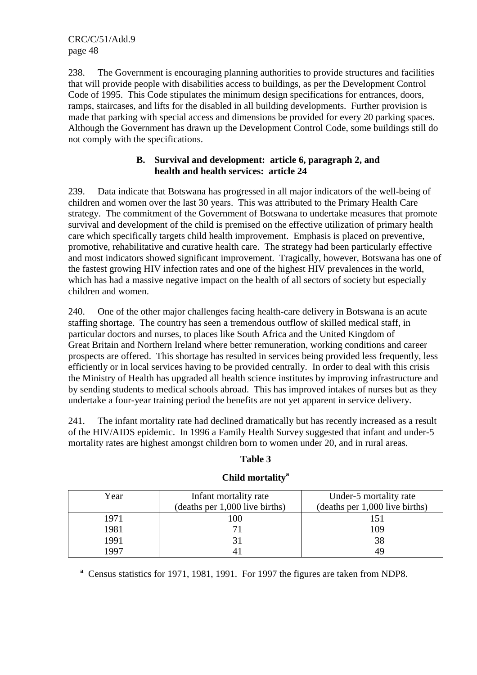238. The Government is encouraging planning authorities to provide structures and facilities that will provide people with disabilities access to buildings, as per the Development Control Code of 1995. This Code stipulates the minimum design specifications for entrances, doors, ramps, staircases, and lifts for the disabled in all building developments. Further provision is made that parking with special access and dimensions be provided for every 20 parking spaces. Although the Government has drawn up the Development Control Code, some buildings still do not comply with the specifications.

## **B. Survival and development: article 6, paragraph 2, and health and health services: article 24**

239. Data indicate that Botswana has progressed in all major indicators of the well-being of children and women over the last 30 years. This was attributed to the Primary Health Care strategy. The commitment of the Government of Botswana to undertake measures that promote survival and development of the child is premised on the effective utilization of primary health care which specifically targets child health improvement. Emphasis is placed on preventive, promotive, rehabilitative and curative health care. The strategy had been particularly effective and most indicators showed significant improvement. Tragically, however, Botswana has one of the fastest growing HIV infection rates and one of the highest HIV prevalences in the world, which has had a massive negative impact on the health of all sectors of society but especially children and women.

240. One of the other major challenges facing health-care delivery in Botswana is an acute staffing shortage. The country has seen a tremendous outflow of skilled medical staff, in particular doctors and nurses, to places like South Africa and the United Kingdom of Great Britain and Northern Ireland where better remuneration, working conditions and career prospects are offered. This shortage has resulted in services being provided less frequently, less efficiently or in local services having to be provided centrally. In order to deal with this crisis the Ministry of Health has upgraded all health science institutes by improving infrastructure and by sending students to medical schools abroad. This has improved intakes of nurses but as they undertake a four-year training period the benefits are not yet apparent in service delivery.

241. The infant mortality rate had declined dramatically but has recently increased as a result of the HIV/AIDS epidemic. In 1996 a Family Health Survey suggested that infant and under-5 mortality rates are highest amongst children born to women under 20, and in rural areas.

## **Table 3**

| Year | Infant mortality rate          | Under-5 mortality rate         |
|------|--------------------------------|--------------------------------|
|      | (deaths per 1,000 live births) | (deaths per 1,000 live births) |
| 1971 | !00                            |                                |
| 1981 |                                | 109                            |
| 1991 |                                | 38                             |
| 1997 |                                | 49                             |

# **Child mortality<sup>a</sup>**

<sup>a</sup> Census statistics for 1971, 1981, 1991. For 1997 the figures are taken from NDP8.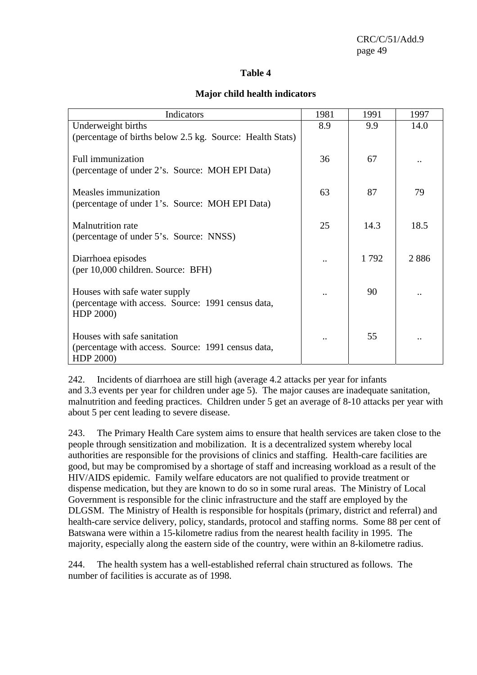#### **Table 4**

#### **Major child health indicators**

| Indicators                                                                                       | 1981 | 1991 | 1997 |
|--------------------------------------------------------------------------------------------------|------|------|------|
| Underweight births<br>(percentage of births below 2.5 kg. Source: Health Stats)                  | 8.9  | 9.9  | 14.0 |
| <b>Full immunization</b><br>(percentage of under 2's. Source: MOH EPI Data)                      | 36   | 67   |      |
| Measles immunization<br>(percentage of under 1's. Source: MOH EPI Data)                          | 63   | 87   | 79   |
| <b>Malnutrition</b> rate<br>(percentage of under 5's. Source: NNSS)                              | 25   | 14.3 | 18.5 |
| Diarrhoea episodes<br>(per 10,000 children. Source: BFH)                                         |      | 1792 | 2886 |
| Houses with safe water supply<br>(percentage with access. Source: 1991 census data,<br>HDP 2000) |      | 90   |      |
| Houses with safe sanitation<br>(percentage with access. Source: 1991 census data,<br>HDP 2000)   |      | 55   |      |

242. Incidents of diarrhoea are still high (average 4.2 attacks per year for infants and 3.3 events per year for children under age 5). The major causes are inadequate sanitation, malnutrition and feeding practices. Children under 5 get an average of 8-10 attacks per year with about 5 per cent leading to severe disease.

243. The Primary Health Care system aims to ensure that health services are taken close to the people through sensitization and mobilization. It is a decentralized system whereby local authorities are responsible for the provisions of clinics and staffing. Health-care facilities are good, but may be compromised by a shortage of staff and increasing workload as a result of the HIV/AIDS epidemic. Family welfare educators are not qualified to provide treatment or dispense medication, but they are known to do so in some rural areas. The Ministry of Local Government is responsible for the clinic infrastructure and the staff are employed by the DLGSM. The Ministry of Health is responsible for hospitals (primary, district and referral) and health-care service delivery, policy, standards, protocol and staffing norms. Some 88 per cent of Batswana were within a 15-kilometre radius from the nearest health facility in 1995. The majority, especially along the eastern side of the country, were within an 8-kilometre radius.

244. The health system has a well-established referral chain structured as follows. The number of facilities is accurate as of 1998.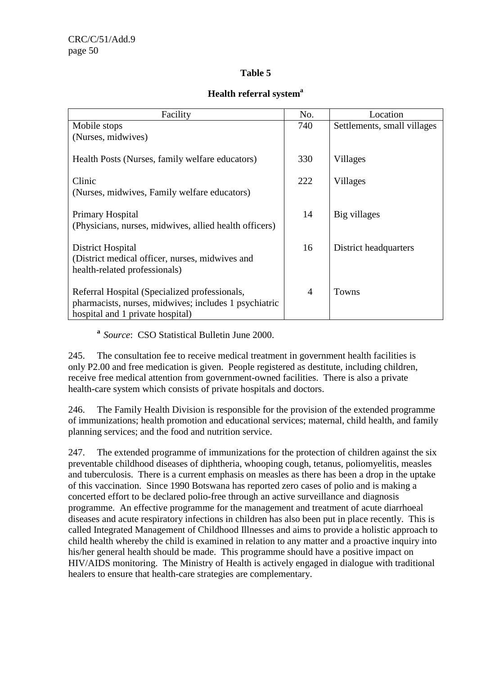# **Table 5**

#### **Health referral system<sup>a</sup>**

| Facility                                               | No. | Location                    |  |  |  |
|--------------------------------------------------------|-----|-----------------------------|--|--|--|
| Mobile stops                                           | 740 | Settlements, small villages |  |  |  |
| (Nurses, midwives)                                     |     |                             |  |  |  |
|                                                        |     |                             |  |  |  |
| Health Posts (Nurses, family welfare educators)        | 330 | Villages                    |  |  |  |
| Clinic                                                 | 222 | Villages                    |  |  |  |
|                                                        |     |                             |  |  |  |
| (Nurses, midwives, Family welfare educators)           |     |                             |  |  |  |
| Primary Hospital                                       | 14  | Big villages                |  |  |  |
| (Physicians, nurses, midwives, allied health officers) |     |                             |  |  |  |
|                                                        |     |                             |  |  |  |
| District Hospital                                      | 16  | District headquarters       |  |  |  |
| (District medical officer, nurses, midwives and        |     |                             |  |  |  |
| health-related professionals)                          |     |                             |  |  |  |
|                                                        |     |                             |  |  |  |
| Referral Hospital (Specialized professionals,          | 4   | <b>Towns</b>                |  |  |  |
| pharmacists, nurses, midwives; includes 1 psychiatric  |     |                             |  |  |  |
| hospital and 1 private hospital)                       |     |                             |  |  |  |

**<sup>a</sup>***Source*: CSO Statistical Bulletin June 2000.

245. The consultation fee to receive medical treatment in government health facilities is only P2.00 and free medication is given. People registered as destitute, including children, receive free medical attention from government-owned facilities. There is also a private health-care system which consists of private hospitals and doctors.

246. The Family Health Division is responsible for the provision of the extended programme of immunizations; health promotion and educational services; maternal, child health, and family planning services; and the food and nutrition service.

247. The extended programme of immunizations for the protection of children against the six preventable childhood diseases of diphtheria, whooping cough, tetanus, poliomyelitis, measles and tuberculosis. There is a current emphasis on measles as there has been a drop in the uptake of this vaccination. Since 1990 Botswana has reported zero cases of polio and is making a concerted effort to be declared polio-free through an active surveillance and diagnosis programme. An effective programme for the management and treatment of acute diarrhoeal diseases and acute respiratory infections in children has also been put in place recently. This is called Integrated Management of Childhood Illnesses and aims to provide a holistic approach to child health whereby the child is examined in relation to any matter and a proactive inquiry into his/her general health should be made. This programme should have a positive impact on HIV/AIDS monitoring. The Ministry of Health is actively engaged in dialogue with traditional healers to ensure that health-care strategies are complementary.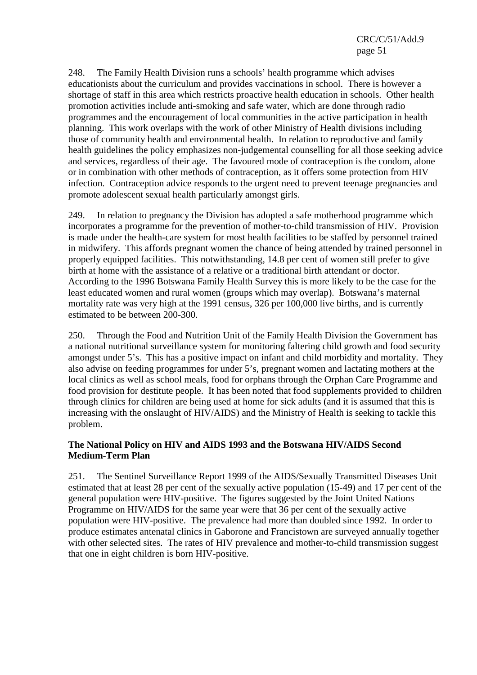248. The Family Health Division runs a schools' health programme which advises educationists about the curriculum and provides vaccinations in school. There is however a shortage of staff in this area which restricts proactive health education in schools. Other health promotion activities include anti-smoking and safe water, which are done through radio programmes and the encouragement of local communities in the active participation in health planning. This work overlaps with the work of other Ministry of Health divisions including those of community health and environmental health. In relation to reproductive and family health guidelines the policy emphasizes non-judgemental counselling for all those seeking advice and services, regardless of their age. The favoured mode of contraception is the condom, alone or in combination with other methods of contraception, as it offers some protection from HIV infection. Contraception advice responds to the urgent need to prevent teenage pregnancies and promote adolescent sexual health particularly amongst girls.

249. In relation to pregnancy the Division has adopted a safe motherhood programme which incorporates a programme for the prevention of mother-to-child transmission of HIV. Provision is made under the health-care system for most health facilities to be staffed by personnel trained in midwifery. This affords pregnant women the chance of being attended by trained personnel in properly equipped facilities. This notwithstanding, 14.8 per cent of women still prefer to give birth at home with the assistance of a relative or a traditional birth attendant or doctor. According to the 1996 Botswana Family Health Survey this is more likely to be the case for the least educated women and rural women (groups which may overlap). Botswana's maternal mortality rate was very high at the 1991 census, 326 per 100,000 live births, and is currently estimated to be between 200-300.

250. Through the Food and Nutrition Unit of the Family Health Division the Government has a national nutritional surveillance system for monitoring faltering child growth and food security amongst under 5's. This has a positive impact on infant and child morbidity and mortality. They also advise on feeding programmes for under 5's, pregnant women and lactating mothers at the local clinics as well as school meals, food for orphans through the Orphan Care Programme and food provision for destitute people. It has been noted that food supplements provided to children through clinics for children are being used at home for sick adults (and it is assumed that this is increasing with the onslaught of HIV/AIDS) and the Ministry of Health is seeking to tackle this problem.

## **The National Policy on HIV and AIDS 1993 and the Botswana HIV/AIDS Second Medium-Term Plan**

251. The Sentinel Surveillance Report 1999 of the AIDS/Sexually Transmitted Diseases Unit estimated that at least 28 per cent of the sexually active population (15-49) and 17 per cent of the general population were HIV-positive. The figures suggested by the Joint United Nations Programme on HIV/AIDS for the same year were that 36 per cent of the sexually active population were HIV-positive. The prevalence had more than doubled since 1992. In order to produce estimates antenatal clinics in Gaborone and Francistown are surveyed annually together with other selected sites. The rates of HIV prevalence and mother-to-child transmission suggest that one in eight children is born HIV-positive.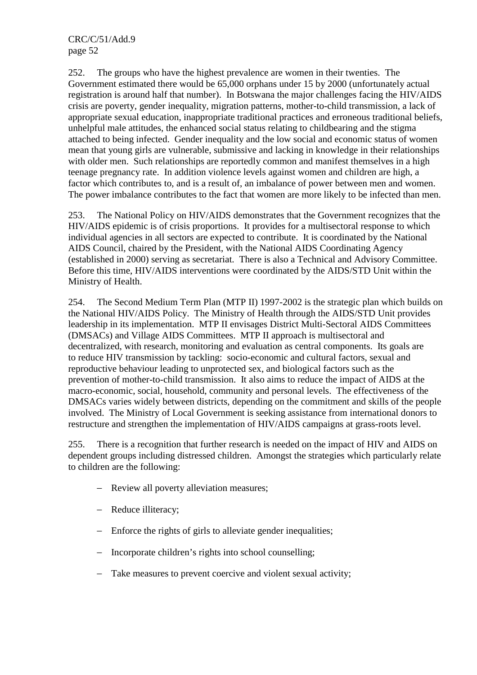252. The groups who have the highest prevalence are women in their twenties. The Government estimated there would be 65,000 orphans under 15 by 2000 (unfortunately actual registration is around half that number). In Botswana the major challenges facing the HIV/AIDS crisis are poverty, gender inequality, migration patterns, mother-to-child transmission, a lack of appropriate sexual education, inappropriate traditional practices and erroneous traditional beliefs, unhelpful male attitudes, the enhanced social status relating to childbearing and the stigma attached to being infected. Gender inequality and the low social and economic status of women mean that young girls are vulnerable, submissive and lacking in knowledge in their relationships with older men. Such relationships are reportedly common and manifest themselves in a high teenage pregnancy rate. In addition violence levels against women and children are high, a factor which contributes to, and is a result of, an imbalance of power between men and women. The power imbalance contributes to the fact that women are more likely to be infected than men.

253. The National Policy on HIV/AIDS demonstrates that the Government recognizes that the HIV/AIDS epidemic is of crisis proportions. It provides for a multisectoral response to which individual agencies in all sectors are expected to contribute. It is coordinated by the National AIDS Council, chaired by the President, with the National AIDS Coordinating Agency (established in 2000) serving as secretariat. There is also a Technical and Advisory Committee. Before this time, HIV/AIDS interventions were coordinated by the AIDS/STD Unit within the Ministry of Health.

254. The Second Medium Term Plan (MTP II) 1997-2002 is the strategic plan which builds on the National HIV/AIDS Policy. The Ministry of Health through the AIDS/STD Unit provides leadership in its implementation. MTP II envisages District Multi-Sectoral AIDS Committees (DMSACs) and Village AIDS Committees. MTP II approach is multisectoral and decentralized, with research, monitoring and evaluation as central components. Its goals are to reduce HIV transmission by tackling: socio-economic and cultural factors, sexual and reproductive behaviour leading to unprotected sex, and biological factors such as the prevention of mother-to-child transmission. It also aims to reduce the impact of AIDS at the macro-economic, social, household, community and personal levels. The effectiveness of the DMSACs varies widely between districts, depending on the commitment and skills of the people involved. The Ministry of Local Government is seeking assistance from international donors to restructure and strengthen the implementation of HIV/AIDS campaigns at grass-roots level.

255. There is a recognition that further research is needed on the impact of HIV and AIDS on dependent groups including distressed children. Amongst the strategies which particularly relate to children are the following:

- − Review all poverty alleviation measures;
- − Reduce illiteracy;
- − Enforce the rights of girls to alleviate gender inequalities;
- − Incorporate children's rights into school counselling;
- − Take measures to prevent coercive and violent sexual activity;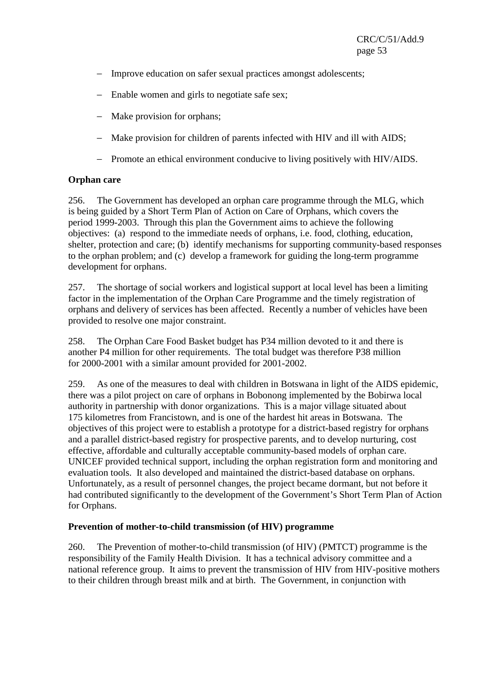- − Improve education on safer sexual practices amongst adolescents;
- − Enable women and girls to negotiate safe sex;
- − Make provision for orphans;
- − Make provision for children of parents infected with HIV and ill with AIDS;
- − Promote an ethical environment conducive to living positively with HIV/AIDS.

## **Orphan care**

256. The Government has developed an orphan care programme through the MLG, which is being guided by a Short Term Plan of Action on Care of Orphans, which covers the period 1999-2003. Through this plan the Government aims to achieve the following objectives: (a) respond to the immediate needs of orphans, i.e. food, clothing, education, shelter, protection and care; (b) identify mechanisms for supporting community-based responses to the orphan problem; and (c) develop a framework for guiding the long-term programme development for orphans.

257. The shortage of social workers and logistical support at local level has been a limiting factor in the implementation of the Orphan Care Programme and the timely registration of orphans and delivery of services has been affected. Recently a number of vehicles have been provided to resolve one major constraint.

258. The Orphan Care Food Basket budget has P34 million devoted to it and there is another P4 million for other requirements. The total budget was therefore P38 million for 2000-2001 with a similar amount provided for 2001-2002.

259. As one of the measures to deal with children in Botswana in light of the AIDS epidemic, there was a pilot project on care of orphans in Bobonong implemented by the Bobirwa local authority in partnership with donor organizations. This is a major village situated about 175 kilometres from Francistown, and is one of the hardest hit areas in Botswana. The objectives of this project were to establish a prototype for a district-based registry for orphans and a parallel district-based registry for prospective parents, and to develop nurturing, cost effective, affordable and culturally acceptable community-based models of orphan care. UNICEF provided technical support, including the orphan registration form and monitoring and evaluation tools. It also developed and maintained the district-based database on orphans. Unfortunately, as a result of personnel changes, the project became dormant, but not before it had contributed significantly to the development of the Government's Short Term Plan of Action for Orphans.

## **Prevention of mother-to-child transmission (of HIV) programme**

260. The Prevention of mother-to-child transmission (of HIV) (PMTCT) programme is the responsibility of the Family Health Division. It has a technical advisory committee and a national reference group. It aims to prevent the transmission of HIV from HIV-positive mothers to their children through breast milk and at birth. The Government, in conjunction with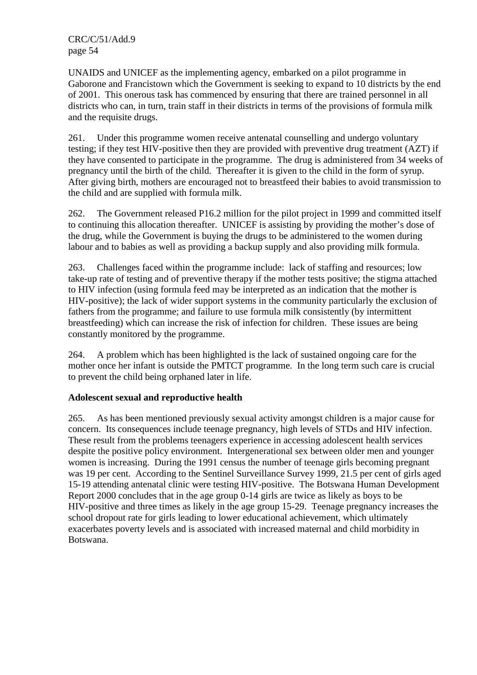UNAIDS and UNICEF as the implementing agency, embarked on a pilot programme in Gaborone and Francistown which the Government is seeking to expand to 10 districts by the end of 2001. This onerous task has commenced by ensuring that there are trained personnel in all districts who can, in turn, train staff in their districts in terms of the provisions of formula milk and the requisite drugs.

261. Under this programme women receive antenatal counselling and undergo voluntary testing; if they test HIV-positive then they are provided with preventive drug treatment (AZT) if they have consented to participate in the programme. The drug is administered from 34 weeks of pregnancy until the birth of the child. Thereafter it is given to the child in the form of syrup. After giving birth, mothers are encouraged not to breastfeed their babies to avoid transmission to the child and are supplied with formula milk.

262. The Government released P16.2 million for the pilot project in 1999 and committed itself to continuing this allocation thereafter. UNICEF is assisting by providing the mother's dose of the drug, while the Government is buying the drugs to be administered to the women during labour and to babies as well as providing a backup supply and also providing milk formula.

263. Challenges faced within the programme include: lack of staffing and resources; low take-up rate of testing and of preventive therapy if the mother tests positive; the stigma attached to HIV infection (using formula feed may be interpreted as an indication that the mother is HIV-positive); the lack of wider support systems in the community particularly the exclusion of fathers from the programme; and failure to use formula milk consistently (by intermittent breastfeeding) which can increase the risk of infection for children. These issues are being constantly monitored by the programme.

264. A problem which has been highlighted is the lack of sustained ongoing care for the mother once her infant is outside the PMTCT programme. In the long term such care is crucial to prevent the child being orphaned later in life.

## **Adolescent sexual and reproductive health**

265. As has been mentioned previously sexual activity amongst children is a major cause for concern. Its consequences include teenage pregnancy, high levels of STDs and HIV infection. These result from the problems teenagers experience in accessing adolescent health services despite the positive policy environment. Intergenerational sex between older men and younger women is increasing. During the 1991 census the number of teenage girls becoming pregnant was 19 per cent. According to the Sentinel Surveillance Survey 1999, 21.5 per cent of girls aged 15-19 attending antenatal clinic were testing HIV-positive. The Botswana Human Development Report 2000 concludes that in the age group 0-14 girls are twice as likely as boys to be HIV-positive and three times as likely in the age group 15-29. Teenage pregnancy increases the school dropout rate for girls leading to lower educational achievement, which ultimately exacerbates poverty levels and is associated with increased maternal and child morbidity in Botswana.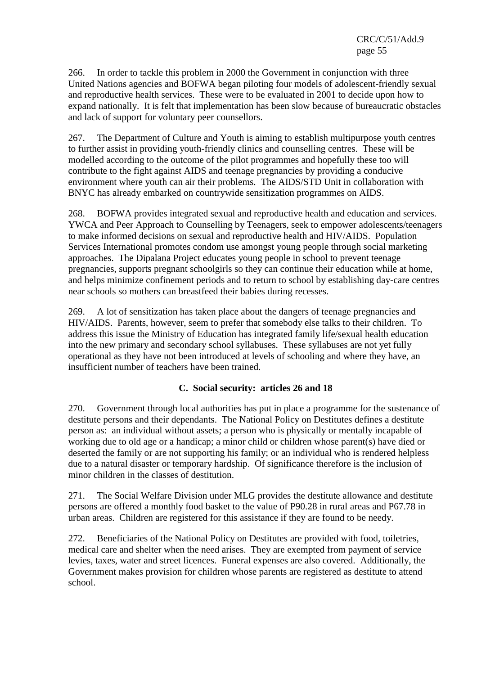266. In order to tackle this problem in 2000 the Government in conjunction with three United Nations agencies and BOFWA began piloting four models of adolescent-friendly sexual and reproductive health services. These were to be evaluated in 2001 to decide upon how to expand nationally. It is felt that implementation has been slow because of bureaucratic obstacles and lack of support for voluntary peer counsellors.

267. The Department of Culture and Youth is aiming to establish multipurpose youth centres to further assist in providing youth-friendly clinics and counselling centres. These will be modelled according to the outcome of the pilot programmes and hopefully these too will contribute to the fight against AIDS and teenage pregnancies by providing a conducive environment where youth can air their problems. The AIDS/STD Unit in collaboration with BNYC has already embarked on countrywide sensitization programmes on AIDS.

268. BOFWA provides integrated sexual and reproductive health and education and services. YWCA and Peer Approach to Counselling by Teenagers, seek to empower adolescents/teenagers to make informed decisions on sexual and reproductive health and HIV/AIDS. Population Services International promotes condom use amongst young people through social marketing approaches. The Dipalana Project educates young people in school to prevent teenage pregnancies, supports pregnant schoolgirls so they can continue their education while at home, and helps minimize confinement periods and to return to school by establishing day-care centres near schools so mothers can breastfeed their babies during recesses.

269. A lot of sensitization has taken place about the dangers of teenage pregnancies and HIV/AIDS. Parents, however, seem to prefer that somebody else talks to their children. To address this issue the Ministry of Education has integrated family life/sexual health education into the new primary and secondary school syllabuses. These syllabuses are not yet fully operational as they have not been introduced at levels of schooling and where they have, an insufficient number of teachers have been trained.

## **C. Social security: articles 26 and 18**

270. Government through local authorities has put in place a programme for the sustenance of destitute persons and their dependants. The National Policy on Destitutes defines a destitute person as: an individual without assets; a person who is physically or mentally incapable of working due to old age or a handicap; a minor child or children whose parent(s) have died or deserted the family or are not supporting his family; or an individual who is rendered helpless due to a natural disaster or temporary hardship. Of significance therefore is the inclusion of minor children in the classes of destitution.

271. The Social Welfare Division under MLG provides the destitute allowance and destitute persons are offered a monthly food basket to the value of P90.28 in rural areas and P67.78 in urban areas. Children are registered for this assistance if they are found to be needy.

272. Beneficiaries of the National Policy on Destitutes are provided with food, toiletries, medical care and shelter when the need arises. They are exempted from payment of service levies, taxes, water and street licences. Funeral expenses are also covered. Additionally, the Government makes provision for children whose parents are registered as destitute to attend school.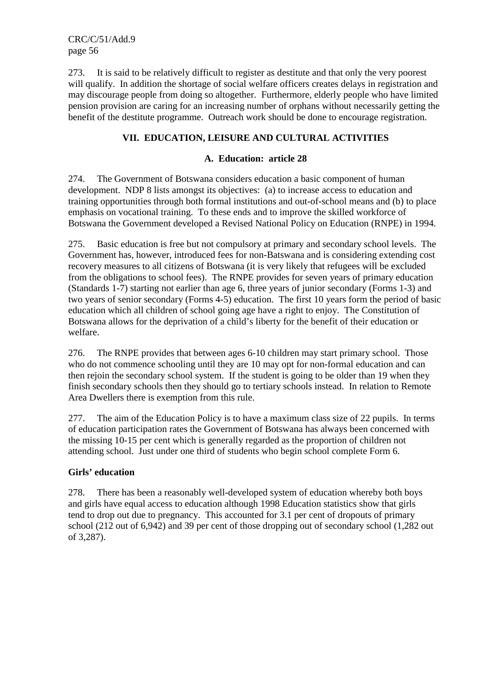273. It is said to be relatively difficult to register as destitute and that only the very poorest will qualify. In addition the shortage of social welfare officers creates delays in registration and may discourage people from doing so altogether. Furthermore, elderly people who have limited pension provision are caring for an increasing number of orphans without necessarily getting the benefit of the destitute programme. Outreach work should be done to encourage registration.

# **VII. EDUCATION, LEISURE AND CULTURAL ACTIVITIES**

#### **A. Education: article 28**

274. The Government of Botswana considers education a basic component of human development. NDP 8 lists amongst its objectives: (a) to increase access to education and training opportunities through both formal institutions and out-of-school means and (b) to place emphasis on vocational training. To these ends and to improve the skilled workforce of Botswana the Government developed a Revised National Policy on Education (RNPE) in 1994.

275. Basic education is free but not compulsory at primary and secondary school levels. The Government has, however, introduced fees for non-Batswana and is considering extending cost recovery measures to all citizens of Botswana (it is very likely that refugees will be excluded from the obligations to school fees). The RNPE provides for seven years of primary education (Standards 1-7) starting not earlier than age 6, three years of junior secondary (Forms 1-3) and two years of senior secondary (Forms 4-5) education. The first 10 years form the period of basic education which all children of school going age have a right to enjoy. The Constitution of Botswana allows for the deprivation of a child's liberty for the benefit of their education or welfare.

276. The RNPE provides that between ages 6-10 children may start primary school. Those who do not commence schooling until they are 10 may opt for non-formal education and can then rejoin the secondary school system. If the student is going to be older than 19 when they finish secondary schools then they should go to tertiary schools instead. In relation to Remote Area Dwellers there is exemption from this rule.

277. The aim of the Education Policy is to have a maximum class size of 22 pupils. In terms of education participation rates the Government of Botswana has always been concerned with the missing 10-15 per cent which is generally regarded as the proportion of children not attending school. Just under one third of students who begin school complete Form 6.

## **Girls' education**

278. There has been a reasonably well-developed system of education whereby both boys and girls have equal access to education although 1998 Education statistics show that girls tend to drop out due to pregnancy. This accounted for 3.1 per cent of dropouts of primary school (212 out of 6,942) and 39 per cent of those dropping out of secondary school (1,282 out of 3,287).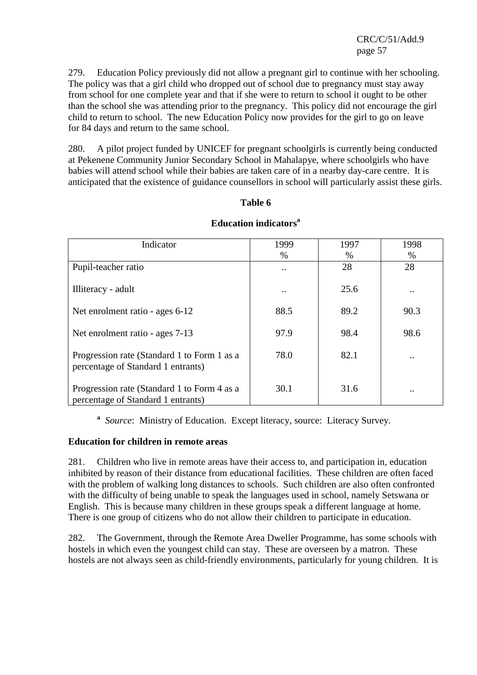279. Education Policy previously did not allow a pregnant girl to continue with her schooling. The policy was that a girl child who dropped out of school due to pregnancy must stay away from school for one complete year and that if she were to return to school it ought to be other than the school she was attending prior to the pregnancy. This policy did not encourage the girl child to return to school. The new Education Policy now provides for the girl to go on leave for 84 days and return to the same school.

280. A pilot project funded by UNICEF for pregnant schoolgirls is currently being conducted at Pekenene Community Junior Secondary School in Mahalapye, where schoolgirls who have babies will attend school while their babies are taken care of in a nearby day-care centre. It is anticipated that the existence of guidance counsellors in school will particularly assist these girls.

## **Table 6**

| Indicator                                                                         | 1999          | 1997 | 1998                 |
|-----------------------------------------------------------------------------------|---------------|------|----------------------|
|                                                                                   | %             | %    | %                    |
| Pupil-teacher ratio                                                               | $\cdot \cdot$ | 28   | 28                   |
| Illiteracy - adult                                                                | $\cdot \cdot$ | 25.6 | $\ddot{\phantom{0}}$ |
| Net enrolment ratio - ages 6-12                                                   | 88.5          | 89.2 | 90.3                 |
| Net enrolment ratio - ages 7-13                                                   | 97.9          | 98.4 | 98.6                 |
| Progression rate (Standard 1 to Form 1 as a<br>percentage of Standard 1 entrants) | 78.0          | 82.1 |                      |
| Progression rate (Standard 1 to Form 4 as a<br>percentage of Standard 1 entrants) | 30.1          | 31.6 | $\bullet$ .          |

## **Education indicators<sup>a</sup>**

**a** *Source*: Ministry of Education. Except literacy, source: Literacy Survey.

## **Education for children in remote areas**

281. Children who live in remote areas have their access to, and participation in, education inhibited by reason of their distance from educational facilities. These children are often faced with the problem of walking long distances to schools. Such children are also often confronted with the difficulty of being unable to speak the languages used in school, namely Setswana or English. This is because many children in these groups speak a different language at home. There is one group of citizens who do not allow their children to participate in education.

282. The Government, through the Remote Area Dweller Programme, has some schools with hostels in which even the youngest child can stay. These are overseen by a matron. These hostels are not always seen as child-friendly environments, particularly for young children. It is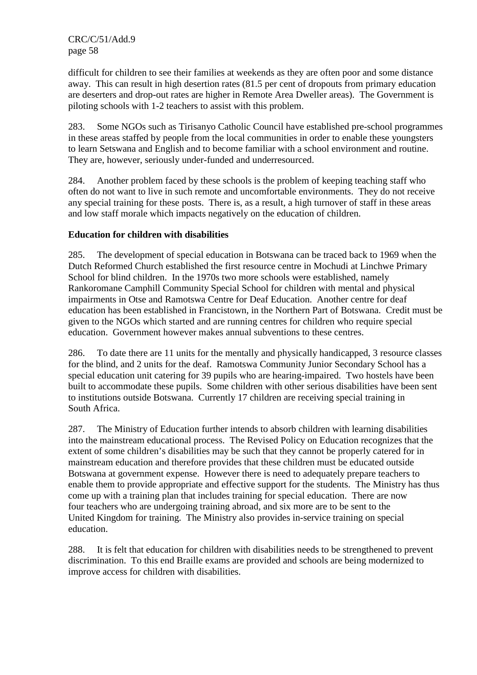difficult for children to see their families at weekends as they are often poor and some distance away. This can result in high desertion rates (81.5 per cent of dropouts from primary education are deserters and drop-out rates are higher in Remote Area Dweller areas). The Government is piloting schools with 1-2 teachers to assist with this problem.

283. Some NGOs such as Tirisanyo Catholic Council have established pre-school programmes in these areas staffed by people from the local communities in order to enable these youngsters to learn Setswana and English and to become familiar with a school environment and routine. They are, however, seriously under-funded and underresourced.

284. Another problem faced by these schools is the problem of keeping teaching staff who often do not want to live in such remote and uncomfortable environments. They do not receive any special training for these posts. There is, as a result, a high turnover of staff in these areas and low staff morale which impacts negatively on the education of children.

## **Education for children with disabilities**

285. The development of special education in Botswana can be traced back to 1969 when the Dutch Reformed Church established the first resource centre in Mochudi at Linchwe Primary School for blind children. In the 1970s two more schools were established, namely Rankoromane Camphill Community Special School for children with mental and physical impairments in Otse and Ramotswa Centre for Deaf Education. Another centre for deaf education has been established in Francistown, in the Northern Part of Botswana. Credit must be given to the NGOs which started and are running centres for children who require special education. Government however makes annual subventions to these centres.

286. To date there are 11 units for the mentally and physically handicapped, 3 resource classes for the blind, and 2 units for the deaf. Ramotswa Community Junior Secondary School has a special education unit catering for 39 pupils who are hearing-impaired. Two hostels have been built to accommodate these pupils. Some children with other serious disabilities have been sent to institutions outside Botswana. Currently 17 children are receiving special training in South Africa.

287. The Ministry of Education further intends to absorb children with learning disabilities into the mainstream educational process. The Revised Policy on Education recognizes that the extent of some children's disabilities may be such that they cannot be properly catered for in mainstream education and therefore provides that these children must be educated outside Botswana at government expense. However there is need to adequately prepare teachers to enable them to provide appropriate and effective support for the students. The Ministry has thus come up with a training plan that includes training for special education. There are now four teachers who are undergoing training abroad, and six more are to be sent to the United Kingdom for training. The Ministry also provides in-service training on special education.

288. It is felt that education for children with disabilities needs to be strengthened to prevent discrimination. To this end Braille exams are provided and schools are being modernized to improve access for children with disabilities.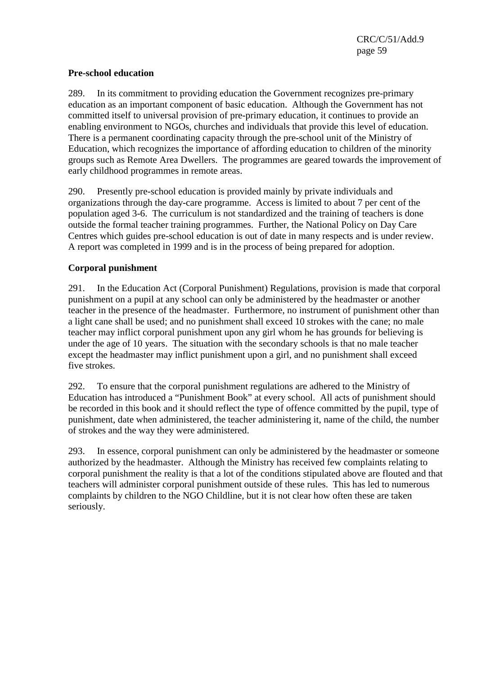## **Pre-school education**

289. In its commitment to providing education the Government recognizes pre-primary education as an important component of basic education. Although the Government has not committed itself to universal provision of pre-primary education, it continues to provide an enabling environment to NGOs, churches and individuals that provide this level of education. There is a permanent coordinating capacity through the pre-school unit of the Ministry of Education, which recognizes the importance of affording education to children of the minority groups such as Remote Area Dwellers. The programmes are geared towards the improvement of early childhood programmes in remote areas.

290. Presently pre-school education is provided mainly by private individuals and organizations through the day-care programme. Access is limited to about 7 per cent of the population aged 3-6. The curriculum is not standardized and the training of teachers is done outside the formal teacher training programmes. Further, the National Policy on Day Care Centres which guides pre-school education is out of date in many respects and is under review. A report was completed in 1999 and is in the process of being prepared for adoption.

## **Corporal punishment**

291. In the Education Act (Corporal Punishment) Regulations, provision is made that corporal punishment on a pupil at any school can only be administered by the headmaster or another teacher in the presence of the headmaster. Furthermore, no instrument of punishment other than a light cane shall be used; and no punishment shall exceed 10 strokes with the cane; no male teacher may inflict corporal punishment upon any girl whom he has grounds for believing is under the age of 10 years. The situation with the secondary schools is that no male teacher except the headmaster may inflict punishment upon a girl, and no punishment shall exceed five strokes.

292. To ensure that the corporal punishment regulations are adhered to the Ministry of Education has introduced a "Punishment Book" at every school. All acts of punishment should be recorded in this book and it should reflect the type of offence committed by the pupil, type of punishment, date when administered, the teacher administering it, name of the child, the number of strokes and the way they were administered.

293. In essence, corporal punishment can only be administered by the headmaster or someone authorized by the headmaster. Although the Ministry has received few complaints relating to corporal punishment the reality is that a lot of the conditions stipulated above are flouted and that teachers will administer corporal punishment outside of these rules. This has led to numerous complaints by children to the NGO Childline, but it is not clear how often these are taken seriously.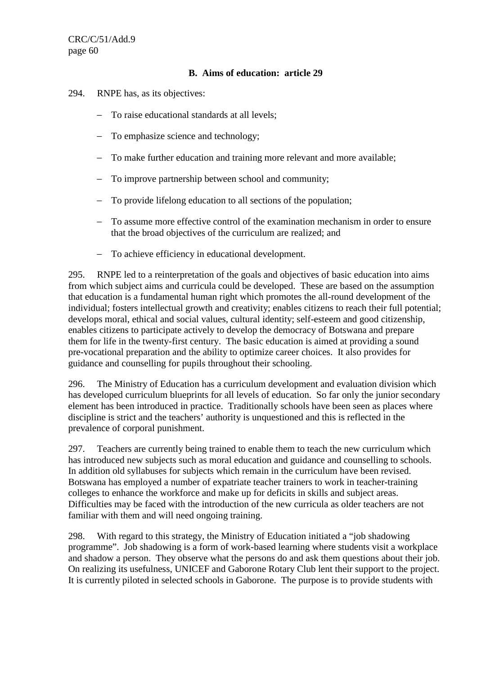## **B. Aims of education: article 29**

- 294. RNPE has, as its objectives:
	- − To raise educational standards at all levels;
	- − To emphasize science and technology;
	- − To make further education and training more relevant and more available;
	- − To improve partnership between school and community;
	- − To provide lifelong education to all sections of the population;
	- − To assume more effective control of the examination mechanism in order to ensure that the broad objectives of the curriculum are realized; and
	- − To achieve efficiency in educational development.

295. RNPE led to a reinterpretation of the goals and objectives of basic education into aims from which subject aims and curricula could be developed. These are based on the assumption that education is a fundamental human right which promotes the all-round development of the individual; fosters intellectual growth and creativity; enables citizens to reach their full potential; develops moral, ethical and social values, cultural identity; self-esteem and good citizenship, enables citizens to participate actively to develop the democracy of Botswana and prepare them for life in the twenty-first century. The basic education is aimed at providing a sound pre-vocational preparation and the ability to optimize career choices. It also provides for guidance and counselling for pupils throughout their schooling.

296. The Ministry of Education has a curriculum development and evaluation division which has developed curriculum blueprints for all levels of education. So far only the junior secondary element has been introduced in practice. Traditionally schools have been seen as places where discipline is strict and the teachers' authority is unquestioned and this is reflected in the prevalence of corporal punishment.

297. Teachers are currently being trained to enable them to teach the new curriculum which has introduced new subjects such as moral education and guidance and counselling to schools. In addition old syllabuses for subjects which remain in the curriculum have been revised. Botswana has employed a number of expatriate teacher trainers to work in teacher-training colleges to enhance the workforce and make up for deficits in skills and subject areas. Difficulties may be faced with the introduction of the new curricula as older teachers are not familiar with them and will need ongoing training.

298. With regard to this strategy, the Ministry of Education initiated a "job shadowing programme". Job shadowing is a form of work-based learning where students visit a workplace and shadow a person. They observe what the persons do and ask them questions about their job. On realizing its usefulness, UNICEF and Gaborone Rotary Club lent their support to the project. It is currently piloted in selected schools in Gaborone. The purpose is to provide students with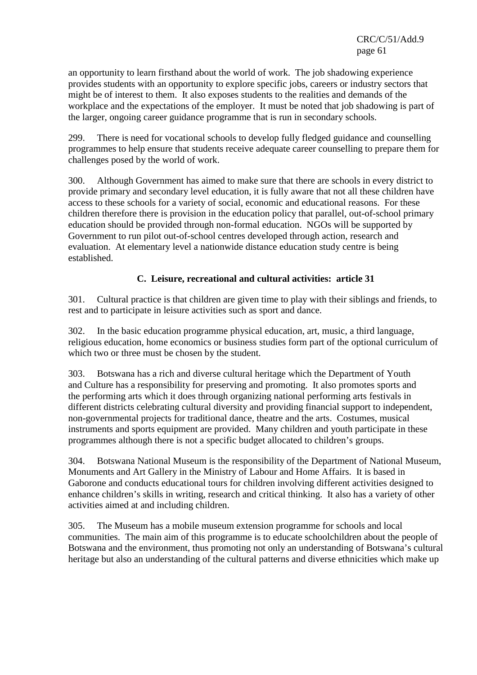an opportunity to learn firsthand about the world of work. The job shadowing experience provides students with an opportunity to explore specific jobs, careers or industry sectors that might be of interest to them. It also exposes students to the realities and demands of the workplace and the expectations of the employer. It must be noted that job shadowing is part of the larger, ongoing career guidance programme that is run in secondary schools.

299. There is need for vocational schools to develop fully fledged guidance and counselling programmes to help ensure that students receive adequate career counselling to prepare them for challenges posed by the world of work.

300. Although Government has aimed to make sure that there are schools in every district to provide primary and secondary level education, it is fully aware that not all these children have access to these schools for a variety of social, economic and educational reasons. For these children therefore there is provision in the education policy that parallel, out-of-school primary education should be provided through non-formal education. NGOs will be supported by Government to run pilot out-of-school centres developed through action, research and evaluation. At elementary level a nationwide distance education study centre is being established.

# **C. Leisure, recreational and cultural activities: article 31**

301. Cultural practice is that children are given time to play with their siblings and friends, to rest and to participate in leisure activities such as sport and dance.

302. In the basic education programme physical education, art, music, a third language, religious education, home economics or business studies form part of the optional curriculum of which two or three must be chosen by the student.

303. Botswana has a rich and diverse cultural heritage which the Department of Youth and Culture has a responsibility for preserving and promoting. It also promotes sports and the performing arts which it does through organizing national performing arts festivals in different districts celebrating cultural diversity and providing financial support to independent, non-governmental projects for traditional dance, theatre and the arts. Costumes, musical instruments and sports equipment are provided. Many children and youth participate in these programmes although there is not a specific budget allocated to children's groups.

304. Botswana National Museum is the responsibility of the Department of National Museum, Monuments and Art Gallery in the Ministry of Labour and Home Affairs. It is based in Gaborone and conducts educational tours for children involving different activities designed to enhance children's skills in writing, research and critical thinking. It also has a variety of other activities aimed at and including children.

305. The Museum has a mobile museum extension programme for schools and local communities. The main aim of this programme is to educate schoolchildren about the people of Botswana and the environment, thus promoting not only an understanding of Botswana's cultural heritage but also an understanding of the cultural patterns and diverse ethnicities which make up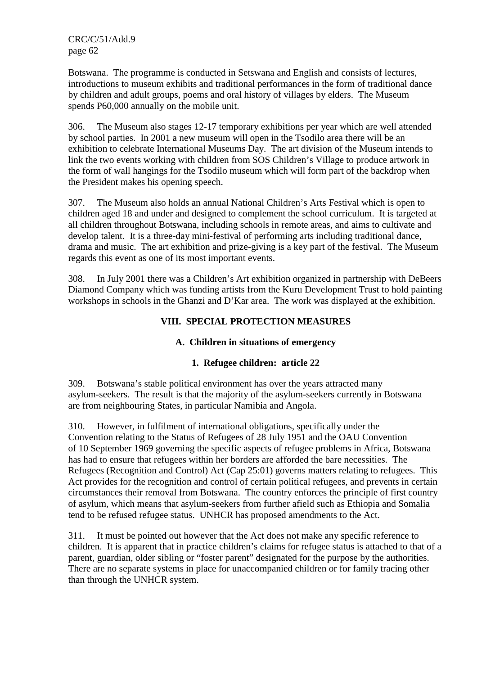Botswana. The programme is conducted in Setswana and English and consists of lectures, introductions to museum exhibits and traditional performances in the form of traditional dance by children and adult groups, poems and oral history of villages by elders. The Museum spends P60,000 annually on the mobile unit.

306. The Museum also stages 12-17 temporary exhibitions per year which are well attended by school parties. In 2001 a new museum will open in the Tsodilo area there will be an exhibition to celebrate International Museums Day. The art division of the Museum intends to link the two events working with children from SOS Children's Village to produce artwork in the form of wall hangings for the Tsodilo museum which will form part of the backdrop when the President makes his opening speech.

307. The Museum also holds an annual National Children's Arts Festival which is open to children aged 18 and under and designed to complement the school curriculum. It is targeted at all children throughout Botswana, including schools in remote areas, and aims to cultivate and develop talent. It is a three-day mini-festival of performing arts including traditional dance, drama and music. The art exhibition and prize-giving is a key part of the festival. The Museum regards this event as one of its most important events.

308. In July 2001 there was a Children's Art exhibition organized in partnership with DeBeers Diamond Company which was funding artists from the Kuru Development Trust to hold painting workshops in schools in the Ghanzi and D'Kar area. The work was displayed at the exhibition.

## **VIII. SPECIAL PROTECTION MEASURES**

## **A. Children in situations of emergency**

## **1. Refugee children: article 22**

309. Botswana's stable political environment has over the years attracted many asylum-seekers. The result is that the majority of the asylum-seekers currently in Botswana are from neighbouring States, in particular Namibia and Angola.

310. However, in fulfilment of international obligations, specifically under the Convention relating to the Status of Refugees of 28 July 1951 and the OAU Convention of 10 September 1969 governing the specific aspects of refugee problems in Africa, Botswana has had to ensure that refugees within her borders are afforded the bare necessities. The Refugees (Recognition and Control) Act (Cap 25:01) governs matters relating to refugees. This Act provides for the recognition and control of certain political refugees, and prevents in certain circumstances their removal from Botswana. The country enforces the principle of first country of asylum, which means that asylum-seekers from further afield such as Ethiopia and Somalia tend to be refused refugee status. UNHCR has proposed amendments to the Act.

311. It must be pointed out however that the Act does not make any specific reference to children. It is apparent that in practice children's claims for refugee status is attached to that of a parent, guardian, older sibling or "foster parent" designated for the purpose by the authorities. There are no separate systems in place for unaccompanied children or for family tracing other than through the UNHCR system.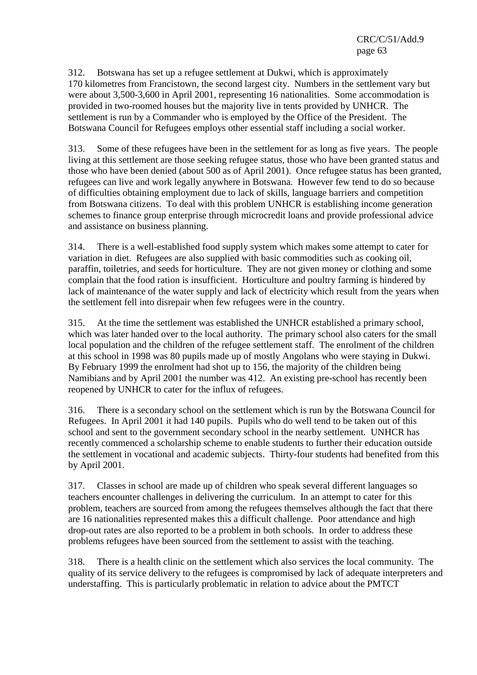312. Botswana has set up a refugee settlement at Dukwi, which is approximately 170 kilometres from Francistown, the second largest city. Numbers in the settlement vary but were about 3,500-3,600 in April 2001, representing 16 nationalities. Some accommodation is provided in two-roomed houses but the majority live in tents provided by UNHCR. The settlement is run by a Commander who is employed by the Office of the President. The Botswana Council for Refugees employs other essential staff including a social worker.

313. Some of these refugees have been in the settlement for as long as five years. The people living at this settlement are those seeking refugee status, those who have been granted status and those who have been denied (about 500 as of April 2001). Once refugee status has been granted, refugees can live and work legally anywhere in Botswana. However few tend to do so because of difficulties obtaining employment due to lack of skills, language barriers and competition from Botswana citizens. To deal with this problem UNHCR is establishing income generation schemes to finance group enterprise through microcredit loans and provide professional advice and assistance on business planning.

314. There is a well-established food supply system which makes some attempt to cater for variation in diet. Refugees are also supplied with basic commodities such as cooking oil, paraffin, toiletries, and seeds for horticulture. They are not given money or clothing and some complain that the food ration is insufficient. Horticulture and poultry farming is hindered by lack of maintenance of the water supply and lack of electricity which result from the years when the settlement fell into disrepair when few refugees were in the country.

315. At the time the settlement was established the UNHCR established a primary school, which was later handed over to the local authority. The primary school also caters for the small local population and the children of the refugee settlement staff. The enrolment of the children at this school in 1998 was 80 pupils made up of mostly Angolans who were staying in Dukwi. By February 1999 the enrolment had shot up to 156, the majority of the children being Namibians and by April 2001 the number was 412. An existing pre-school has recently been reopened by UNHCR to cater for the influx of refugees.

316. There is a secondary school on the settlement which is run by the Botswana Council for Refugees. In April 2001 it had 140 pupils. Pupils who do well tend to be taken out of this school and sent to the government secondary school in the nearby settlement. UNHCR has recently commenced a scholarship scheme to enable students to further their education outside the settlement in vocational and academic subjects. Thirty-four students had benefited from this by April 2001.

317. Classes in school are made up of children who speak several different languages so teachers encounter challenges in delivering the curriculum. In an attempt to cater for this problem, teachers are sourced from among the refugees themselves although the fact that there are 16 nationalities represented makes this a difficult challenge. Poor attendance and high drop-out rates are also reported to be a problem in both schools. In order to address these problems refugees have been sourced from the settlement to assist with the teaching.

318. There is a health clinic on the settlement which also services the local community. The quality of its service delivery to the refugees is compromised by lack of adequate interpreters and understaffing. This is particularly problematic in relation to advice about the PMTCT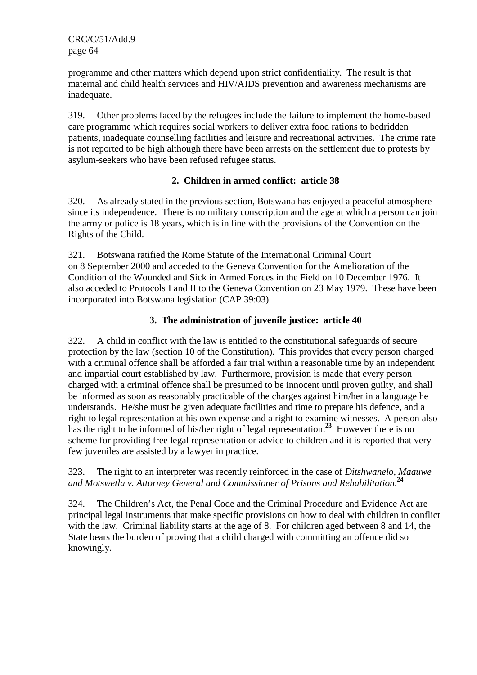programme and other matters which depend upon strict confidentiality. The result is that maternal and child health services and HIV/AIDS prevention and awareness mechanisms are inadequate.

319. Other problems faced by the refugees include the failure to implement the home-based care programme which requires social workers to deliver extra food rations to bedridden patients, inadequate counselling facilities and leisure and recreational activities. The crime rate is not reported to be high although there have been arrests on the settlement due to protests by asylum-seekers who have been refused refugee status.

## **2. Children in armed conflict: article 38**

320. As already stated in the previous section, Botswana has enjoyed a peaceful atmosphere since its independence. There is no military conscription and the age at which a person can join the army or police is 18 years, which is in line with the provisions of the Convention on the Rights of the Child.

321. Botswana ratified the Rome Statute of the International Criminal Court on 8 September 2000 and acceded to the Geneva Convention for the Amelioration of the Condition of the Wounded and Sick in Armed Forces in the Field on 10 December 1976. It also acceded to Protocols I and II to the Geneva Convention on 23 May 1979. These have been incorporated into Botswana legislation (CAP 39:03).

## **3. The administration of juvenile justice: article 40**

322. A child in conflict with the law is entitled to the constitutional safeguards of secure protection by the law (section 10 of the Constitution). This provides that every person charged with a criminal offence shall be afforded a fair trial within a reasonable time by an independent and impartial court established by law. Furthermore, provision is made that every person charged with a criminal offence shall be presumed to be innocent until proven guilty, and shall be informed as soon as reasonably practicable of the charges against him/her in a language he understands. He/she must be given adequate facilities and time to prepare his defence, and a right to legal representation at his own expense and a right to examine witnesses. A person also has the right to be informed of his/her right of legal representation.<sup>23</sup> However there is no scheme for providing free legal representation or advice to children and it is reported that very few juveniles are assisted by a lawyer in practice.

323. The right to an interpreter was recently reinforced in the case of *Ditshwanelo, Maauwe and Motswetla v. Attorney General and Commissioner of Prisons and Rehabilitation*. **24**

324. The Children's Act, the Penal Code and the Criminal Procedure and Evidence Act are principal legal instruments that make specific provisions on how to deal with children in conflict with the law. Criminal liability starts at the age of 8. For children aged between 8 and 14, the State bears the burden of proving that a child charged with committing an offence did so knowingly.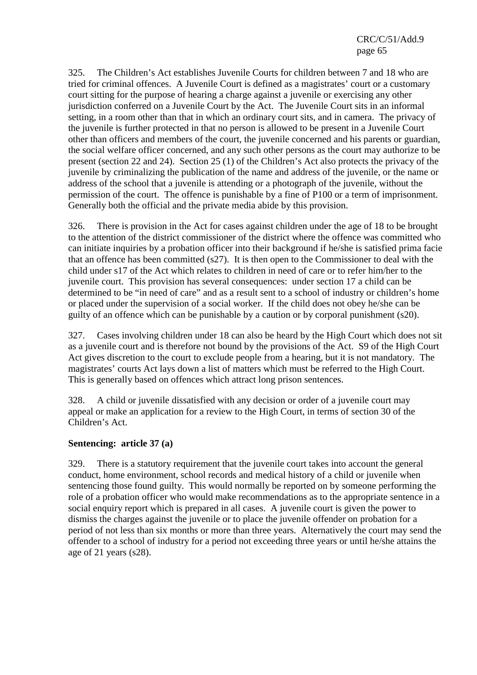325. The Children's Act establishes Juvenile Courts for children between 7 and 18 who are tried for criminal offences. A Juvenile Court is defined as a magistrates' court or a customary court sitting for the purpose of hearing a charge against a juvenile or exercising any other jurisdiction conferred on a Juvenile Court by the Act. The Juvenile Court sits in an informal setting, in a room other than that in which an ordinary court sits, and in camera. The privacy of the juvenile is further protected in that no person is allowed to be present in a Juvenile Court other than officers and members of the court, the juvenile concerned and his parents or guardian, the social welfare officer concerned, and any such other persons as the court may authorize to be present (section 22 and 24). Section 25 (1) of the Children's Act also protects the privacy of the juvenile by criminalizing the publication of the name and address of the juvenile, or the name or address of the school that a juvenile is attending or a photograph of the juvenile, without the permission of the court. The offence is punishable by a fine of P100 or a term of imprisonment. Generally both the official and the private media abide by this provision.

326. There is provision in the Act for cases against children under the age of 18 to be brought to the attention of the district commissioner of the district where the offence was committed who can initiate inquiries by a probation officer into their background if he/she is satisfied prima facie that an offence has been committed (s27). It is then open to the Commissioner to deal with the child under s17 of the Act which relates to children in need of care or to refer him/her to the juvenile court. This provision has several consequences: under section 17 a child can be determined to be "in need of care" and as a result sent to a school of industry or children's home or placed under the supervision of a social worker. If the child does not obey he/she can be guilty of an offence which can be punishable by a caution or by corporal punishment (s20).

327. Cases involving children under 18 can also be heard by the High Court which does not sit as a juvenile court and is therefore not bound by the provisions of the Act. S9 of the High Court Act gives discretion to the court to exclude people from a hearing, but it is not mandatory. The magistrates' courts Act lays down a list of matters which must be referred to the High Court. This is generally based on offences which attract long prison sentences.

328. A child or juvenile dissatisfied with any decision or order of a juvenile court may appeal or make an application for a review to the High Court, in terms of section 30 of the Children's Act.

## **Sentencing: article 37 (a)**

329. There is a statutory requirement that the juvenile court takes into account the general conduct, home environment, school records and medical history of a child or juvenile when sentencing those found guilty. This would normally be reported on by someone performing the role of a probation officer who would make recommendations as to the appropriate sentence in a social enquiry report which is prepared in all cases. A juvenile court is given the power to dismiss the charges against the juvenile or to place the juvenile offender on probation for a period of not less than six months or more than three years. Alternatively the court may send the offender to a school of industry for a period not exceeding three years or until he/she attains the age of 21 years (s28).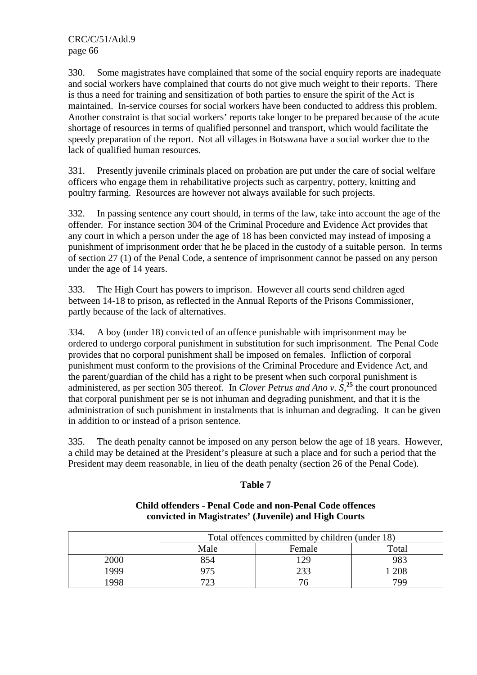330. Some magistrates have complained that some of the social enquiry reports are inadequate and social workers have complained that courts do not give much weight to their reports. There is thus a need for training and sensitization of both parties to ensure the spirit of the Act is maintained. In-service courses for social workers have been conducted to address this problem. Another constraint is that social workers' reports take longer to be prepared because of the acute shortage of resources in terms of qualified personnel and transport, which would facilitate the speedy preparation of the report. Not all villages in Botswana have a social worker due to the lack of qualified human resources.

331. Presently juvenile criminals placed on probation are put under the care of social welfare officers who engage them in rehabilitative projects such as carpentry, pottery, knitting and poultry farming. Resources are however not always available for such projects.

332. In passing sentence any court should, in terms of the law, take into account the age of the offender. For instance section 304 of the Criminal Procedure and Evidence Act provides that any court in which a person under the age of 18 has been convicted may instead of imposing a punishment of imprisonment order that he be placed in the custody of a suitable person. In terms of section 27 (1) of the Penal Code, a sentence of imprisonment cannot be passed on any person under the age of 14 years.

333. The High Court has powers to imprison. However all courts send children aged between 14-18 to prison, as reflected in the Annual Reports of the Prisons Commissioner, partly because of the lack of alternatives.

334. A boy (under 18) convicted of an offence punishable with imprisonment may be ordered to undergo corporal punishment in substitution for such imprisonment. The Penal Code provides that no corporal punishment shall be imposed on females. Infliction of corporal punishment must conform to the provisions of the Criminal Procedure and Evidence Act, and the parent/guardian of the child has a right to be present when such corporal punishment is administered, as per section 305 thereof. In *Clover Petrus and Ano v. S*, **<sup>25</sup>** the court pronounced that corporal punishment per se is not inhuman and degrading punishment, and that it is the administration of such punishment in instalments that is inhuman and degrading. It can be given in addition to or instead of a prison sentence.

335. The death penalty cannot be imposed on any person below the age of 18 years. However, a child may be detained at the President's pleasure at such a place and for such a period that the President may deem reasonable, in lieu of the death penalty (section 26 of the Penal Code).

#### **Table 7**

#### **Child offenders - Penal Code and non-Penal Code offences convicted in Magistrates' (Juvenile) and High Courts**

|      | Total offences committed by children (under 18) |     |     |  |  |  |  |  |  |
|------|-------------------------------------------------|-----|-----|--|--|--|--|--|--|
|      | Male<br>Total<br>Female                         |     |     |  |  |  |  |  |  |
| 2000 | 854                                             | 129 | 983 |  |  |  |  |  |  |
| 1999 | 975                                             | 233 | 208 |  |  |  |  |  |  |
| 1998 | 723                                             |     | 799 |  |  |  |  |  |  |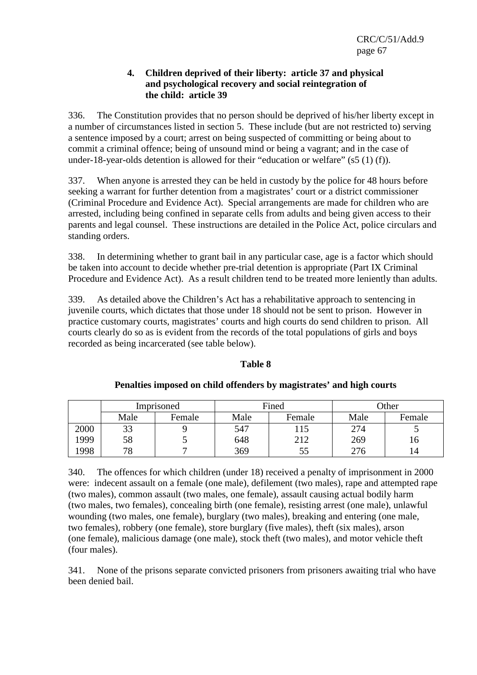#### **4. Children deprived of their liberty: article 37 and physical and psychological recovery and social reintegration of the child: article 39**

336. The Constitution provides that no person should be deprived of his/her liberty except in a number of circumstances listed in section 5. These include (but are not restricted to) serving a sentence imposed by a court; arrest on being suspected of committing or being about to commit a criminal offence; being of unsound mind or being a vagrant; and in the case of under-18-year-olds detention is allowed for their "education or welfare"  $(s5 (1) (f))$ .

337. When anyone is arrested they can be held in custody by the police for 48 hours before seeking a warrant for further detention from a magistrates' court or a district commissioner (Criminal Procedure and Evidence Act). Special arrangements are made for children who are arrested, including being confined in separate cells from adults and being given access to their parents and legal counsel. These instructions are detailed in the Police Act, police circulars and standing orders.

338. In determining whether to grant bail in any particular case, age is a factor which should be taken into account to decide whether pre-trial detention is appropriate (Part IX Criminal Procedure and Evidence Act). As a result children tend to be treated more leniently than adults.

339. As detailed above the Children's Act has a rehabilitative approach to sentencing in juvenile courts, which dictates that those under 18 should not be sent to prison. However in practice customary courts, magistrates' courts and high courts do send children to prison. All courts clearly do so as is evident from the records of the total populations of girls and boys recorded as being incarcerated (see table below).

#### **Table 8**

|      | Imprisoned |        |      | Fined  | <b>Other</b> |        |  |
|------|------------|--------|------|--------|--------------|--------|--|
|      | Male       | Female | Male | Female | Male         | Female |  |
| 2000 | 33         |        | 547  | 115    | 274          |        |  |
| 1999 | 58         |        | 648  | 212    | 269          |        |  |
| 1998 | 78         |        | 369  | 55     | 276          | 14     |  |

#### **Penalties imposed on child offenders by magistrates' and high courts**

340. The offences for which children (under 18) received a penalty of imprisonment in 2000 were: indecent assault on a female (one male), defilement (two males), rape and attempted rape (two males), common assault (two males, one female), assault causing actual bodily harm (two males, two females), concealing birth (one female), resisting arrest (one male), unlawful wounding (two males, one female), burglary (two males), breaking and entering (one male, two females), robbery (one female), store burglary (five males), theft (six males), arson (one female), malicious damage (one male), stock theft (two males), and motor vehicle theft (four males).

341. None of the prisons separate convicted prisoners from prisoners awaiting trial who have been denied bail.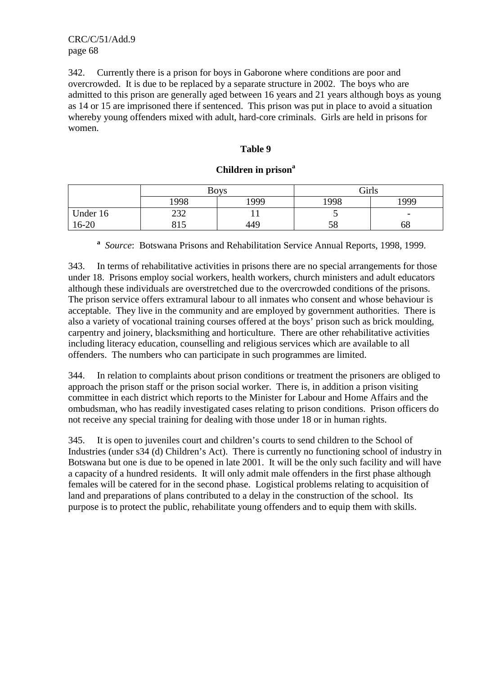342. Currently there is a prison for boys in Gaborone where conditions are poor and overcrowded. It is due to be replaced by a separate structure in 2002. The boys who are admitted to this prison are generally aged between 16 years and 21 years although boys as young as 14 or 15 are imprisoned there if sentenced. This prison was put in place to avoid a situation whereby young offenders mixed with adult, hard-core criminals. Girls are held in prisons for women.

#### **Table 9**

#### **Children in prison<sup>a</sup>**

|           |             | <b>Boys</b> | Girls |                          |  |  |
|-----------|-------------|-------------|-------|--------------------------|--|--|
|           | 1998        | 1999        | 1998  | 1999                     |  |  |
| Under 16  | 232         |             |       | $\overline{\phantom{0}}$ |  |  |
| $16 - 20$ | 015<br>01 J | 449         | 58    | 68                       |  |  |

**a** *Source*: Botswana Prisons and Rehabilitation Service Annual Reports, 1998, 1999.

343. In terms of rehabilitative activities in prisons there are no special arrangements for those under 18. Prisons employ social workers, health workers, church ministers and adult educators although these individuals are overstretched due to the overcrowded conditions of the prisons. The prison service offers extramural labour to all inmates who consent and whose behaviour is acceptable. They live in the community and are employed by government authorities. There is also a variety of vocational training courses offered at the boys' prison such as brick moulding, carpentry and joinery, blacksmithing and horticulture. There are other rehabilitative activities including literacy education, counselling and religious services which are available to all offenders. The numbers who can participate in such programmes are limited.

344. In relation to complaints about prison conditions or treatment the prisoners are obliged to approach the prison staff or the prison social worker. There is, in addition a prison visiting committee in each district which reports to the Minister for Labour and Home Affairs and the ombudsman, who has readily investigated cases relating to prison conditions. Prison officers do not receive any special training for dealing with those under 18 or in human rights.

345. It is open to juveniles court and children's courts to send children to the School of Industries (under s34 (d) Children's Act). There is currently no functioning school of industry in Botswana but one is due to be opened in late 2001. It will be the only such facility and will have a capacity of a hundred residents. It will only admit male offenders in the first phase although females will be catered for in the second phase. Logistical problems relating to acquisition of land and preparations of plans contributed to a delay in the construction of the school. Its purpose is to protect the public, rehabilitate young offenders and to equip them with skills.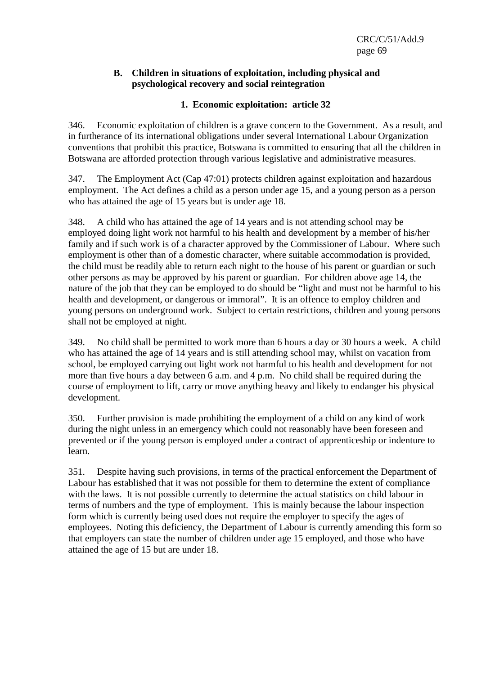#### **B. Children in situations of exploitation, including physical and psychological recovery and social reintegration**

# **1. Economic exploitation: article 32**

346. Economic exploitation of children is a grave concern to the Government. As a result, and in furtherance of its international obligations under several International Labour Organization conventions that prohibit this practice, Botswana is committed to ensuring that all the children in Botswana are afforded protection through various legislative and administrative measures.

347. The Employment Act (Cap 47:01) protects children against exploitation and hazardous employment. The Act defines a child as a person under age 15, and a young person as a person who has attained the age of 15 years but is under age 18.

348. A child who has attained the age of 14 years and is not attending school may be employed doing light work not harmful to his health and development by a member of his/her family and if such work is of a character approved by the Commissioner of Labour. Where such employment is other than of a domestic character, where suitable accommodation is provided, the child must be readily able to return each night to the house of his parent or guardian or such other persons as may be approved by his parent or guardian. For children above age 14, the nature of the job that they can be employed to do should be "light and must not be harmful to his health and development, or dangerous or immoral". It is an offence to employ children and young persons on underground work. Subject to certain restrictions, children and young persons shall not be employed at night.

349. No child shall be permitted to work more than 6 hours a day or 30 hours a week. A child who has attained the age of 14 years and is still attending school may, whilst on vacation from school, be employed carrying out light work not harmful to his health and development for not more than five hours a day between 6 a.m. and 4 p.m. No child shall be required during the course of employment to lift, carry or move anything heavy and likely to endanger his physical development.

350. Further provision is made prohibiting the employment of a child on any kind of work during the night unless in an emergency which could not reasonably have been foreseen and prevented or if the young person is employed under a contract of apprenticeship or indenture to learn.

351. Despite having such provisions, in terms of the practical enforcement the Department of Labour has established that it was not possible for them to determine the extent of compliance with the laws. It is not possible currently to determine the actual statistics on child labour in terms of numbers and the type of employment. This is mainly because the labour inspection form which is currently being used does not require the employer to specify the ages of employees. Noting this deficiency, the Department of Labour is currently amending this form so that employers can state the number of children under age 15 employed, and those who have attained the age of 15 but are under 18.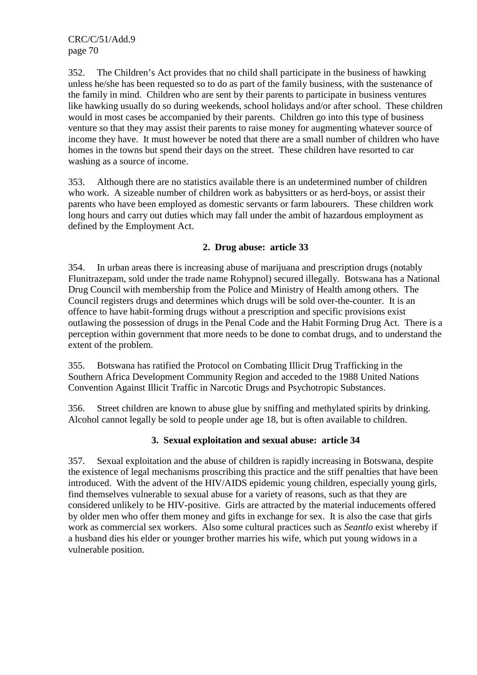352. The Children's Act provides that no child shall participate in the business of hawking unless he/she has been requested so to do as part of the family business, with the sustenance of the family in mind. Children who are sent by their parents to participate in business ventures like hawking usually do so during weekends, school holidays and/or after school. These children would in most cases be accompanied by their parents. Children go into this type of business venture so that they may assist their parents to raise money for augmenting whatever source of income they have. It must however be noted that there are a small number of children who have homes in the towns but spend their days on the street. These children have resorted to car washing as a source of income.

353. Although there are no statistics available there is an undetermined number of children who work. A sizeable number of children work as babysitters or as herd-boys, or assist their parents who have been employed as domestic servants or farm labourers. These children work long hours and carry out duties which may fall under the ambit of hazardous employment as defined by the Employment Act.

## **2. Drug abuse: article 33**

354. In urban areas there is increasing abuse of marijuana and prescription drugs (notably Flunitrazepam, sold under the trade name Rohypnol) secured illegally. Botswana has a National Drug Council with membership from the Police and Ministry of Health among others. The Council registers drugs and determines which drugs will be sold over-the-counter. It is an offence to have habit-forming drugs without a prescription and specific provisions exist outlawing the possession of drugs in the Penal Code and the Habit Forming Drug Act. There is a perception within government that more needs to be done to combat drugs, and to understand the extent of the problem.

355. Botswana has ratified the Protocol on Combating Illicit Drug Trafficking in the Southern Africa Development Community Region and acceded to the 1988 United Nations Convention Against Illicit Traffic in Narcotic Drugs and Psychotropic Substances.

356. Street children are known to abuse glue by sniffing and methylated spirits by drinking. Alcohol cannot legally be sold to people under age 18, but is often available to children.

## **3. Sexual exploitation and sexual abuse: article 34**

357. Sexual exploitation and the abuse of children is rapidly increasing in Botswana, despite the existence of legal mechanisms proscribing this practice and the stiff penalties that have been introduced. With the advent of the HIV/AIDS epidemic young children, especially young girls, find themselves vulnerable to sexual abuse for a variety of reasons, such as that they are considered unlikely to be HIV-positive. Girls are attracted by the material inducements offered by older men who offer them money and gifts in exchange for sex. It is also the case that girls work as commercial sex workers. Also some cultural practices such as *Seantlo* exist whereby if a husband dies his elder or younger brother marries his wife, which put young widows in a vulnerable position.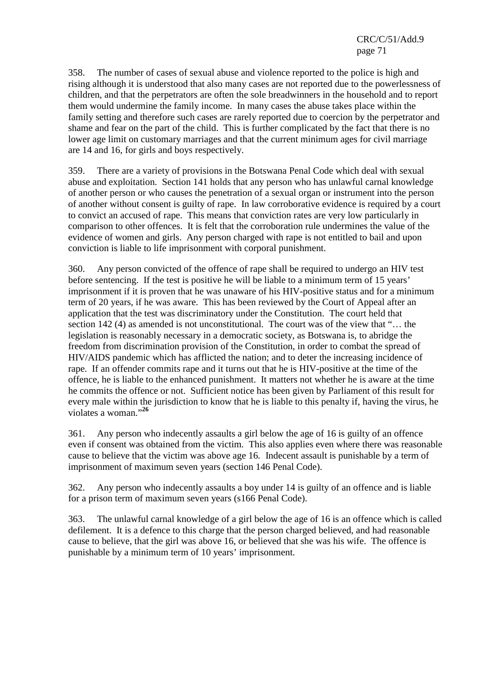358. The number of cases of sexual abuse and violence reported to the police is high and rising although it is understood that also many cases are not reported due to the powerlessness of children, and that the perpetrators are often the sole breadwinners in the household and to report them would undermine the family income. In many cases the abuse takes place within the family setting and therefore such cases are rarely reported due to coercion by the perpetrator and shame and fear on the part of the child. This is further complicated by the fact that there is no lower age limit on customary marriages and that the current minimum ages for civil marriage are 14 and 16, for girls and boys respectively.

359. There are a variety of provisions in the Botswana Penal Code which deal with sexual abuse and exploitation. Section 141 holds that any person who has unlawful carnal knowledge of another person or who causes the penetration of a sexual organ or instrument into the person of another without consent is guilty of rape. In law corroborative evidence is required by a court to convict an accused of rape. This means that conviction rates are very low particularly in comparison to other offences. It is felt that the corroboration rule undermines the value of the evidence of women and girls. Any person charged with rape is not entitled to bail and upon conviction is liable to life imprisonment with corporal punishment.

360. Any person convicted of the offence of rape shall be required to undergo an HIV test before sentencing. If the test is positive he will be liable to a minimum term of 15 years' imprisonment if it is proven that he was unaware of his HIV-positive status and for a minimum term of 20 years, if he was aware. This has been reviewed by the Court of Appeal after an application that the test was discriminatory under the Constitution. The court held that section 142 (4) as amended is not unconstitutional. The court was of the view that "… the legislation is reasonably necessary in a democratic society, as Botswana is, to abridge the freedom from discrimination provision of the Constitution, in order to combat the spread of HIV/AIDS pandemic which has afflicted the nation; and to deter the increasing incidence of rape. If an offender commits rape and it turns out that he is HIV-positive at the time of the offence, he is liable to the enhanced punishment. It matters not whether he is aware at the time he commits the offence or not. Sufficient notice has been given by Parliament of this result for every male within the jurisdiction to know that he is liable to this penalty if, having the virus, he violates a woman."**<sup>26</sup>**

361. Any person who indecently assaults a girl below the age of 16 is guilty of an offence even if consent was obtained from the victim*.* This also applies even where there was reasonable cause to believe that the victim was above age 16*.* Indecent assault is punishable by a term of imprisonment of maximum seven years (section 146 Penal Code).

362. Any person who indecently assaults a boy under 14 is guilty of an offence and is liable for a prison term of maximum seven years (s166 Penal Code).

363. The unlawful carnal knowledge of a girl below the age of 16 is an offence which is called defilement. It is a defence to this charge that the person charged believed, and had reasonable cause to believe, that the girl was above 16, or believed that she was his wife. The offence is punishable by a minimum term of 10 years' imprisonment.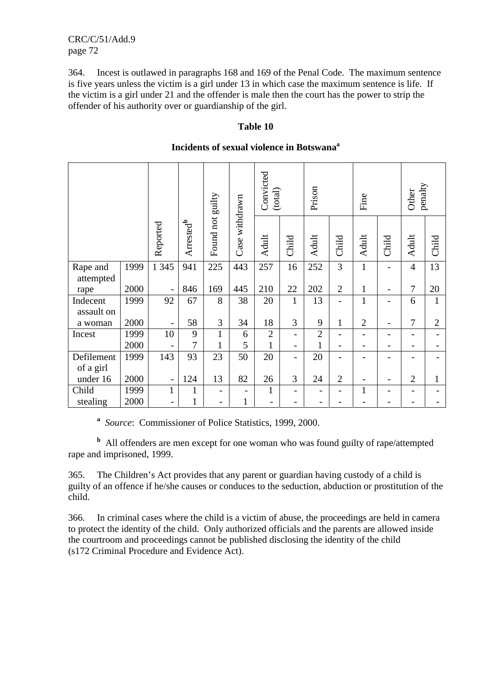364. Incest is outlawed in paragraphs 168 and 169 of the Penal Code. The maximum sentence is five years unless the victim is a girl under 13 in which case the maximum sentence is life. If the victim is a girl under 21 and the offender is male then the court has the power to strip the offender of his authority over or guardianship of the girl.

#### **Table 10**

|  | Incidents of sexual violence in Botswana <sup>a</sup> |
|--|-------------------------------------------------------|
|--|-------------------------------------------------------|

|                       |      |                          |                       |                  |                | Convicted<br>(total) |                          | Prison         |                          | Fine           |                | penalty<br>Other         |                |
|-----------------------|------|--------------------------|-----------------------|------------------|----------------|----------------------|--------------------------|----------------|--------------------------|----------------|----------------|--------------------------|----------------|
|                       |      | Reported                 | Arrested <sup>b</sup> | Found not guilty | Case withdrawn | Adult                | Child                    | Adult          | Child                    | Adult          | Child          | <b>Adult</b>             | Child          |
| Rape and<br>attempted | 1999 | 1 3 4 5                  | 941                   | 225              | 443            | 257                  | 16                       | 252            | $\overline{3}$           | $\mathbf{1}$   |                | $\overline{4}$           | 13             |
| rape                  | 2000 | $\overline{\phantom{0}}$ | 846                   | 169              | 445            | 210                  | 22                       | 202            | $\overline{2}$           | $\mathbf{1}$   |                | 7                        | 20             |
| Indecent              | 1999 | 92                       | 67                    | 8                | 38             | 20                   | $\mathbf{1}$             | 13             | -                        | $\mathbf{1}$   | -              | 6                        | $\mathbf{1}$   |
| assault on            |      |                          |                       |                  |                |                      |                          |                |                          |                |                |                          |                |
| a woman               | 2000 | $\overline{\phantom{a}}$ | 58                    | 3                | 34             | 18                   | 3                        | 9              | $\mathbf{1}$             | $\overline{2}$ |                | 7                        | $\overline{2}$ |
| Incest                | 1999 | 10                       | 9                     | $\mathbf{1}$     | 6              | $\overline{2}$       | $\overline{\phantom{0}}$ | $\overline{2}$ | $\overline{\phantom{0}}$ | $\overline{a}$ | $\overline{a}$ | $\overline{\phantom{0}}$ |                |
|                       | 2000 |                          | 7                     | $\mathbf{1}$     | 5              | $\mathbf{1}$         | $\overline{\phantom{0}}$ | $\mathbf{1}$   |                          |                |                |                          |                |
| Defilement            | 1999 | 143                      | 93                    | 23               | 50             | 20                   | $\overline{\phantom{0}}$ | 20             |                          |                |                |                          |                |
| of a girl             |      |                          |                       |                  |                |                      |                          |                |                          |                |                |                          |                |
| under 16              | 2000 | $\overline{\phantom{a}}$ | 124                   | 13               | 82             | 26                   | 3                        | 24             | $\overline{2}$           |                |                | $\overline{2}$           | 1              |
| Child                 | 1999 | $\mathbf{1}$             | 1                     |                  |                | $\mathbf{1}$         |                          | -              |                          | $\mathbf{1}$   |                |                          |                |
| stealing              | 2000 |                          | 1                     |                  | $\mathbf{1}$   |                      |                          |                |                          |                |                |                          |                |

**a** *Source*: Commissioner of Police Statistics, 1999, 2000.

**<sup>b</sup>** All offenders are men except for one woman who was found guilty of rape/attempted rape and imprisoned, 1999.

365. The Children's Act provides that any parent or guardian having custody of a child is guilty of an offence if he/she causes or conduces to the seduction, abduction or prostitution of the child.

366. In criminal cases where the child is a victim of abuse, the proceedings are held in camera to protect the identity of the child. Only authorized officials and the parents are allowed inside the courtroom and proceedings cannot be published disclosing the identity of the child (s172 Criminal Procedure and Evidence Act).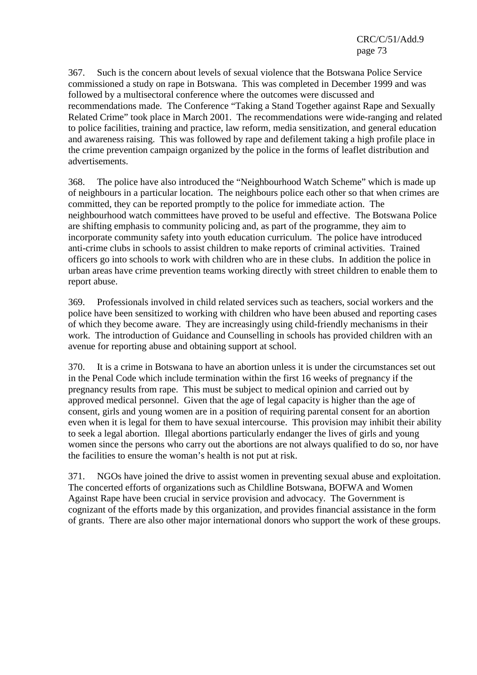367. Such is the concern about levels of sexual violence that the Botswana Police Service commissioned a study on rape in Botswana. This was completed in December 1999 and was followed by a multisectoral conference where the outcomes were discussed and recommendations made. The Conference "Taking a Stand Together against Rape and Sexually Related Crime" took place in March 2001. The recommendations were wide-ranging and related to police facilities, training and practice, law reform, media sensitization, and general education and awareness raising. This was followed by rape and defilement taking a high profile place in the crime prevention campaign organized by the police in the forms of leaflet distribution and advertisements.

368. The police have also introduced the "Neighbourhood Watch Scheme" which is made up of neighbours in a particular location. The neighbours police each other so that when crimes are committed, they can be reported promptly to the police for immediate action. The neighbourhood watch committees have proved to be useful and effective. The Botswana Police are shifting emphasis to community policing and, as part of the programme, they aim to incorporate community safety into youth education curriculum. The police have introduced anti-crime clubs in schools to assist children to make reports of criminal activities. Trained officers go into schools to work with children who are in these clubs. In addition the police in urban areas have crime prevention teams working directly with street children to enable them to report abuse.

369. Professionals involved in child related services such as teachers, social workers and the police have been sensitized to working with children who have been abused and reporting cases of which they become aware. They are increasingly using child-friendly mechanisms in their work. The introduction of Guidance and Counselling in schools has provided children with an avenue for reporting abuse and obtaining support at school.

370. It is a crime in Botswana to have an abortion unless it is under the circumstances set out in the Penal Code which include termination within the first 16 weeks of pregnancy if the pregnancy results from rape. This must be subject to medical opinion and carried out by approved medical personnel. Given that the age of legal capacity is higher than the age of consent, girls and young women are in a position of requiring parental consent for an abortion even when it is legal for them to have sexual intercourse. This provision may inhibit their ability to seek a legal abortion. Illegal abortions particularly endanger the lives of girls and young women since the persons who carry out the abortions are not always qualified to do so, nor have the facilities to ensure the woman's health is not put at risk.

371. NGOs have joined the drive to assist women in preventing sexual abuse and exploitation. The concerted efforts of organizations such as Childline Botswana, BOFWA and Women Against Rape have been crucial in service provision and advocacy. The Government is cognizant of the efforts made by this organization, and provides financial assistance in the form of grants. There are also other major international donors who support the work of these groups.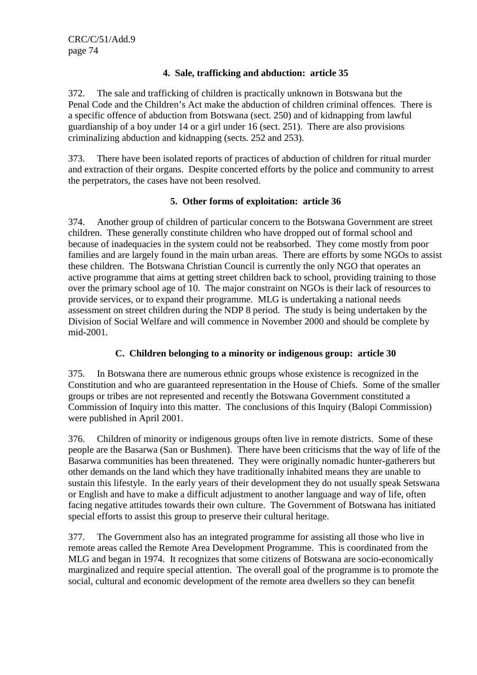## **4. Sale, trafficking and abduction: article 35**

372. The sale and trafficking of children is practically unknown in Botswana but the Penal Code and the Children's Act make the abduction of children criminal offences. There is a specific offence of abduction from Botswana (sect. 250) and of kidnapping from lawful guardianship of a boy under 14 or a girl under 16 (sect. 251). There are also provisions criminalizing abduction and kidnapping (sects. 252 and 253).

373. There have been isolated reports of practices of abduction of children for ritual murder and extraction of their organs. Despite concerted efforts by the police and community to arrest the perpetrators, the cases have not been resolved.

## **5. Other forms of exploitation: article 36**

374. Another group of children of particular concern to the Botswana Government are street children. These generally constitute children who have dropped out of formal school and because of inadequacies in the system could not be reabsorbed. They come mostly from poor families and are largely found in the main urban areas. There are efforts by some NGOs to assist these children. The Botswana Christian Council is currently the only NGO that operates an active programme that aims at getting street children back to school, providing training to those over the primary school age of 10. The major constraint on NGOs is their lack of resources to provide services, or to expand their programme. MLG is undertaking a national needs assessment on street children during the NDP 8 period. The study is being undertaken by the Division of Social Welfare and will commence in November 2000 and should be complete by mid-2001.

## **C. Children belonging to a minority or indigenous group: article 30**

375. In Botswana there are numerous ethnic groups whose existence is recognized in the Constitution and who are guaranteed representation in the House of Chiefs. Some of the smaller groups or tribes are not represented and recently the Botswana Government constituted a Commission of Inquiry into this matter. The conclusions of this Inquiry (Balopi Commission) were published in April 2001.

376. Children of minority or indigenous groups often live in remote districts. Some of these people are the Basarwa (San or Bushmen). There have been criticisms that the way of life of the Basarwa communities has been threatened. They were originally nomadic hunter-gatherers but other demands on the land which they have traditionally inhabited means they are unable to sustain this lifestyle. In the early years of their development they do not usually speak Setswana or English and have to make a difficult adjustment to another language and way of life, often facing negative attitudes towards their own culture. The Government of Botswana has initiated special efforts to assist this group to preserve their cultural heritage.

377. The Government also has an integrated programme for assisting all those who live in remote areas called the Remote Area Development Programme. This is coordinated from the MLG and began in 1974. It recognizes that some citizens of Botswana are socio-economically marginalized and require special attention. The overall goal of the programme is to promote the social, cultural and economic development of the remote area dwellers so they can benefit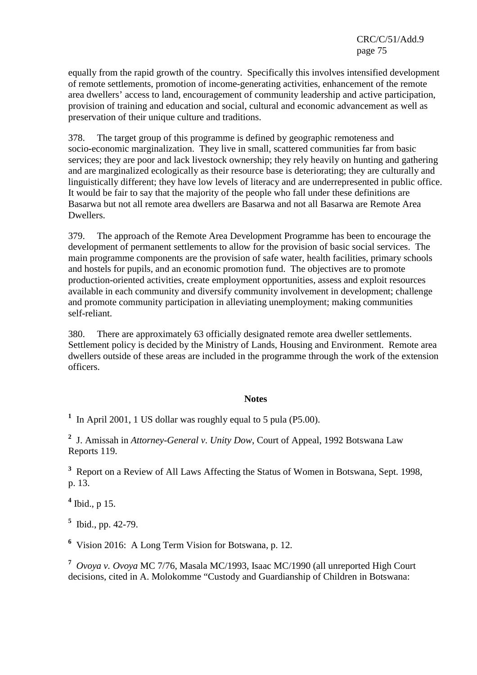equally from the rapid growth of the country. Specifically this involves intensified development of remote settlements, promotion of income-generating activities, enhancement of the remote area dwellers' access to land, encouragement of community leadership and active participation, provision of training and education and social, cultural and economic advancement as well as preservation of their unique culture and traditions.

378. The target group of this programme is defined by geographic remoteness and socio-economic marginalization. They live in small, scattered communities far from basic services; they are poor and lack livestock ownership; they rely heavily on hunting and gathering and are marginalized ecologically as their resource base is deteriorating; they are culturally and linguistically different; they have low levels of literacy and are underrepresented in public office. It would be fair to say that the majority of the people who fall under these definitions are Basarwa but not all remote area dwellers are Basarwa and not all Basarwa are Remote Area Dwellers.

379. The approach of the Remote Area Development Programme has been to encourage the development of permanent settlements to allow for the provision of basic social services. The main programme components are the provision of safe water, health facilities, primary schools and hostels for pupils, and an economic promotion fund. The objectives are to promote production-oriented activities, create employment opportunities, assess and exploit resources available in each community and diversify community involvement in development; challenge and promote community participation in alleviating unemployment; making communities self-reliant.

380. There are approximately 63 officially designated remote area dweller settlements. Settlement policy is decided by the Ministry of Lands, Housing and Environment. Remote area dwellers outside of these areas are included in the programme through the work of the extension officers.

## **Notes**

<sup>1</sup> In April 2001, 1 US dollar was roughly equal to 5 pula (P5.00).

**2** J. Amissah in *Attorney-General v*. *Unity Dow*, Court of Appeal, 1992 Botswana Law Reports 119.

**3** Report on a Review of All Laws Affecting the Status of Women in Botswana, Sept. 1998, p. 13.

**4** Ibid., p 15.

**5** Ibid., pp. 42-79.

**6** Vision 2016: A Long Term Vision for Botswana, p. 12.

**7** *Ovoya v. Ovoya* MC 7/76, Masala MC/1993, Isaac MC/1990 (all unreported High Court decisions, cited in A. Molokomme "Custody and Guardianship of Children in Botswana: